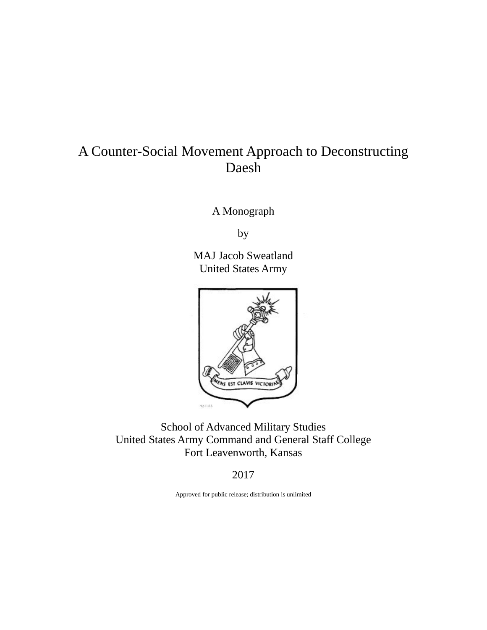## A Counter-Social Movement Approach to Deconstructing Daesh

A Monograph

by

MAJ Jacob Sweatland United States Army



School of Advanced Military Studies United States Army Command and General Staff College Fort Leavenworth, Kansas

2017

Approved for public release; distribution is unlimited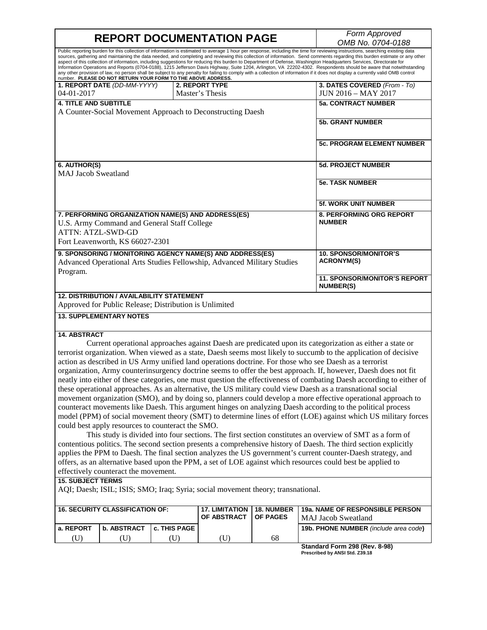**REPORT DOCUMENTATION PAGE** *Form Approved OMB No. 0704-0188* Public reporting burden for this collection of information is estimated to average 1 hour per response, including the time for reviewing instructions, searching existing data sources, gathering and maintaining the data needed, and completing and reviewing this collection of information. Send comments regarding this burden estimate or any other aspect of this collection of information, including suggestions for reducing this burden to Department of Defense, Washington Headquarters Services, Directorate for<br>Information Operations and Reports (0704-0188), 1215 Jeff any other provision of law, no person shall be subject to any penalty for failing to comply with a collection of information if it does not display a currently valid OMB control<br>number. PLEASE DO NOT RETURN YOUR FORM TO TH **1. REPORT DATE** *(DD-MM-YYYY)* 04-01-2017 **2. REPORT TYPE** Master's Thesis **3. DATES COVERED** *(From - To)* JUN 2016 – MAY 2017 **4. TITLE AND SUBTITLE** A Counter-Social Movement Approach to Deconstructing Daesh **5a. CONTRACT NUMBER 5b. GRANT NUMBER 5c. PROGRAM ELEMENT NUMBER 6. AUTHOR(S)** MAJ Jacob Sweatland **5d. PROJECT NUMBER 5e. TASK NUMBER 5f. WORK UNIT NUMBER 7. PERFORMING ORGANIZATION NAME(S) AND ADDRESS(ES)** U.S. Army Command and General Staff College ATTN: ATZL-SWD-GD Fort Leavenworth, KS 66027-2301 **8. PERFORMING ORG REPORT NUMBER 9. SPONSORING / MONITORING AGENCY NAME(S) AND ADDRESS(ES)** Advanced Operational Arts Studies Fellowship, Advanced Military Studies Program. **10. SPONSOR/MONITOR'S ACRONYM(S) 11. SPONSOR/MONITOR'S REPORT NUMBER(S) 12. DISTRIBUTION / AVAILABILITY STATEMENT** Approved for Public Release; Distribution is Unlimited **13. SUPPLEMENTARY NOTES 14. ABSTRACT** Current operational approaches against Daesh are predicated upon its categorization as either a state or terrorist organization. When viewed as a state, Daesh seems most likely to succumb to the application of decisive action as described in US Army unified land operations doctrine. For those who see Daesh as a terrorist organization, Army counterinsurgency doctrine seems to offer the best approach. If, however, Daesh does not fit neatly into either of these categories, one must question the effectiveness of combating Daesh according to either of these operational approaches. As an alternative, the US military could view Daesh as a transnational social movement organization (SMO), and by doing so, planners could develop a more effective operational approach to counteract movements like Daesh. This argument hinges on analyzing Daesh according to the political process model (PPM) of social movement theory (SMT) to determine lines of effort (LOE) against which US military forces could best apply resources to counteract the SMO. This study is divided into four sections. The first section constitutes an overview of SMT as a form of contentious politics. The second section presents a comprehensive history of Daesh. The third section explicitly applies the PPM to Daesh. The final section analyzes the US government's current counter-Daesh strategy, and offers, as an alternative based upon the PPM, a set of LOE against which resources could best be applied to effectively counteract the movement. **15. SUBJECT TERMS**

AQI; Daesh; ISIL; ISIS; SMO; Iraq; Syria; social movement theory; transnational.

| I 16. SECURITY CLASSIFICATION OF: |                    |                       | 17. LIMITATION   18. NUMBER<br><b>OF ABSTRACT</b> | <b>LOF PAGES</b> | 19a. NAME OF RESPONSIBLE PERSON<br><b>MAJ Jacob Sweatland</b> |
|-----------------------------------|--------------------|-----------------------|---------------------------------------------------|------------------|---------------------------------------------------------------|
| l a. REPORT                       | <b>b. ABSTRACT</b> | <b>C. THIS PAGE I</b> |                                                   |                  | <b>19b. PHONE NUMBER</b> (include area code)                  |
| U)                                |                    |                       |                                                   | 68               |                                                               |

**Standard Form 298 (Rev. 8-98) Prescribed by ANSI Std. Z39.18**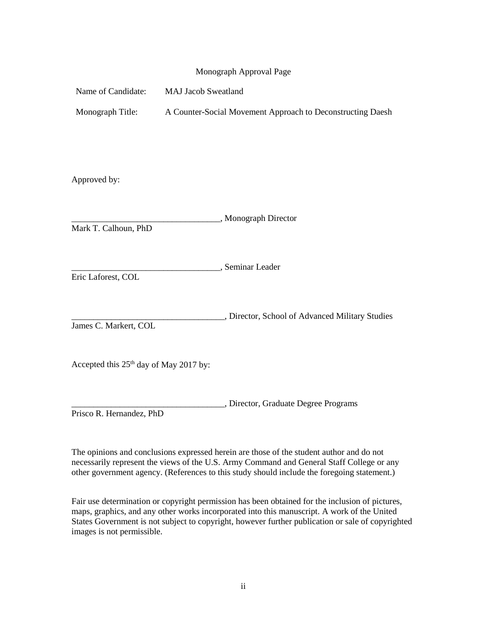|                                                    | Monograph Approval Page                                    |
|----------------------------------------------------|------------------------------------------------------------|
| Name of Candidate:                                 | <b>MAJ Jacob Sweatland</b>                                 |
| Monograph Title:                                   | A Counter-Social Movement Approach to Deconstructing Daesh |
|                                                    |                                                            |
|                                                    |                                                            |
| Approved by:                                       |                                                            |
|                                                    |                                                            |
| Mark T. Calhoun, PhD                               | , Monograph Director                                       |
|                                                    |                                                            |
|                                                    | , Seminar Leader                                           |
| Eric Laforest, COL                                 |                                                            |
|                                                    | , Director, School of Advanced Military Studies            |
| James C. Markert, COL                              |                                                            |
|                                                    |                                                            |
| Accepted this 25 <sup>th</sup> day of May 2017 by: |                                                            |
|                                                    | , Director, Graduate Degree Programs                       |
| Prisco R. Hernandez, PhD                           |                                                            |

The opinions and conclusions expressed herein are those of the student author and do not necessarily represent the views of the U.S. Army Command and General Staff College or any other government agency. (References to this study should include the foregoing statement.)

Fair use determination or copyright permission has been obtained for the inclusion of pictures, maps, graphics, and any other works incorporated into this manuscript. A work of the United States Government is not subject to copyright, however further publication or sale of copyrighted images is not permissible.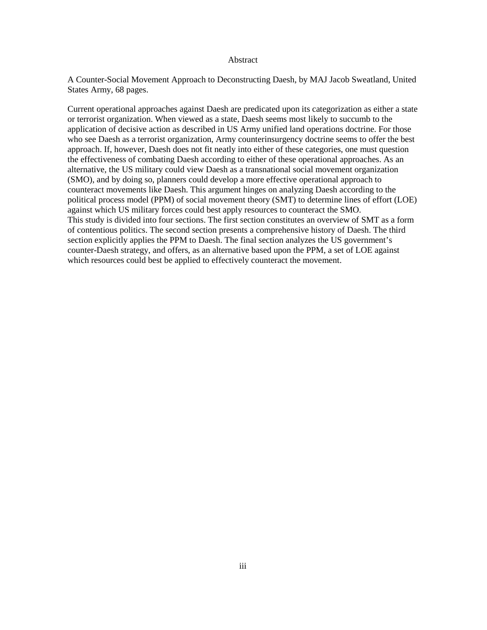#### Abstract

A Counter-Social Movement Approach to Deconstructing Daesh, by MAJ Jacob Sweatland, United States Army, 68 pages.

Current operational approaches against Daesh are predicated upon its categorization as either a state or terrorist organization. When viewed as a state, Daesh seems most likely to succumb to the application of decisive action as described in US Army unified land operations doctrine. For those who see Daesh as a terrorist organization, Army counterinsurgency doctrine seems to offer the best approach. If, however, Daesh does not fit neatly into either of these categories, one must question the effectiveness of combating Daesh according to either of these operational approaches. As an alternative, the US military could view Daesh as a transnational social movement organization (SMO), and by doing so, planners could develop a more effective operational approach to counteract movements like Daesh. This argument hinges on analyzing Daesh according to the political process model (PPM) of social movement theory (SMT) to determine lines of effort (LOE) against which US military forces could best apply resources to counteract the SMO. This study is divided into four sections. The first section constitutes an overview of SMT as a form of contentious politics. The second section presents a comprehensive history of Daesh. The third section explicitly applies the PPM to Daesh. The final section analyzes the US government's counter-Daesh strategy, and offers, as an alternative based upon the PPM, a set of LOE against which resources could best be applied to effectively counteract the movement.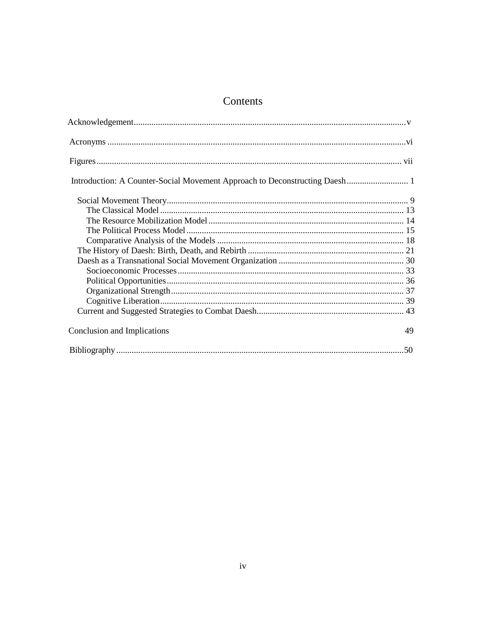### Contents

| Conclusion and Implications |  |
|-----------------------------|--|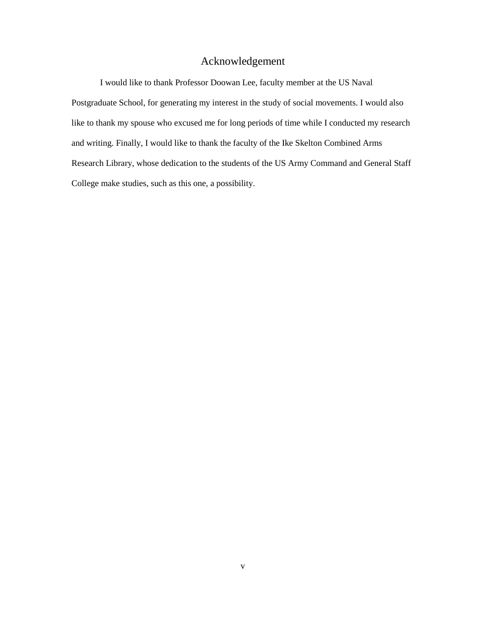#### Acknowledgement

<span id="page-5-0"></span>I would like to thank Professor Doowan Lee, faculty member at the US Naval Postgraduate School, for generating my interest in the study of social movements. I would also like to thank my spouse who excused me for long periods of time while I conducted my research and writing. Finally, I would like to thank the faculty of the Ike Skelton Combined Arms Research Library, whose dedication to the students of the US Army Command and General Staff College make studies, such as this one, a possibility.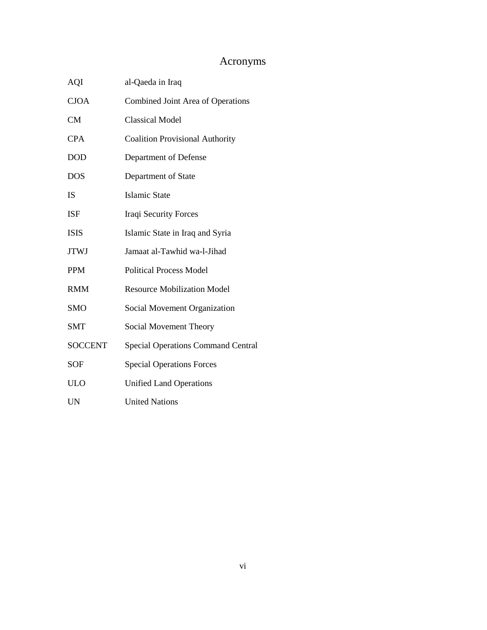### Acronyms

<span id="page-6-0"></span>

| AQI            | al-Qaeda in Iraq                          |  |
|----------------|-------------------------------------------|--|
| <b>CJOA</b>    | Combined Joint Area of Operations         |  |
| <b>CM</b>      | <b>Classical Model</b>                    |  |
| <b>CPA</b>     | <b>Coalition Provisional Authority</b>    |  |
| <b>DOD</b>     | Department of Defense                     |  |
| <b>DOS</b>     | Department of State                       |  |
| IS             | <b>Islamic State</b>                      |  |
| <b>ISF</b>     | Iraqi Security Forces                     |  |
| <b>ISIS</b>    | Islamic State in Iraq and Syria           |  |
| <b>JTWJ</b>    | Jamaat al-Tawhid wa-l-Jihad               |  |
| <b>PPM</b>     | <b>Political Process Model</b>            |  |
| <b>RMM</b>     | <b>Resource Mobilization Model</b>        |  |
| <b>SMO</b>     | Social Movement Organization              |  |
| SMT            | Social Movement Theory                    |  |
| <b>SOCCENT</b> | <b>Special Operations Command Central</b> |  |
| <b>SOF</b>     | <b>Special Operations Forces</b>          |  |
| <b>ULO</b>     | <b>Unified Land Operations</b>            |  |
| UN             | <b>United Nations</b>                     |  |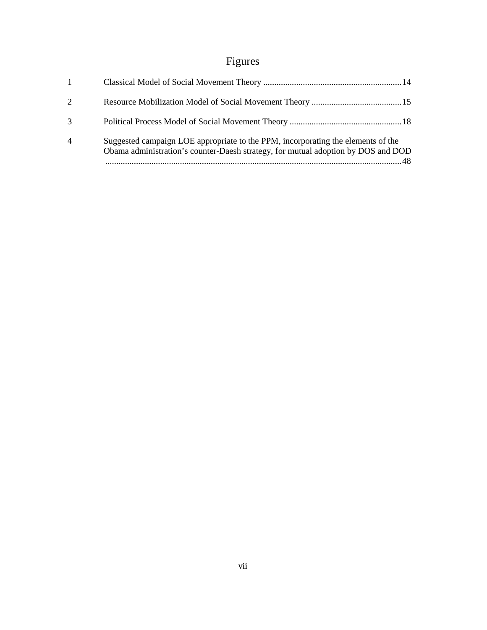# Figures

<span id="page-7-0"></span>

| Suggested campaign LOE appropriate to the PPM, incorporating the elements of the<br>Obama administration's counter-Daesh strategy, for mutual adoption by DOS and DOD |
|-----------------------------------------------------------------------------------------------------------------------------------------------------------------------|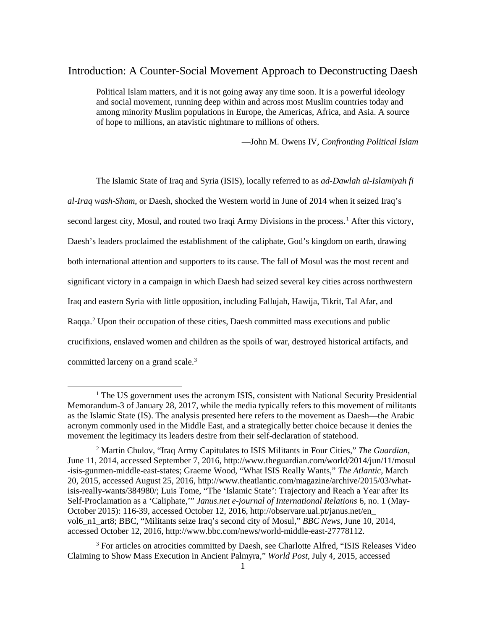#### <span id="page-8-0"></span>Introduction: A Counter-Social Movement Approach to Deconstructing Daesh

Political Islam matters, and it is not going away any time soon. It is a powerful ideology and social movement, running deep within and across most Muslim countries today and among minority Muslim populations in Europe, the Americas, Africa, and Asia. A source of hope to millions, an atavistic nightmare to millions of others.

—John M. Owens IV, *Confronting Political Islam*

The Islamic State of Iraq and Syria (ISIS), locally referred to as *ad-Dawlah al-Islamiyah fi al-Iraq wash-Sham*, or Daesh, shocked the Western world in June of 2014 when it seized Iraq's second largest city, Mosul, and routed two Iraqi Army Divisions in the process.<sup>[1](#page-8-1)</sup> After this victory, Daesh's leaders proclaimed the establishment of the caliphate, God's kingdom on earth, drawing both international attention and supporters to its cause. The fall of Mosul was the most recent and significant victory in a campaign in which Daesh had seized several key cities across northwestern Iraq and eastern Syria with little opposition, including Fallujah, Hawija, Tikrit, Tal Afar, and Raqqa.<sup>[2](#page-8-2)</sup> Upon their occupation of these cities, Daesh committed mass executions and public crucifixions, enslaved women and children as the spoils of war, destroyed historical artifacts, and committed larceny on a grand scale.<sup>[3](#page-8-3)</sup>

<span id="page-8-1"></span><sup>&</sup>lt;sup>1</sup> The US government uses the acronym ISIS, consistent with National Security Presidential Memorandum-3 of January 28, 2017, while the media typically refers to this movement of militants as the Islamic State (IS). The analysis presented here refers to the movement as Daesh—the Arabic acronym commonly used in the Middle East, and a strategically better choice because it denies the movement the legitimacy its leaders desire from their self-declaration of statehood.

<span id="page-8-2"></span><sup>2</sup> Martin Chulov, "Iraq Army Capitulates to ISIS Militants in Four Cities," *The Guardian*, June 11, 2014, accessed September 7, 2016, http://www.theguardian.com/world/2014/jun/11/mosul -isis-gunmen-middle-east-states; Graeme Wood, "What ISIS Really Wants," *The Atlantic*, March 20, 2015, accessed August 25, 2016, http://www.theatlantic.com/magazine/archive/2015/03/whatisis-really-wants/384980/; Luis Tome, "The 'Islamic State': Trajectory and Reach a Year after Its Self-Proclamation as a 'Caliphate,'" *Janus.net e-journal of International Relations* 6, no. 1 (May-October 2015): 116-39, accessed October 12, 2016, http://observare.ual.pt/janus.net/en\_ vol6\_n1\_art8; BBC, "Militants seize Iraq's second city of Mosul," *BBC News,* June 10, 2014, accessed October 12, 2016, [http://www.bbc.com/news/world-middle-east-27778112.](http://www.bbc.com/news/world-middle-east-27778112)

<span id="page-8-3"></span><sup>3</sup> For articles on atrocities committed by Daesh, see Charlotte Alfred, "ISIS Releases Video Claiming to Show Mass Execution in Ancient Palmyra," *World Post,* July 4, 2015, accessed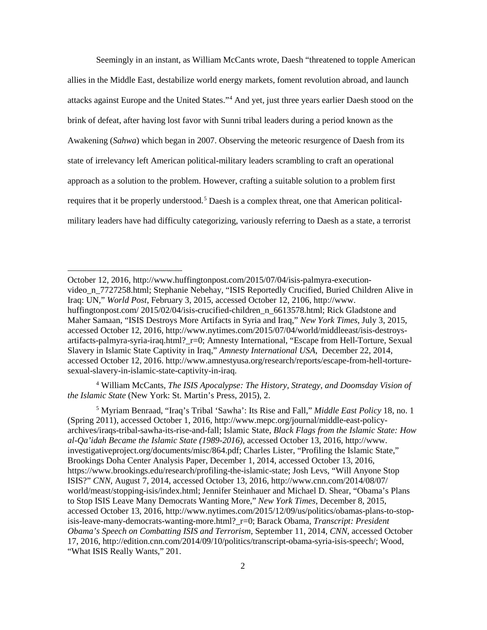Seemingly in an instant, as William McCants wrote, Daesh "threatened to topple American allies in the Middle East, destabilize world energy markets, foment revolution abroad, and launch attacks against Europe and the United States."[4](#page-9-0) And yet, just three years earlier Daesh stood on the brink of defeat, after having lost favor with Sunni tribal leaders during a period known as the Awakening (*Sahwa*) which began in 2007. Observing the meteoric resurgence of Daesh from its state of irrelevancy left American political-military leaders scrambling to craft an operational approach as a solution to the problem. However, crafting a suitable solution to a problem first requires that it be properly understood.<sup>[5](#page-9-1)</sup> Daesh is a complex threat, one that American politicalmilitary leaders have had difficulty categorizing, variously referring to Daesh as a state, a terrorist

**.** 

<span id="page-9-0"></span><sup>4</sup> William McCants, *The ISIS Apocalypse: The History, Strategy, and Doomsday Vision of the Islamic State* (New York: St. Martin's Press, 2015), 2.

<span id="page-9-1"></span><sup>5</sup> Myriam Benraad, "Iraq's Tribal 'Sawha': Its Rise and Fall," *Middle East Policy* 18, no. 1 (Spring 2011), accessed October 1, 2016, http://www.mepc.org/journal/middle-east-policyarchives/iraqs-tribal-sawha-its-rise-and-fall; Islamic State, *Black Flags from the Islamic State: How al-Qa'idah Became the Islamic State (1989-2016)*, accessed October 13, 2016, http://www. investigativeproject.org/documents/misc/864.pdf; Charles Lister, "Profiling the Islamic State," Brookings Doha Center Analysis Paper, December 1, 2014, accessed October 13, 2016, https://www.brookings.edu/research/profiling-the-islamic-state; Josh Levs, "Will Anyone Stop ISIS?" *CNN*, August 7, 2014, accessed October 13, 2016, http://www.cnn.com/2014/08/07/ world/meast/stopping-isis/index.html; Jennifer Steinhauer and Michael D. Shear, "Obama's Plans to Stop ISIS Leave Many Democrats Wanting More," *New York Times*, December 8, 2015, accessed October 13, 2016, http://www.nytimes.com/2015/12/09/us/politics/obamas-plans-to-stopisis-leave-many-democrats-wanting-more.html?\_r=0; Barack Obama, *Transcript: President Obama's Speech on Combatting ISIS and Terrorism*, September 11, 2014, *CNN*, accessed October 17, 2016, http://edition.cnn.com/2014/09/10/politics/transcript-obama-syria-isis-speech/; Wood, "What ISIS Really Wants," 201.

October 12, 2016, http://www.huffingtonpost.com/2015/07/04/isis-palmyra-executionvideo\_n\_7727258.html; Stephanie Nebehay, "ISIS Reportedly Crucified, Buried Children Alive in Iraq: UN," *World Post*, February 3, 2015, accessed October 12, 2106, http://www. huffingtonpost.com/ 2015/02/04/isis-crucified-children\_n\_6613578.html; Rick Gladstone and Maher Samaan, "ISIS Destroys More Artifacts in Syria and Iraq," *New York Times*, July 3, 2015, accessed October 12, 2016, [http://www.nytimes.com/2015/07/04/world/middleeast/isis-destroys](http://www.nytimes.com/2015/07/04/world/middleeast/isis-destroys-artifacts-palmyra-syria-iraq.html?_r=0)[artifacts-palmyra-syria-iraq.html?\\_r=0;](http://www.nytimes.com/2015/07/04/world/middleeast/isis-destroys-artifacts-palmyra-syria-iraq.html?_r=0) Amnesty International, "Escape from Hell-Torture, Sexual Slavery in Islamic State Captivity in Iraq," *Amnesty International USA*, December 22, 2014, accessed October 12, 2016. http://www.amnestyusa.org/research/reports/escape-from-hell-torturesexual-slavery-in-islamic-state-captivity-in-iraq.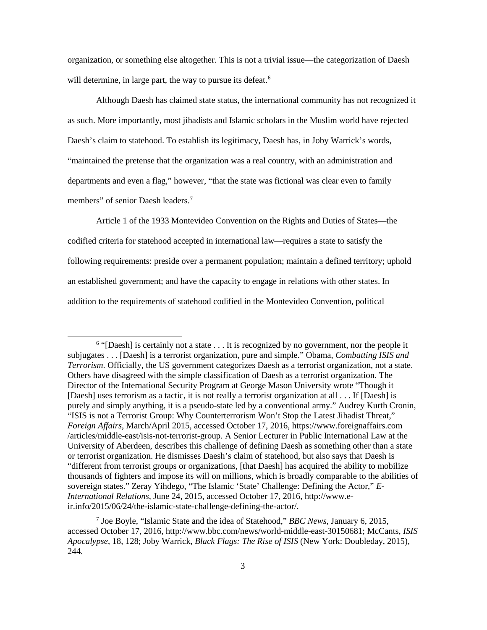organization, or something else altogether. This is not a trivial issue—the categorization of Daesh will determine, in large part, the way to pursue its defeat.<sup>[6](#page-10-0)</sup>

Although Daesh has claimed state status, the international community has not recognized it as such. More importantly, most jihadists and Islamic scholars in the Muslim world have rejected Daesh's claim to statehood. To establish its legitimacy, Daesh has, in Joby Warrick's words, "maintained the pretense that the organization was a real country, with an administration and departments and even a flag," however, "that the state was fictional was clear even to family members" of senior Daesh leaders. [7](#page-10-1)

Article 1 of the 1933 Montevideo Convention on the Rights and Duties of States—the codified criteria for statehood accepted in international law—requires a state to satisfy the following requirements: preside over a permanent population; maintain a defined territory; uphold an established government; and have the capacity to engage in relations with other states. In addition to the requirements of statehood codified in the Montevideo Convention, political

<span id="page-10-0"></span><sup>&</sup>lt;sup>6</sup> "[Daesh] is certainly not a state . . . It is recognized by no government, nor the people it subjugates . . . [Daesh] is a terrorist organization, pure and simple." Obama, *Combatting ISIS and Terrorism*. Officially, the US government categorizes Daesh as a terrorist organization, not a state. Others have disagreed with the simple classification of Daesh as a terrorist organization. The Director of the International Security Program at George Mason University wrote "Though it [Daesh] uses terrorism as a tactic, it is not really a terrorist organization at all . . . If [Daesh] is purely and simply anything, it is a pseudo-state led by a conventional army." Audrey Kurth Cronin, "ISIS is not a Terrorist Group: Why Counterterrorism Won't Stop the Latest Jihadist Threat," *Foreign Affairs*, March/April 2015, accessed October 17, 2016, https://www.foreignaffairs.com /articles/middle-east/isis-not-terrorist-group. A Senior Lecturer in Public International Law at the University of Aberdeen, describes this challenge of defining Daesh as something other than a state or terrorist organization. He dismisses Daesh's claim of statehood, but also says that Daesh is "different from terrorist groups or organizations, [that Daesh] has acquired the ability to mobilize thousands of fighters and impose its will on millions, which is broadly comparable to the abilities of sovereign states." Zeray Yihdego, "The Islamic 'State' Challenge: Defining the Actor," *E-International Relations*, June 24, 2015, accessed October 17, 2016, http://www.eir.info/2015/06/24/the-islamic-state-challenge-defining-the-actor/.

<span id="page-10-1"></span><sup>7</sup> Joe Boyle, "Islamic State and the idea of Statehood," *BBC News*, January 6, 2015, accessed October 17, 2016, http://www.bbc.com/news/world-middle-east-30150681; McCants, *ISIS Apocalypse*, 18, 128; Joby Warrick, *Black Flags: The Rise of ISIS* (New York: Doubleday, 2015), 244.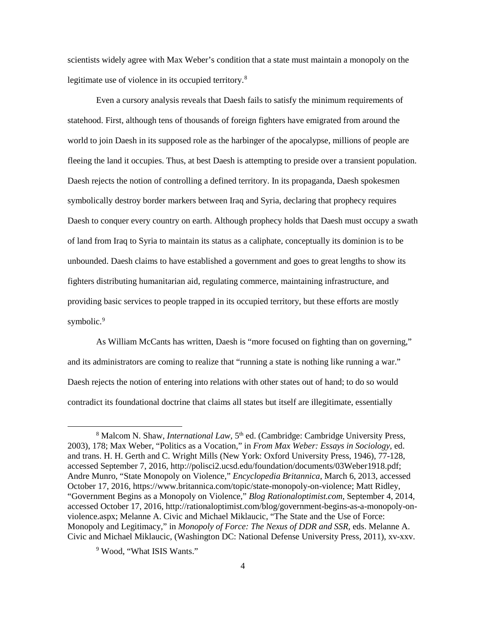scientists widely agree with Max Weber's condition that a state must maintain a monopoly on the legitimate use of violence in its occupied territory.<sup>[8](#page-11-0)</sup>

Even a cursory analysis reveals that Daesh fails to satisfy the minimum requirements of statehood. First, although tens of thousands of foreign fighters have emigrated from around the world to join Daesh in its supposed role as the harbinger of the apocalypse, millions of people are fleeing the land it occupies. Thus, at best Daesh is attempting to preside over a transient population. Daesh rejects the notion of controlling a defined territory. In its propaganda, Daesh spokesmen symbolically destroy border markers between Iraq and Syria, declaring that prophecy requires Daesh to conquer every country on earth. Although prophecy holds that Daesh must occupy a swath of land from Iraq to Syria to maintain its status as a caliphate, conceptually its dominion is to be unbounded. Daesh claims to have established a government and goes to great lengths to show its fighters distributing humanitarian aid, regulating commerce, maintaining infrastructure, and providing basic services to people trapped in its occupied territory, but these efforts are mostly symbolic.<sup>[9](#page-11-1)</sup>

As William McCants has written, Daesh is "more focused on fighting than on governing," and its administrators are coming to realize that "running a state is nothing like running a war." Daesh rejects the notion of entering into relations with other states out of hand; to do so would contradict its foundational doctrine that claims all states but itself are illegitimate, essentially

<span id="page-11-0"></span><sup>&</sup>lt;sup>8</sup> Malcom N. Shaw, *International Law*, 5<sup>th</sup> ed. (Cambridge: Cambridge University Press, 2003), 178; Max Weber, "Politics as a Vocation," in *From Max Weber: Essays in Sociology,* ed. and trans. H. H. Gerth and C. Wright Mills (New York: Oxford University Press, 1946), 77-128, accessed September 7, 2016, http://polisci2.ucsd.edu/foundation/documents/03Weber1918.pdf; Andre Munro, "State Monopoly on Violence," *Encyclopedia Britannica*, March 6, 2013, accessed October 17, 2016, https://www.britannica.com/topic/state-monopoly-on-violence; Matt Ridley, "Government Begins as a Monopoly on Violence," *Blog Rationaloptimist.com*, September 4, 2014, accessed October 17, 2016, http://rationaloptimist.com/blog/government-begins-as-a-monopoly-onviolence.aspx; Melanne A. Civic and Michael Miklaucic, "The State and the Use of Force: Monopoly and Legitimacy," in *Monopoly of Force: The Nexus of DDR and SSR,* eds. Melanne A. Civic and Michael Miklaucic, (Washington DC: National Defense University Press, 2011), xv-xxv.

<span id="page-11-1"></span><sup>9</sup> Wood, "What ISIS Wants."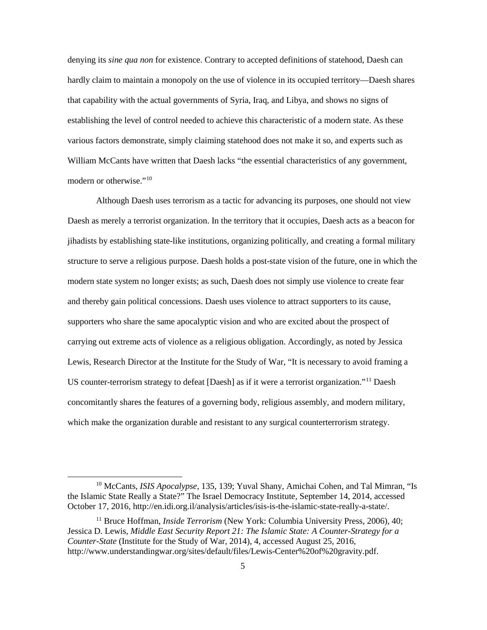denying its *sine qua non* for existence. Contrary to accepted definitions of statehood, Daesh can hardly claim to maintain a monopoly on the use of violence in its occupied territory—Daesh shares that capability with the actual governments of Syria, Iraq, and Libya, and shows no signs of establishing the level of control needed to achieve this characteristic of a modern state. As these various factors demonstrate, simply claiming statehood does not make it so, and experts such as William McCants have written that Daesh lacks "the essential characteristics of any government, modern or otherwise."[10](#page-12-0)

Although Daesh uses terrorism as a tactic for advancing its purposes, one should not view Daesh as merely a terrorist organization. In the territory that it occupies, Daesh acts as a beacon for jihadists by establishing state-like institutions, organizing politically, and creating a formal military structure to serve a religious purpose. Daesh holds a post-state vision of the future, one in which the modern state system no longer exists; as such, Daesh does not simply use violence to create fear and thereby gain political concessions. Daesh uses violence to attract supporters to its cause, supporters who share the same apocalyptic vision and who are excited about the prospect of carrying out extreme acts of violence as a religious obligation. Accordingly, as noted by Jessica Lewis, Research Director at the Institute for the Study of War, "It is necessary to avoid framing a US counter-terrorism strategy to defeat [Daesh] as if it were a terrorist organization."[11](#page-12-1) Daesh concomitantly shares the features of a governing body, religious assembly, and modern military, which make the organization durable and resistant to any surgical counterterrorism strategy.

<span id="page-12-0"></span> <sup>10</sup> McCants, *ISIS Apocalypse*, 135, 139; Yuval Shany, Amichai Cohen, and Tal Mimran, "Is the Islamic State Really a State?" The Israel Democracy Institute, September 14, 2014, accessed October 17, 2016, http://en.idi.org.il/analysis/articles/isis-is-the-islamic-state-really-a-state/.

<span id="page-12-1"></span><sup>&</sup>lt;sup>11</sup> Bruce Hoffman, *Inside Terrorism* (New York: Columbia University Press, 2006), 40; Jessica D. Lewis*, Middle East Security Report 21: The Islamic State: A Counter-Strategy for a Counter-State* (Institute for the Study of War, 2014), 4, accessed August 25, 2016, http://www.understandingwar.org/sites/default/files/Lewis-Center%20of%20gravity.pdf.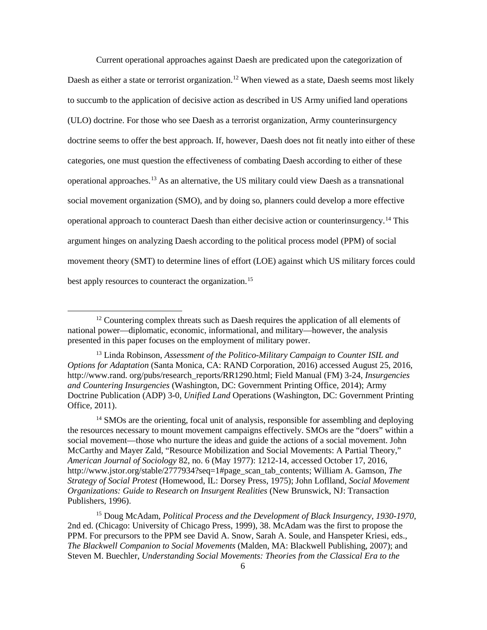Current operational approaches against Daesh are predicated upon the categorization of Daesh as either a state or terrorist organization.<sup>[12](#page-13-0)</sup> When viewed as a state, Daesh seems most likely to succumb to the application of decisive action as described in US Army unified land operations (ULO) doctrine. For those who see Daesh as a terrorist organization, Army counterinsurgency doctrine seems to offer the best approach. If, however, Daesh does not fit neatly into either of these categories, one must question the effectiveness of combating Daesh according to either of these operational approaches.[13](#page-13-1) As an alternative, the US military could view Daesh as a transnational social movement organization (SMO), and by doing so, planners could develop a more effective operational approach to counteract Daesh than either decisive action or counterinsurgency.[14](#page-13-2) This argument hinges on analyzing Daesh according to the political process model (PPM) of social movement theory (SMT) to determine lines of effort (LOE) against which US military forces could best apply resources to counteract the organization.<sup>[15](#page-13-3)</sup>

<span id="page-13-2"></span><sup>14</sup> SMOs are the orienting, focal unit of analysis, responsible for assembling and deploying the resources necessary to mount movement campaigns effectively. SMOs are the "doers" within a social movement—those who nurture the ideas and guide the actions of a social movement. John McCarthy and Mayer Zald, "Resource Mobilization and Social Movements: A Partial Theory," *American Journal of Sociology* 82, no. 6 (May 1977): 1212-14, accessed October 17, 2016, http://www.jstor.org/stable/2777934?seq=1#page\_scan\_tab\_contents; William A. Gamson, *The Strategy of Social Protest* (Homewood, IL: Dorsey Press, 1975); John Loflland, *Social Movement Organizations: Guide to Research on Insurgent Realities* (New Brunswick, NJ: Transaction Publishers, 1996).

<span id="page-13-3"></span><sup>15</sup> Doug McAdam, *Political Process and the Development of Black Insurgency, 1930-1970*, 2nd ed. (Chicago: University of Chicago Press, 1999), 38. McAdam was the first to propose the PPM. For precursors to the PPM see David A. Snow, Sarah A. Soule, and Hanspeter Kriesi, eds., *The Blackwell Companion to Social Movements* (Malden, MA: Blackwell Publishing, 2007); and Steven M. Buechler, *Understanding Social Movements: Theories from the Classical Era to the* 

<span id="page-13-0"></span><sup>&</sup>lt;sup>12</sup> Countering complex threats such as Daesh requires the application of all elements of national power—diplomatic, economic, informational, and military—however, the analysis presented in this paper focuses on the employment of military power.

<span id="page-13-1"></span><sup>13</sup> Linda Robinson, *Assessment of the Politico-Military Campaign to Counter ISIL and Options for Adaptation* (Santa Monica, CA: RAND Corporation, 2016) accessed August 25, 2016, http://www.rand. org/pubs/research\_reports/RR1290.html; Field Manual (FM) 3-24, *Insurgencies and Countering Insurgencies* (Washington, DC: Government Printing Office, 2014); Army Doctrine Publication (ADP) 3-0, *Unified Land* Operations (Washington, DC: Government Printing Office, 2011).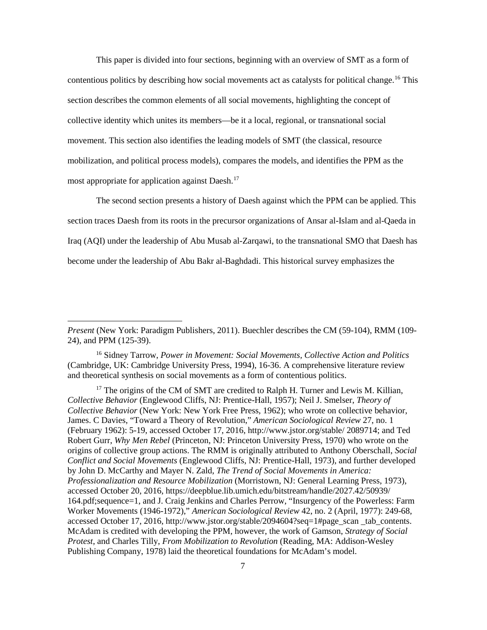This paper is divided into four sections, beginning with an overview of SMT as a form of contentious politics by describing how social movements act as catalysts for political change.[16](#page-14-0) This section describes the common elements of all social movements, highlighting the concept of collective identity which unites its members—be it a local, regional, or transnational social movement. This section also identifies the leading models of SMT (the classical, resource mobilization, and political process models), compares the models, and identifies the PPM as the most appropriate for application against Daesh.<sup>[17](#page-14-1)</sup>

The second section presents a history of Daesh against which the PPM can be applied. This section traces Daesh from its roots in the precursor organizations of Ansar al-Islam and al-Qaeda in Iraq (AQI) under the leadership of Abu Musab al-Zarqawi, to the transnational SMO that Daesh has become under the leadership of Abu Bakr al-Baghdadi. This historical survey emphasizes the

 $\overline{a}$ 

*Present* (New York: Paradigm Publishers, 2011). Buechler describes the CM (59-104), RMM (109- 24), and PPM (125-39).

<span id="page-14-0"></span><sup>16</sup> Sidney Tarrow, *Power in Movement: Social Movements, Collective Action and Politics*  (Cambridge, UK: Cambridge University Press, 1994), 16-36. A comprehensive literature review and theoretical synthesis on social movements as a form of contentious politics.

<span id="page-14-1"></span><sup>&</sup>lt;sup>17</sup> The origins of the CM of SMT are credited to Ralph H. Turner and Lewis M. Killian, *Collective Behavior* (Englewood Cliffs, NJ: Prentice-Hall, 1957); Neil J. Smelser, *Theory of Collective Behavior* (New York: New York Free Press, 1962); who wrote on collective behavior, James. C Davies, "Toward a Theory of Revolution," *American Sociological Review* 27, no. 1 (February 1962): 5-19, accessed October 17, 2016, http://www.jstor.org/stable/ 2089714; and Ted Robert Gurr, *Why Men Rebel* (Princeton, NJ: Princeton University Press, 1970) who wrote on the origins of collective group actions. The RMM is originally attributed to Anthony Oberschall, *Social Conflict and Social Movements* (Englewood Cliffs, NJ: Prentice-Hall, 1973), and further developed by John D. McCarthy and Mayer N. Zald, *The Trend of Social Movements in America: Professionalization and Resource Mobilization* (Morristown, NJ: General Learning Press, 1973), accessed October 20, 2016, https://deepblue.lib.umich.edu/bitstream/handle/2027.42/50939/ 164.pdf;sequence=1, and J. Craig Jenkins and Charles Perrow, "Insurgency of the Powerless: Farm Worker Movements (1946-1972)," *American Sociological Review* 42, no. 2 (April, 1977): 249-68, accessed October 17, 2016, http://www.jstor.org/stable/2094604?seq=1#page\_scan \_tab\_contents. McAdam is credited with developing the PPM, however, the work of Gamson, *Strategy of Social Protest*, and Charles Tilly, *From Mobilization to Revolution* (Reading, MA: Addison-Wesley Publishing Company, 1978) laid the theoretical foundations for McAdam's model.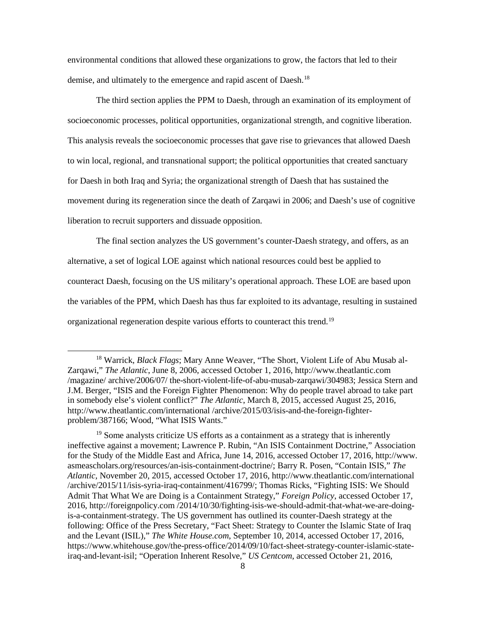environmental conditions that allowed these organizations to grow, the factors that led to their demise, and ultimately to the emergence and rapid ascent of Daesh.<sup>[18](#page-15-0)</sup>

The third section applies the PPM to Daesh, through an examination of its employment of socioeconomic processes, political opportunities, organizational strength, and cognitive liberation. This analysis reveals the socioeconomic processes that gave rise to grievances that allowed Daesh to win local, regional, and transnational support; the political opportunities that created sanctuary for Daesh in both Iraq and Syria; the organizational strength of Daesh that has sustained the movement during its regeneration since the death of Zarqawi in 2006; and Daesh's use of cognitive liberation to recruit supporters and dissuade opposition.

The final section analyzes the US government's counter-Daesh strategy, and offers, as an alternative, a set of logical LOE against which national resources could best be applied to counteract Daesh, focusing on the US military's operational approach. These LOE are based upon the variables of the PPM, which Daesh has thus far exploited to its advantage, resulting in sustained organizational regeneration despite various efforts to counteract this trend.<sup>[19](#page-15-1)</sup>

<span id="page-15-0"></span> <sup>18</sup> Warrick, *Black Flags*; Mary Anne Weaver, "The Short, Violent Life of Abu Musab al-Zarqawi," *The Atlantic*, June 8, 2006, accessed October 1, 2016, http://www.theatlantic.com /magazine/ archive/2006/07/ the-short-violent-life-of-abu-musab-zarqawi/304983; Jessica Stern and J.M. Berger, "ISIS and the Foreign Fighter Phenomenon: Why do people travel abroad to take part in somebody else's violent conflict?" *The Atlantic*, March 8, 2015, accessed August 25, 2016, http://www.theatlantic.com/international /archive/2015/03/isis-and-the-foreign-fighterproblem/387166; Wood, "What ISIS Wants."

<span id="page-15-1"></span><sup>&</sup>lt;sup>19</sup> Some analysts criticize US efforts as a containment as a strategy that is inherently ineffective against a movement; Lawrence P. Rubin, "An ISIS Containment Doctrine," Association for the Study of the Middle East and Africa, June 14, 2016, accessed October 17, 2016, http://www. asmeascholars.org/resources/an-isis-containment-doctrine/; Barry R. Posen, "Contain ISIS," *The Atlantic,* November 20, 2015, accessed October 17, 2016, http://www.theatlantic.com/international /archive/2015/11/isis-syria-iraq-containment/416799/; Thomas Ricks, "Fighting ISIS: We Should Admit That What We are Doing is a Containment Strategy," *Foreign Policy*, accessed October 17, 2016, http://foreignpolicy.com /2014/10/30/fighting-isis-we-should-admit-that-what-we-are-doingis-a-containment-strategy. The US government has outlined its counter-Daesh strategy at the following: Office of the Press Secretary, "Fact Sheet: Strategy to Counter the Islamic State of Iraq and the Levant (ISIL)," *The White House.com*, September 10, 2014, accessed October 17, 2016, https://www.whitehouse.gov/the-press-office/2014/09/10/fact-sheet-strategy-counter-islamic-stateiraq-and-levant-isil; "Operation Inherent Resolve," *US Centcom*, accessed October 21, 2016,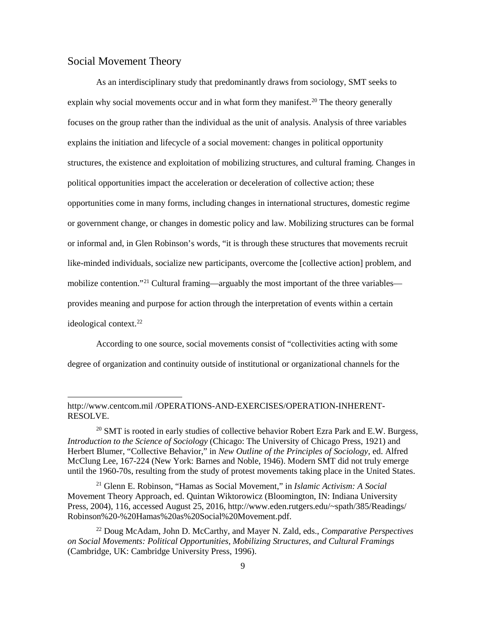#### <span id="page-16-0"></span>Social Movement Theory

**.** 

As an interdisciplinary study that predominantly draws from sociology, SMT seeks to explain why social movements occur and in what form they manifest.<sup>[20](#page-16-1)</sup> The theory generally focuses on the group rather than the individual as the unit of analysis. Analysis of three variables explains the initiation and lifecycle of a social movement: changes in political opportunity structures, the existence and exploitation of mobilizing structures, and cultural framing. Changes in political opportunities impact the acceleration or deceleration of collective action; these opportunities come in many forms, including changes in international structures, domestic regime or government change, or changes in domestic policy and law. Mobilizing structures can be formal or informal and, in Glen Robinson's words, "it is through these structures that movements recruit like-minded individuals, socialize new participants, overcome the [collective action] problem, and mobilize contention."<sup>[21](#page-16-2)</sup> Cultural framing—arguably the most important of the three variables provides meaning and purpose for action through the interpretation of events within a certain ideological context.<sup>[22](#page-16-3)</sup>

According to one source, social movements consist of "collectivities acting with some degree of organization and continuity outside of institutional or organizational channels for the

http://www.centcom.mil /OPERATIONS-AND-EXERCISES/OPERATION-INHERENT-RESOLVE.

<span id="page-16-1"></span> $20$  SMT is rooted in early studies of collective behavior Robert Ezra Park and E.W. Burgess, *Introduction to the Science of Sociology* (Chicago: The University of Chicago Press, 1921) and Herbert Blumer, "Collective Behavior," in *New Outline of the Principles of Sociology*, ed. Alfred McClung Lee, 167-224 (New York: Barnes and Noble, 1946). Modern SMT did not truly emerge until the 1960-70s, resulting from the study of protest movements taking place in the United States.

<span id="page-16-2"></span><sup>21</sup> Glenn E. Robinson, "Hamas as Social Movement," in *Islamic Activism: A Social*  Movement Theory Approach, ed. Quintan Wiktorowicz (Bloomington, IN: Indiana University Press, 2004), 116, accessed August 25, 2016, http://www.eden.rutgers.edu/~spath/385/Readings/ Robinson%20-%20Hamas%20as%20Social%20Movement.pdf.

<span id="page-16-3"></span><sup>22</sup> Doug McAdam, John D. McCarthy, and Mayer N. Zald, eds., *Comparative Perspectives on Social Movements: Political Opportunities, Mobilizing Structures, and Cultural Framings* (Cambridge, UK: Cambridge University Press, 1996).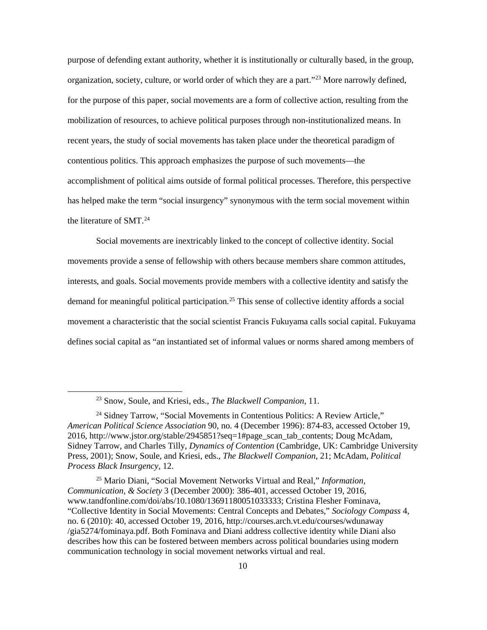purpose of defending extant authority, whether it is institutionally or culturally based, in the group, organization, society, culture, or world order of which they are a part."[23](#page-17-0) More narrowly defined, for the purpose of this paper, social movements are a form of collective action, resulting from the mobilization of resources, to achieve political purposes through non-institutionalized means. In recent years, the study of social movements has taken place under the theoretical paradigm of contentious politics. This approach emphasizes the purpose of such movements—the accomplishment of political aims outside of formal political processes. Therefore, this perspective has helped make the term "social insurgency" synonymous with the term social movement within the literature of SMT.[24](#page-17-1)

Social movements are inextricably linked to the concept of collective identity. Social movements provide a sense of fellowship with others because members share common attitudes, interests, and goals. Social movements provide members with a collective identity and satisfy the demand for meaningful political participation.[25](#page-17-2) This sense of collective identity affords a social movement a characteristic that the social scientist Francis Fukuyama calls social capital. Fukuyama defines social capital as "an instantiated set of informal values or norms shared among members of

 <sup>23</sup> Snow, Soule, and Kriesi, eds., *The Blackwell Companion,* 11.

<span id="page-17-1"></span><span id="page-17-0"></span><sup>&</sup>lt;sup>24</sup> Sidney Tarrow, "Social Movements in Contentious Politics: A Review Article," *American Political Science Association* 90, no. 4 (December 1996): 874-83, accessed October 19, 2016, http://www.jstor.org/stable/2945851?seq=1#page\_scan\_tab\_contents; Doug McAdam, Sidney Tarrow, and Charles Tilly, *Dynamics of Contention* (Cambridge, UK: Cambridge University Press, 2001); Snow, Soule, and Kriesi, eds., *The Blackwell Companion*, 21; McAdam, *Political Process Black Insurgency*, 12.

<span id="page-17-2"></span><sup>25</sup> Mario Diani, "Social Movement Networks Virtual and Real," *Information, Communication, & Society* 3 (December 2000): 386-401, accessed October 19, 2016, www.tandfonline.com/doi/abs/10.1080/13691180051033333; Cristina Flesher Fominava, "Collective Identity in Social Movements: Central Concepts and Debates," *Sociology Compass* 4, no. 6 (2010): 40, accessed October 19, 2016, http://courses.arch.vt.edu/courses/wdunaway /gia5274/fominaya.pdf. Both Fominava and Diani address collective identity while Diani also describes how this can be fostered between members across political boundaries using modern communication technology in social movement networks virtual and real.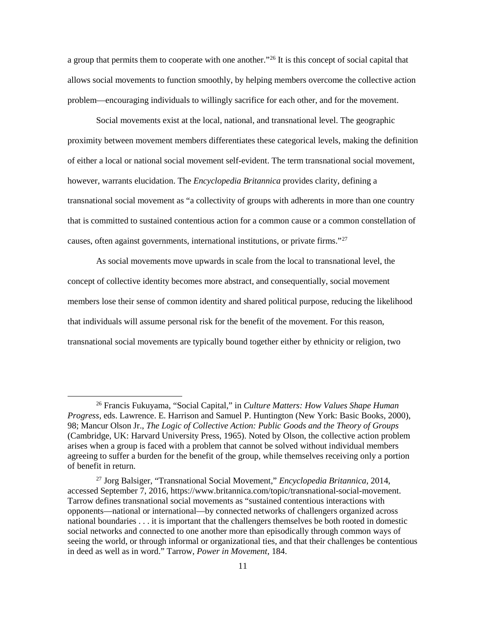a group that permits them to cooperate with one another."[26](#page-18-0) It is this concept of social capital that allows social movements to function smoothly, by helping members overcome the collective action problem—encouraging individuals to willingly sacrifice for each other, and for the movement.

Social movements exist at the local, national, and transnational level. The geographic proximity between movement members differentiates these categorical levels, making the definition of either a local or national social movement self-evident. The term transnational social movement, however, warrants elucidation. The *Encyclopedia Britannica* provides clarity, defining a transnational social movement as "a collectivity of groups with adherents in more than one country that is committed to sustained contentious action for a common cause or a common constellation of causes, often against governments, international institutions, or private firms."[27](#page-18-1)

As social movements move upwards in scale from the local to transnational level, the concept of collective identity becomes more abstract, and consequentially, social movement members lose their sense of common identity and shared political purpose, reducing the likelihood that individuals will assume personal risk for the benefit of the movement. For this reason, transnational social movements are typically bound together either by ethnicity or religion, two

<span id="page-18-0"></span> <sup>26</sup> Francis Fukuyama, "Social Capital," in *Culture Matters: How Values Shape Human Progress*, eds. Lawrence. E. Harrison and Samuel P. Huntington (New York: Basic Books, 2000), 98; Mancur Olson Jr., *The Logic of Collective Action: Public Goods and the Theory of Groups* (Cambridge, UK: Harvard University Press, 1965). Noted by Olson, the collective action problem arises when a group is faced with a problem that cannot be solved without individual members agreeing to suffer a burden for the benefit of the group, while themselves receiving only a portion of benefit in return.

<span id="page-18-1"></span><sup>27</sup> Jorg Balsiger, "Transnational Social Movement," *Encyclopedia Britannica*, 2014, accessed September 7, 2016, https://www.britannica.com/topic/transnational-social-movement. Tarrow defines transnational social movements as "sustained contentious interactions with opponents—national or international—by connected networks of challengers organized across national boundaries . . . it is important that the challengers themselves be both rooted in domestic social networks and connected to one another more than episodically through common ways of seeing the world, or through informal or organizational ties, and that their challenges be contentious in deed as well as in word." Tarrow, *Power in Movement*, 184.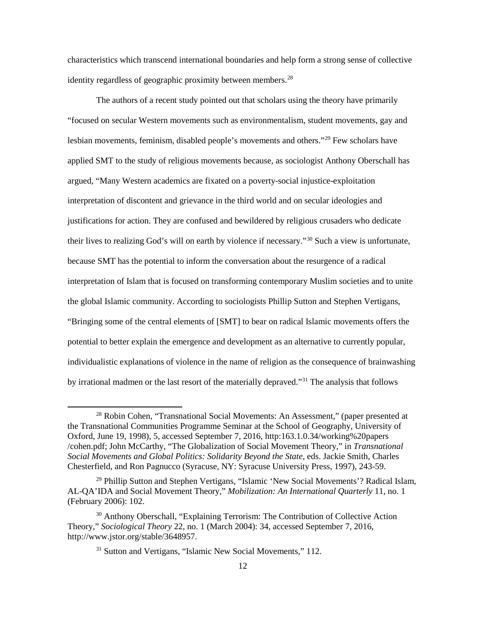characteristics which transcend international boundaries and help form a strong sense of collective identity regardless of geographic proximity between members.<sup>[28](#page-19-0)</sup>

The authors of a recent study pointed out that scholars using the theory have primarily "focused on secular Western movements such as environmentalism, student movements, gay and lesbian movements, feminism, disabled people's movements and others."[29](#page-19-1) Few scholars have applied SMT to the study of religious movements because, as sociologist Anthony Oberschall has argued, "Many Western academics are fixated on a poverty-social injustice-exploitation interpretation of discontent and grievance in the third world and on secular ideologies and justifications for action. They are confused and bewildered by religious crusaders who dedicate their lives to realizing God's will on earth by violence if necessary."[30](#page-19-2) Such a view is unfortunate, because SMT has the potential to inform the conversation about the resurgence of a radical interpretation of Islam that is focused on transforming contemporary Muslim societies and to unite the global Islamic community. According to sociologists Phillip Sutton and Stephen Vertigans, "Bringing some of the central elements of [SMT] to bear on radical Islamic movements offers the potential to better explain the emergence and development as an alternative to currently popular, individualistic explanations of violence in the name of religion as the consequence of brainwashing by irrational madmen or the last resort of the materially depraved."[31](#page-19-3) The analysis that follows

<span id="page-19-0"></span><sup>&</sup>lt;sup>28</sup> Robin Cohen, "Transnational Social Movements: An Assessment," (paper presented at the Transnational Communities Programme Seminar at the School of Geography, University of Oxford, June 19, 1998), 5, accessed September 7, 2016, http:163.1.0.34/working%20papers /cohen.pdf; John McCarthy, "The Globalization of Social Movement Theory," in *Transnational Social Movements and Global Politics: Solidarity Beyond the State*, eds. Jackie Smith, Charles Chesterfield, and Ron Pagnucco (Syracuse, NY: Syracuse University Press, 1997), 243-59.

<span id="page-19-1"></span><sup>&</sup>lt;sup>29</sup> Phillip Sutton and Stephen Vertigans, "Islamic 'New Social Movements'? Radical Islam, AL-QA'IDA and Social Movement Theory," *Mobilization: An International Quarterly* 11, no. 1 (February 2006): 102.

<span id="page-19-3"></span><span id="page-19-2"></span><sup>30</sup> Anthony Oberschall, "Explaining Terrorism: The Contribution of Collective Action Theory," *Sociological Theory* 22, no. 1 (March 2004): 34, accessed September 7, 2016, http://www.jstor.org/stable/3648957.

<sup>&</sup>lt;sup>31</sup> Sutton and Vertigans, "Islamic New Social Movements," 112.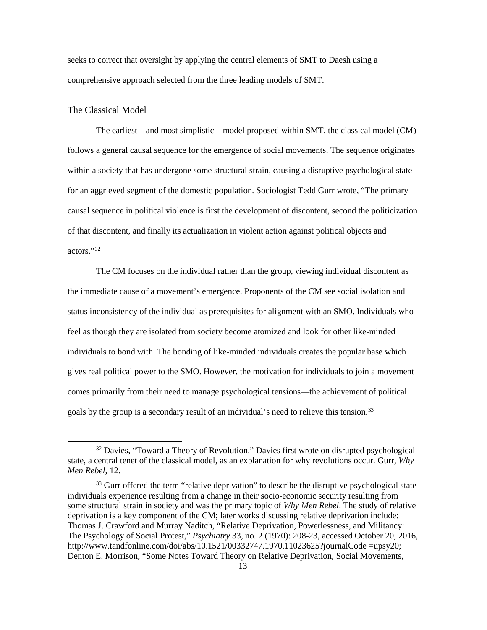seeks to correct that oversight by applying the central elements of SMT to Daesh using a comprehensive approach selected from the three leading models of SMT.

#### <span id="page-20-0"></span>The Classical Model

The earliest—and most simplistic—model proposed within SMT, the classical model (CM) follows a general causal sequence for the emergence of social movements. The sequence originates within a society that has undergone some structural strain, causing a disruptive psychological state for an aggrieved segment of the domestic population. Sociologist Tedd Gurr wrote, "The primary causal sequence in political violence is first the development of discontent, second the politicization of that discontent, and finally its actualization in violent action against political objects and actors."[32](#page-20-1)

The CM focuses on the individual rather than the group, viewing individual discontent as the immediate cause of a movement's emergence. Proponents of the CM see social isolation and status inconsistency of the individual as prerequisites for alignment with an SMO. Individuals who feel as though they are isolated from society become atomized and look for other like-minded individuals to bond with. The bonding of like-minded individuals creates the popular base which gives real political power to the SMO. However, the motivation for individuals to join a movement comes primarily from their need to manage psychological tensions—the achievement of political goals by the group is a secondary result of an individual's need to relieve this tension.<sup>[33](#page-20-2)</sup>

<span id="page-20-1"></span><sup>&</sup>lt;sup>32</sup> Davies, "Toward a Theory of Revolution." Davies first wrote on disrupted psychological state, a central tenet of the classical model, as an explanation for why revolutions occur. Gurr, *Why Men Rebel*, 12.

<span id="page-20-2"></span><sup>&</sup>lt;sup>33</sup> Gurr offered the term "relative deprivation" to describe the disruptive psychological state individuals experience resulting from a change in their socio-economic security resulting from some structural strain in society and was the primary topic of *Why Men Rebel*. The study of relative deprivation is a key component of the CM; later works discussing relative deprivation include: Thomas J. Crawford and Murray Naditch, "Relative Deprivation, Powerlessness, and Militancy: The Psychology of Social Protest," *Psychiatry* 33, no. 2 (1970): 208-23, accessed October 20, 2016, http://www.tandfonline.com/doi/abs/10.1521/00332747.1970.11023625?journalCode =upsy20; Denton E. Morrison, "Some Notes Toward Theory on Relative Deprivation, Social Movements,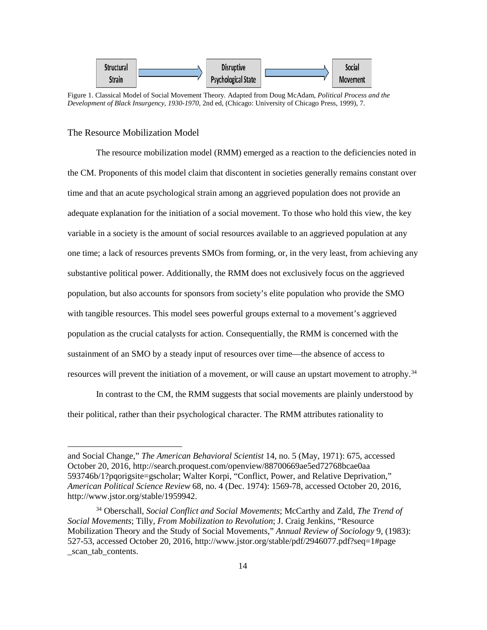

<span id="page-21-1"></span>Figure 1. Classical Model of Social Movement Theory*.* Adapted from Doug McAdam, *Political Process and the Development of Black Insurgency, 1930-1970,* 2nd ed, (Chicago: University of Chicago Press, 1999), 7.

#### <span id="page-21-0"></span>The Resource Mobilization Model

1

The resource mobilization model (RMM) emerged as a reaction to the deficiencies noted in the CM. Proponents of this model claim that discontent in societies generally remains constant over time and that an acute psychological strain among an aggrieved population does not provide an adequate explanation for the initiation of a social movement. To those who hold this view, the key variable in a society is the amount of social resources available to an aggrieved population at any one time; a lack of resources prevents SMOs from forming, or, in the very least, from achieving any substantive political power. Additionally, the RMM does not exclusively focus on the aggrieved population, but also accounts for sponsors from society's elite population who provide the SMO with tangible resources. This model sees powerful groups external to a movement's aggrieved population as the crucial catalysts for action. Consequentially, the RMM is concerned with the sustainment of an SMO by a steady input of resources over time—the absence of access to resources will prevent the initiation of a movement, or will cause an upstart movement to atrophy.<sup>[34](#page-21-2)</sup>

In contrast to the CM, the RMM suggests that social movements are plainly understood by their political, rather than their psychological character. The RMM attributes rationality to

and Social Change," *The American Behavioral Scientist* 14, no. 5 (May, 1971): 675, accessed October 20, 2016, http://search.proquest.com/openview/88700669ae5ed72768bcae0aa 593746b/1?pqorigsite=gscholar; Walter Korpi, "Conflict, Power, and Relative Deprivation," *American Political Science Review* 68, no. 4 (Dec. 1974): 1569-78, accessed October 20, 2016, http://www.jstor.org/stable/1959942.

<span id="page-21-2"></span><sup>34</sup> Oberschall, *Social Conflict and Social Movements*; McCarthy and Zald, *The Trend of Social Movements*; Tilly, *From Mobilization to Revolution*; J. Craig Jenkins, "Resource Mobilization Theory and the Study of Social Movements," *Annual Review of Sociology* 9, (1983): 527-53, accessed October 20, 2016, http://www.jstor.org/stable/pdf/2946077.pdf?seq=1#page \_scan\_tab\_contents.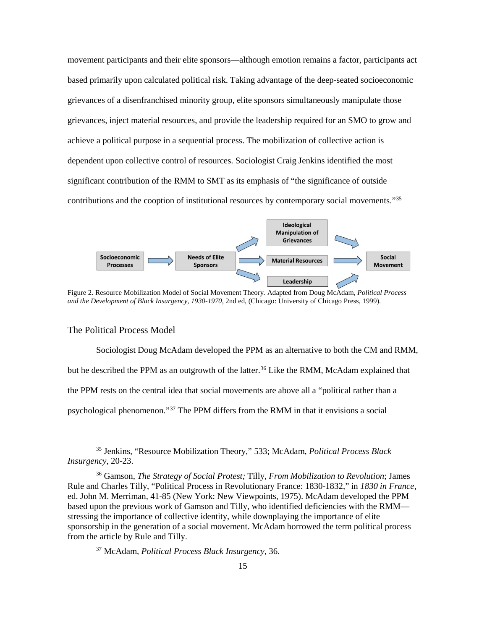movement participants and their elite sponsors—although emotion remains a factor, participants act based primarily upon calculated political risk. Taking advantage of the deep-seated socioeconomic grievances of a disenfranchised minority group, elite sponsors simultaneously manipulate those grievances, inject material resources, and provide the leadership required for an SMO to grow and achieve a political purpose in a sequential process. The mobilization of collective action is dependent upon collective control of resources. Sociologist Craig Jenkins identified the most significant contribution of the RMM to SMT as its emphasis of "the significance of outside contributions and the cooption of institutional resources by contemporary social movements."[35](#page-22-2)



<span id="page-22-1"></span>Figure 2. Resource Mobilization Model of Social Movement Theory*.* Adapted from Doug McAdam, *Political Process and the Development of Black Insurgency, 1930-1970,* 2nd ed, (Chicago: University of Chicago Press, 1999).

#### <span id="page-22-0"></span>The Political Process Model

Sociologist Doug McAdam developed the PPM as an alternative to both the CM and RMM, but he described the PPM as an outgrowth of the latter.<sup>[36](#page-22-3)</sup> Like the RMM, McAdam explained that the PPM rests on the central idea that social movements are above all a "political rather than a psychological phenomenon."[37](#page-22-4) The PPM differs from the RMM in that it envisions a social

<span id="page-22-2"></span> <sup>35</sup> Jenkins, "Resource Mobilization Theory," 533; McAdam, *Political Process Black Insurgency*, 20-23.

<span id="page-22-3"></span><sup>36</sup> Gamson, *The Strategy of Social Protest;* Tilly, *From Mobilization to Revolution*; James Rule and Charles Tilly, "Political Process in Revolutionary France: 1830-1832," in *1830 in France*, ed. John M. Merriman, 41-85 (New York: New Viewpoints, 1975). McAdam developed the PPM based upon the previous work of Gamson and Tilly, who identified deficiencies with the RMM stressing the importance of collective identity, while downplaying the importance of elite sponsorship in the generation of a social movement. McAdam borrowed the term political process from the article by Rule and Tilly.

<span id="page-22-4"></span><sup>37</sup> McAdam, *Political Process Black Insurgency*, 36.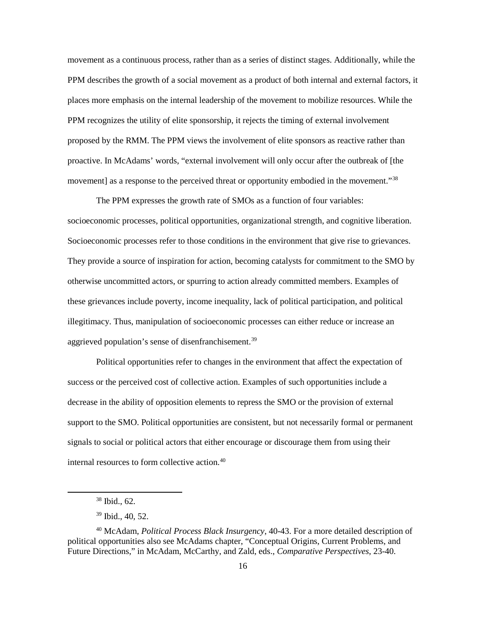movement as a continuous process, rather than as a series of distinct stages. Additionally, while the PPM describes the growth of a social movement as a product of both internal and external factors, it places more emphasis on the internal leadership of the movement to mobilize resources. While the PPM recognizes the utility of elite sponsorship, it rejects the timing of external involvement proposed by the RMM. The PPM views the involvement of elite sponsors as reactive rather than proactive. In McAdams' words, "external involvement will only occur after the outbreak of [the movement] as a response to the perceived threat or opportunity embodied in the movement."[38](#page-23-0)

The PPM expresses the growth rate of SMOs as a function of four variables: socioeconomic processes, political opportunities, organizational strength, and cognitive liberation. Socioeconomic processes refer to those conditions in the environment that give rise to grievances. They provide a source of inspiration for action, becoming catalysts for commitment to the SMO by otherwise uncommitted actors, or spurring to action already committed members. Examples of these grievances include poverty, income inequality, lack of political participation, and political illegitimacy. Thus, manipulation of socioeconomic processes can either reduce or increase an aggrieved population's sense of disenfranchisement.<sup>[39](#page-23-1)</sup>

Political opportunities refer to changes in the environment that affect the expectation of success or the perceived cost of collective action. Examples of such opportunities include a decrease in the ability of opposition elements to repress the SMO or the provision of external support to the SMO. Political opportunities are consistent, but not necessarily formal or permanent signals to social or political actors that either encourage or discourage them from using their internal resources to form collective action.<sup>[40](#page-23-2)</sup>

 <sup>38</sup> Ibid., 62.

<sup>39</sup> Ibid., 40, 52.

<span id="page-23-2"></span><span id="page-23-1"></span><span id="page-23-0"></span><sup>40</sup> McAdam, *Political Process Black Insurgency*, 40-43. For a more detailed description of political opportunities also see McAdams chapter, "Conceptual Origins, Current Problems, and Future Directions," in McAdam, McCarthy, and Zald, eds., *Comparative Perspectives*, 23-40.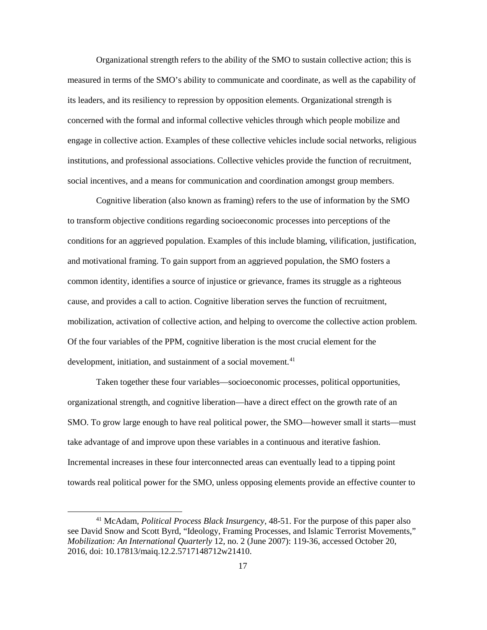Organizational strength refers to the ability of the SMO to sustain collective action; this is measured in terms of the SMO's ability to communicate and coordinate, as well as the capability of its leaders, and its resiliency to repression by opposition elements. Organizational strength is concerned with the formal and informal collective vehicles through which people mobilize and engage in collective action. Examples of these collective vehicles include social networks, religious institutions, and professional associations. Collective vehicles provide the function of recruitment, social incentives, and a means for communication and coordination amongst group members.

Cognitive liberation (also known as framing) refers to the use of information by the SMO to transform objective conditions regarding socioeconomic processes into perceptions of the conditions for an aggrieved population. Examples of this include blaming, vilification, justification, and motivational framing. To gain support from an aggrieved population, the SMO fosters a common identity, identifies a source of injustice or grievance, frames its struggle as a righteous cause, and provides a call to action. Cognitive liberation serves the function of recruitment, mobilization, activation of collective action, and helping to overcome the collective action problem. Of the four variables of the PPM, cognitive liberation is the most crucial element for the development, initiation, and sustainment of a social movement.<sup>[41](#page-24-0)</sup>

Taken together these four variables—socioeconomic processes, political opportunities, organizational strength, and cognitive liberation—have a direct effect on the growth rate of an SMO. To grow large enough to have real political power, the SMO—however small it starts—must take advantage of and improve upon these variables in a continuous and iterative fashion. Incremental increases in these four interconnected areas can eventually lead to a tipping point towards real political power for the SMO, unless opposing elements provide an effective counter to

<span id="page-24-0"></span> <sup>41</sup> McAdam, *Political Process Black Insurgency*, 48-51. For the purpose of this paper also see David Snow and Scott Byrd, "Ideology, Framing Processes, and Islamic Terrorist Movements," *Mobilization: An International Quarterly* 12, no. 2 (June 2007): 119-36, accessed October 20, 2016, doi: 10.17813/maiq.12.2.5717148712w21410.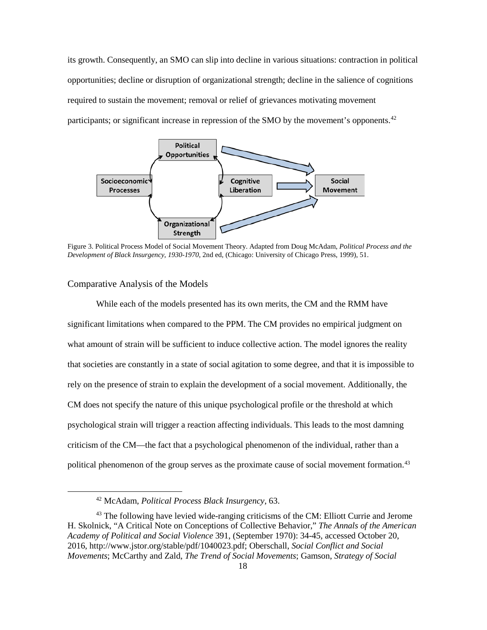its growth. Consequently, an SMO can slip into decline in various situations: contraction in political opportunities; decline or disruption of organizational strength; decline in the salience of cognitions required to sustain the movement; removal or relief of grievances motivating movement participants; or significant increase in repression of the SMO by the movement's opponents.<sup>[42](#page-25-2)</sup>



<span id="page-25-1"></span>Figure 3. Political Process Model of Social Movement Theory. Adapted from Doug McAdam, *Political Process and the Development of Black Insurgency, 1930-1970*, 2nd ed, (Chicago: University of Chicago Press, 1999), 51.

#### <span id="page-25-0"></span>Comparative Analysis of the Models

While each of the models presented has its own merits, the CM and the RMM have significant limitations when compared to the PPM. The CM provides no empirical judgment on what amount of strain will be sufficient to induce collective action. The model ignores the reality that societies are constantly in a state of social agitation to some degree, and that it is impossible to rely on the presence of strain to explain the development of a social movement. Additionally, the CM does not specify the nature of this unique psychological profile or the threshold at which psychological strain will trigger a reaction affecting individuals. This leads to the most damning criticism of the CM—the fact that a psychological phenomenon of the individual, rather than a political phenomenon of the group serves as the proximate cause of social movement formation.<sup>[43](#page-25-3)</sup>

 <sup>42</sup> McAdam, *Political Process Black Insurgency*, 63.

<span id="page-25-3"></span><span id="page-25-2"></span><sup>&</sup>lt;sup>43</sup> The following have levied wide-ranging criticisms of the CM: Elliott Currie and Jerome H. Skolnick, "A Critical Note on Conceptions of Collective Behavior," *The Annals of the American Academy of Political and Social Violence* 391, (September 1970): 34-45, accessed October 20, 2016, [http://www.jstor.org/stable/pdf/1040023.pdf;](http://www.jstor.org/stable/pdf/1040023.pdf) Oberschall, *Social Conflict and Social Movements*; McCarthy and Zald*, The Trend of Social Movements*; Gamson, *Strategy of Social*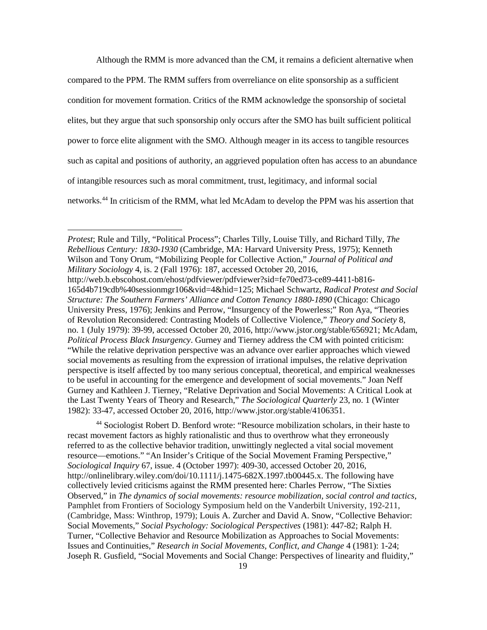Although the RMM is more advanced than the CM, it remains a deficient alternative when compared to the PPM. The RMM suffers from overreliance on elite sponsorship as a sufficient condition for movement formation. Critics of the RMM acknowledge the sponsorship of societal elites, but they argue that such sponsorship only occurs after the SMO has built sufficient political power to force elite alignment with the SMO. Although meager in its access to tangible resources such as capital and positions of authority, an aggrieved population often has access to an abundance of intangible resources such as moral commitment, trust, legitimacy, and informal social networks.[44](#page-26-0) In criticism of the RMM, what led McAdam to develop the PPM was his assertion that

1

<span id="page-26-0"></span><sup>44</sup> Sociologist Robert D. Benford wrote: "Resource mobilization scholars, in their haste to recast movement factors as highly rationalistic and thus to overthrow what they erroneously referred to as the collective behavior tradition, unwittingly neglected a vital social movement resource—emotions." "An Insider's Critique of the Social Movement Framing Perspective," *Sociological Inquiry* 67, issue. 4 (October 1997): 409-30, accessed October 20, 2016, http://onlinelibrary.wiley.com/doi/10.1111/j.1475-682X.1997.tb00445.x. The following have collectively levied criticisms against the RMM presented here: Charles Perrow, "The Sixties Observed," in *[The dynamics of social movements: resource mobilization, social control and tactics,](http://www.econbiz.de/Search/Results?lookfor=%22The+dynamics+of+social+movements+%3A+resource+mobilization%2C+social+control+and+tactics%22&type=PublishedIn)* Pamphlet from Frontiers of Sociology Symposium held on the Vanderbilt University, 192-211, (Cambridge, Mass: Winthrop, 1979); Louis A. Zurcher and David A. Snow, "Collective Behavior: Social Movements," *Social Psychology: Sociological Perspectives* (1981): 447-82; Ralph H. Turner, "Collective Behavior and Resource Mobilization as Approaches to Social Movements: Issues and Continuities," *Research in Social Movements, Conflict, and Change* 4 (1981): 1-24; Joseph R. Gusfield, "Social Movements and Social Change: Perspectives of linearity and fluidity,"

*Protest*; Rule and Tilly, "Political Process"; Charles Tilly, Louise Tilly, and Richard Tilly, *The Rebellious Century: 1830-1930* (Cambridge, MA: Harvard University Press, 1975); Kenneth Wilson and Tony Orum, "Mobilizing People for Collective Action," *Journal of Political and Military Sociology* 4, is. 2 (Fall 1976): 187, accessed October 20, 2016, [http://web.b.ebscohost.com/ehost/pdfviewer/pdfviewer?sid=fe70ed73-ce89-4411-b816-](http://web.b.ebscohost.com/ehost/pdfviewer/pdfviewer?sid=fe70ed73-ce89-4411-b816-165d4b719cdb%40sessionmgr106&vid=4&hid=125) [165d4b719cdb%40sessionmgr106&vid=4&hid=125;](http://web.b.ebscohost.com/ehost/pdfviewer/pdfviewer?sid=fe70ed73-ce89-4411-b816-165d4b719cdb%40sessionmgr106&vid=4&hid=125) Michael Schwartz, *Radical Protest and Social Structure: The Southern Farmers' Alliance and Cotton Tenancy 1880-1890* (Chicago: Chicago University Press, 1976); Jenkins and Perrow, "Insurgency of the Powerless;" Ron Aya, "Theories of Revolution Reconsidered: Contrasting Models of Collective Violence," *Theory and Society* 8, no. 1 (July 1979): 39-99, accessed October 20, 2016, http://www.jstor.org/stable/656921; McAdam, *Political Process Black Insurgency*. Gurney and Tierney address the CM with pointed criticism: "While the relative deprivation perspective was an advance over earlier approaches which viewed social movements as resulting from the expression of irrational impulses, the relative deprivation perspective is itself affected by too many serious conceptual, theoretical, and empirical weaknesses to be useful in accounting for the emergence and development of social movements." Joan Neff Gurney and Kathleen J. Tierney, "Relative Deprivation and Social Movements: A Critical Look at the Last Twenty Years of Theory and Research," *The Sociological Quarterly* 23, no. 1 (Winter 1982): 33-47, accessed October 20, 2016, http://www.jstor.org/stable/4106351.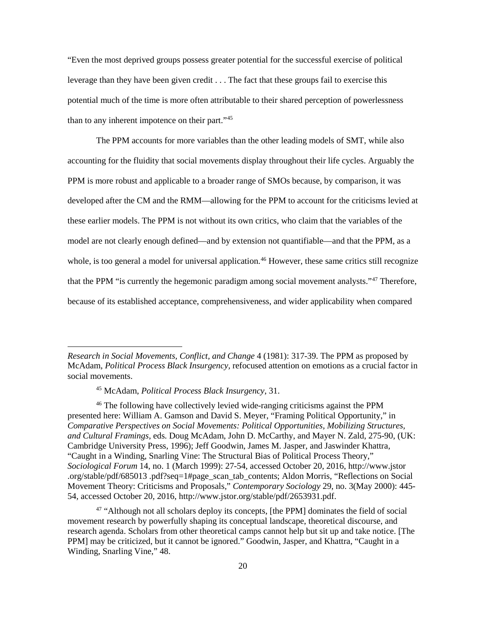"Even the most deprived groups possess greater potential for the successful exercise of political leverage than they have been given credit . . . The fact that these groups fail to exercise this potential much of the time is more often attributable to their shared perception of powerlessness than to any inherent impotence on their part."[45](#page-27-0)

The PPM accounts for more variables than the other leading models of SMT, while also accounting for the fluidity that social movements display throughout their life cycles. Arguably the PPM is more robust and applicable to a broader range of SMOs because, by comparison, it was developed after the CM and the RMM—allowing for the PPM to account for the criticisms levied at these earlier models. The PPM is not without its own critics, who claim that the variables of the model are not clearly enough defined—and by extension not quantifiable—and that the PPM, as a whole, is too general a model for universal application.<sup>[46](#page-27-1)</sup> However, these same critics still recognize that the PPM "is currently the hegemonic paradigm among social movement analysts."<sup>[47](#page-27-2)</sup> Therefore, because of its established acceptance, comprehensiveness, and wider applicability when compared

**.** 

*Research in Social Movements, Conflict, and Change* 4 (1981): 317-39. The PPM as proposed by McAdam, *Political Process Black Insurgency,* refocused attention on emotions as a crucial factor in social movements.

<sup>45</sup> McAdam, *Political Process Black Insurgency*, 31.

<span id="page-27-1"></span><span id="page-27-0"></span><sup>46</sup> The following have collectively levied wide-ranging criticisms against the PPM presented here: William A. Gamson and David S. Meyer, "Framing Political Opportunity," in *Comparative Perspectives on Social Movements: Political Opportunities, Mobilizing Structures, and Cultural Framings*, eds. Doug McAdam, John D. McCarthy, and Mayer N. Zald, 275-90, (UK: Cambridge University Press, 1996); Jeff Goodwin, James M. Jasper, and Jaswinder Khattra, "Caught in a Winding, Snarling Vine: The Structural Bias of Political Process Theory," *Sociological Forum* 14, no. 1 (March 1999): 27-54, accessed October 20, 2016, http://www.jstor .org/stable/pdf/685013 .pdf?seq=1#page\_scan\_tab\_contents; Aldon Morris, "Reflections on Social Movement Theory: Criticisms and Proposals*,*" *Contemporary Sociology* 29, no. 3(May 2000): 445- 54, accessed October 20, 2016, http://www.jstor.org/stable/pdf/2653931.pdf.

<span id="page-27-2"></span><sup>&</sup>lt;sup>47</sup> "Although not all scholars deploy its concepts, [the PPM] dominates the field of social movement research by powerfully shaping its conceptual landscape, theoretical discourse, and research agenda. Scholars from other theoretical camps cannot help but sit up and take notice. [The PPM] may be criticized, but it cannot be ignored." Goodwin, Jasper, and Khattra, "Caught in a Winding, Snarling Vine," 48.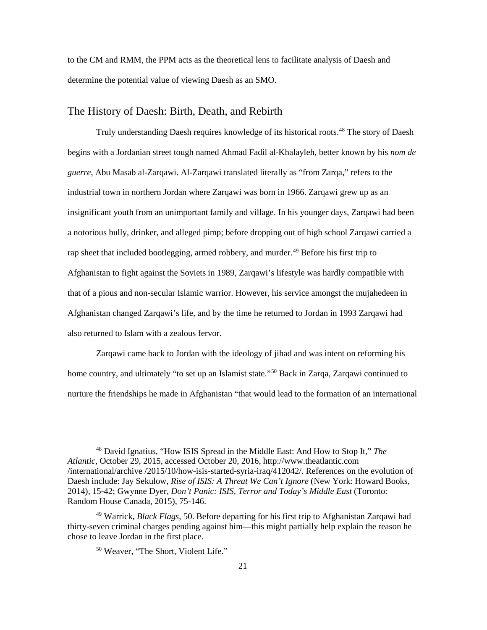to the CM and RMM, the PPM acts as the theoretical lens to facilitate analysis of Daesh and determine the potential value of viewing Daesh as an SMO.

#### <span id="page-28-0"></span>The History of Daesh: Birth, Death, and Rebirth

Truly understanding Daesh requires knowledge of its historical roots. [48](#page-28-1) The story of Daesh begins with a Jordanian street tough named Ahmad Fadil al-Khalayleh, better known by his *nom de guerre*, Abu Masab al-Zarqawi. Al-Zarqawi translated literally as "from Zarqa," refers to the industrial town in northern Jordan where Zarqawi was born in 1966. Zarqawi grew up as an insignificant youth from an unimportant family and village. In his younger days, Zarqawi had been a notorious bully, drinker, and alleged pimp; before dropping out of high school Zarqawi carried a rap sheet that included bootlegging, armed robbery, and murder.[49](#page-28-2) Before his first trip to Afghanistan to fight against the Soviets in 1989, Zarqawi's lifestyle was hardly compatible with that of a pious and non-secular Islamic warrior. However, his service amongst the mujahedeen in Afghanistan changed Zarqawi's life, and by the time he returned to Jordan in 1993 Zarqawi had also returned to Islam with a zealous fervor.

Zarqawi came back to Jordan with the ideology of jihad and was intent on reforming his home country, and ultimately "to set up an Islamist state."<sup>[50](#page-28-3)</sup> Back in Zarqa, Zarqawi continued to nurture the friendships he made in Afghanistan "that would lead to the formation of an international

<span id="page-28-1"></span> <sup>48</sup> David Ignatius, "How ISIS Spread in the Middle East: And How to Stop It," *The Atlantic,* October 29, 2015, accessed October 20, 2016, http://www.theatlantic.com /international/archive /2015/10/how-isis-started-syria-iraq/412042/. References on the evolution of Daesh include: Jay Sekulow, *Rise of ISIS: A Threat We Can't Ignore* (New York: Howard Books, 2014), 15-42; Gwynne Dyer, *Don't Panic: ISIS, Terror and Today's Middle East* (Toronto: Random House Canada, 2015), 75-146.

<span id="page-28-3"></span><span id="page-28-2"></span><sup>49</sup> Warrick, *Black Flags*, 50. Before departing for his first trip to Afghanistan Zarqawi had thirty-seven criminal charges pending against him—this might partially help explain the reason he chose to leave Jordan in the first place.

<sup>50</sup> Weaver, "The Short, Violent Life."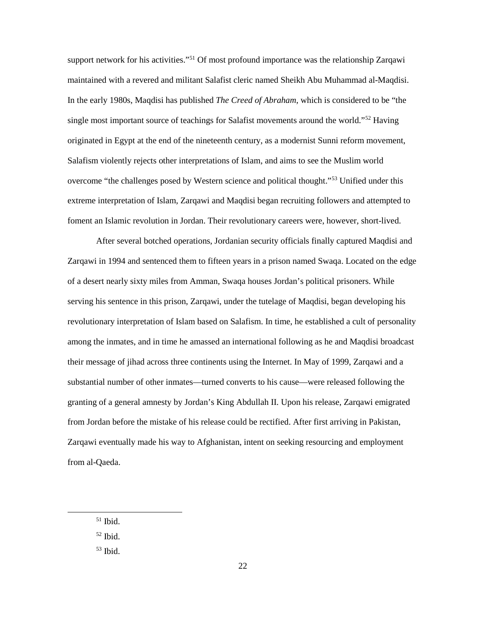support network for his activities."<sup>51</sup> Of most profound importance was the relationship Zarqawi maintained with a revered and militant Salafist cleric named Sheikh Abu Muhammad al-Maqdisi. In the early 1980s, Maqdisi has published *The Creed of Abraham*, which is considered to be "the single most important source of teachings for Salafist movements around the world.["52](#page-29-1) Having originated in Egypt at the end of the nineteenth century, as a modernist Sunni reform movement, Salafism violently rejects other interpretations of Islam, and aims to see the Muslim world overcome "the challenges posed by Western science and political thought."[53](#page-29-2) Unified under this extreme interpretation of Islam, Zarqawi and Maqdisi began recruiting followers and attempted to foment an Islamic revolution in Jordan. Their revolutionary careers were, however, short-lived.

After several botched operations, Jordanian security officials finally captured Maqdisi and Zarqawi in 1994 and sentenced them to fifteen years in a prison named Swaqa. Located on the edge of a desert nearly sixty miles from Amman, Swaqa houses Jordan's political prisoners. While serving his sentence in this prison, Zarqawi, under the tutelage of Maqdisi, began developing his revolutionary interpretation of Islam based on Salafism. In time, he established a cult of personality among the inmates, and in time he amassed an international following as he and Maqdisi broadcast their message of jihad across three continents using the Internet. In May of 1999, Zarqawi and a substantial number of other inmates—turned converts to his cause—were released following the granting of a general amnesty by Jordan's King Abdullah II. Upon his release, Zarqawi emigrated from Jordan before the mistake of his release could be rectified. After first arriving in Pakistan, Zarqawi eventually made his way to Afghanistan, intent on seeking resourcing and employment from al-Qaeda.

<span id="page-29-0"></span> $51$  Ibid.

<span id="page-29-1"></span> $52$  Ibid.

<span id="page-29-2"></span><sup>53</sup> Ibid.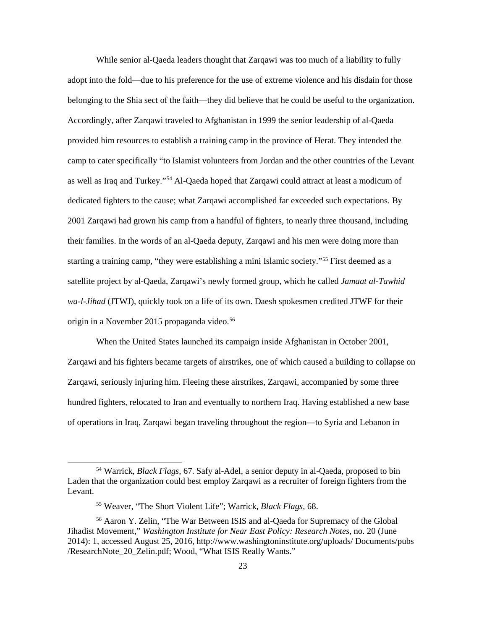While senior al-Qaeda leaders thought that Zarqawi was too much of a liability to fully adopt into the fold—due to his preference for the use of extreme violence and his disdain for those belonging to the Shia sect of the faith—they did believe that he could be useful to the organization. Accordingly, after Zarqawi traveled to Afghanistan in 1999 the senior leadership of al-Qaeda provided him resources to establish a training camp in the province of Herat. They intended the camp to cater specifically "to Islamist volunteers from Jordan and the other countries of the Levant as well as Iraq and Turkey."[54](#page-30-0) Al-Qaeda hoped that Zarqawi could attract at least a modicum of dedicated fighters to the cause; what Zarqawi accomplished far exceeded such expectations. By 2001 Zarqawi had grown his camp from a handful of fighters, to nearly three thousand, including their families. In the words of an al-Qaeda deputy, Zarqawi and his men were doing more than starting a training camp, "they were establishing a mini Islamic society."<sup>[55](#page-30-1)</sup> First deemed as a satellite project by al-Qaeda, Zarqawi's newly formed group, which he called *Jamaat al-Tawhid wa-l-Jihad* (JTWJ), quickly took on a life of its own. Daesh spokesmen credited JTWF for their origin in a November 2015 propaganda video.<sup>[56](#page-30-2)</sup>

When the United States launched its campaign inside Afghanistan in October 2001, Zarqawi and his fighters became targets of airstrikes, one of which caused a building to collapse on Zarqawi, seriously injuring him. Fleeing these airstrikes, Zarqawi, accompanied by some three hundred fighters, relocated to Iran and eventually to northern Iraq. Having established a new base of operations in Iraq, Zarqawi began traveling throughout the region—to Syria and Lebanon in

<span id="page-30-0"></span> <sup>54</sup> Warrick, *Black Flags*, 67. Safy al-Adel, a senior deputy in al-Qaeda, proposed to bin Laden that the organization could best employ Zarqawi as a recruiter of foreign fighters from the Levant.

<sup>55</sup> Weaver, "The Short Violent Life"; Warrick, *Black Flags,* 68.

<span id="page-30-2"></span><span id="page-30-1"></span><sup>56</sup> Aaron Y. Zelin, "The War Between ISIS and al-Qaeda for Supremacy of the Global Jihadist Movement," *Washington Institute for Near East Policy: Research Notes*, no. 20 (June 2014): 1, accessed August 25, 2016, http://www.washingtoninstitute.org/uploads/ Documents/pubs /ResearchNote\_20\_Zelin.pdf; Wood, "What ISIS Really Wants."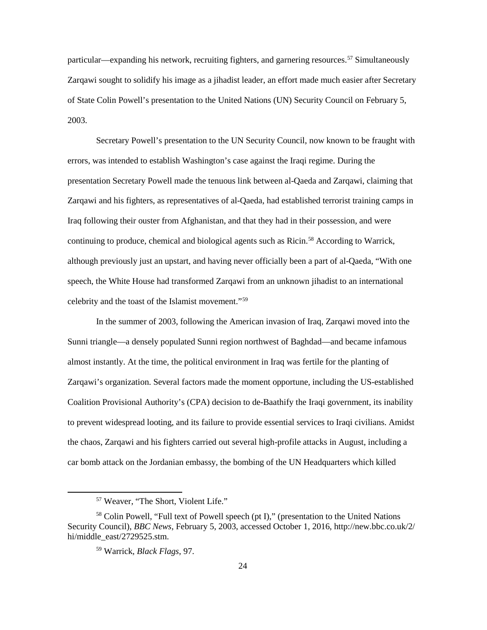particular—expanding his network, recruiting fighters, and garnering resources.<sup>[57](#page-31-0)</sup> Simultaneously Zarqawi sought to solidify his image as a jihadist leader, an effort made much easier after Secretary of State Colin Powell's presentation to the United Nations (UN) Security Council on February 5, 2003.

Secretary Powell's presentation to the UN Security Council, now known to be fraught with errors, was intended to establish Washington's case against the Iraqi regime. During the presentation Secretary Powell made the tenuous link between al-Qaeda and Zarqawi, claiming that Zarqawi and his fighters, as representatives of al-Qaeda, had established terrorist training camps in Iraq following their ouster from Afghanistan, and that they had in their possession, and were continuing to produce, chemical and biological agents such as Ricin.[58](#page-31-1) According to Warrick, although previously just an upstart, and having never officially been a part of al-Qaeda, "With one speech, the White House had transformed Zarqawi from an unknown jihadist to an international celebrity and the toast of the Islamist movement."[59](#page-31-2)

In the summer of 2003, following the American invasion of Iraq, Zarqawi moved into the Sunni triangle—a densely populated Sunni region northwest of Baghdad—and became infamous almost instantly. At the time, the political environment in Iraq was fertile for the planting of Zarqawi's organization. Several factors made the moment opportune, including the US-established Coalition Provisional Authority's (CPA) decision to de-Baathify the Iraqi government, its inability to prevent widespread looting, and its failure to provide essential services to Iraqi civilians. Amidst the chaos, Zarqawi and his fighters carried out several high-profile attacks in August, including a car bomb attack on the Jordanian embassy, the bombing of the UN Headquarters which killed

 <sup>57</sup> Weaver, "The Short, Violent Life."

<span id="page-31-2"></span><span id="page-31-1"></span><span id="page-31-0"></span><sup>&</sup>lt;sup>58</sup> Colin Powell, "Full text of Powell speech (pt I)," (presentation to the United Nations Security Council), *BBC News*, February 5, 2003, accessed October 1, 2016, http://new.bbc.co.uk/2/ hi/middle\_east/2729525.stm.

<sup>59</sup> Warrick, *Black Flags*, 97.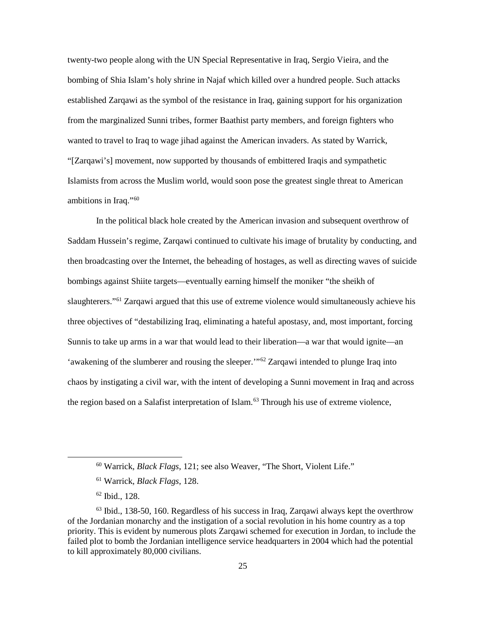twenty-two people along with the UN Special Representative in Iraq, Sergio Vieira, and the bombing of Shia Islam's holy shrine in Najaf which killed over a hundred people. Such attacks established Zarqawi as the symbol of the resistance in Iraq, gaining support for his organization from the marginalized Sunni tribes, former Baathist party members, and foreign fighters who wanted to travel to Iraq to wage jihad against the American invaders. As stated by Warrick, "[Zarqawi's] movement, now supported by thousands of embittered Iraqis and sympathetic Islamists from across the Muslim world, would soon pose the greatest single threat to American ambitions in Iraq."[60](#page-32-0)

In the political black hole created by the American invasion and subsequent overthrow of Saddam Hussein's regime, Zarqawi continued to cultivate his image of brutality by conducting, and then broadcasting over the Internet, the beheading of hostages, as well as directing waves of suicide bombings against Shiite targets—eventually earning himself the moniker "the sheikh of slaughterers."[61](#page-32-1) Zarqawi argued that this use of extreme violence would simultaneously achieve his three objectives of "destabilizing Iraq, eliminating a hateful apostasy, and, most important, forcing Sunnis to take up arms in a war that would lead to their liberation—a war that would ignite—an 'awakening of the slumberer and rousing the sleeper."<sup>[62](#page-32-2)</sup> Zarqawi intended to plunge Iraq into chaos by instigating a civil war, with the intent of developing a Sunni movement in Iraq and across the region based on a Salafist interpretation of Islam.<sup>[63](#page-32-3)</sup> Through his use of extreme violence,

 <sup>60</sup> Warrick, *Black Flags*, 121; see also Weaver, "The Short, Violent Life."

<sup>61</sup> Warrick, *Black Flags*, 128.

<sup>62</sup> Ibid., 128.

<span id="page-32-3"></span><span id="page-32-2"></span><span id="page-32-1"></span><span id="page-32-0"></span><sup>&</sup>lt;sup>63</sup> Ibid., 138-50, 160. Regardless of his success in Iraq, Zarqawi always kept the overthrow of the Jordanian monarchy and the instigation of a social revolution in his home country as a top priority. This is evident by numerous plots Zarqawi schemed for execution in Jordan, to include the failed plot to bomb the Jordanian intelligence service headquarters in 2004 which had the potential to kill approximately 80,000 civilians.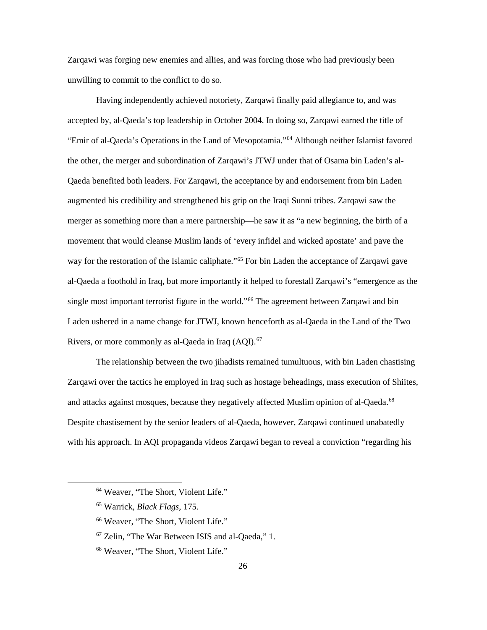Zarqawi was forging new enemies and allies, and was forcing those who had previously been unwilling to commit to the conflict to do so.

Having independently achieved notoriety, Zarqawi finally paid allegiance to, and was accepted by, al-Qaeda's top leadership in October 2004. In doing so, Zarqawi earned the title of "Emir of al-Qaeda's Operations in the Land of Mesopotamia."[64](#page-33-0) Although neither Islamist favored the other, the merger and subordination of Zarqawi's JTWJ under that of Osama bin Laden's al-Qaeda benefited both leaders. For Zarqawi, the acceptance by and endorsement from bin Laden augmented his credibility and strengthened his grip on the Iraqi Sunni tribes. Zarqawi saw the merger as something more than a mere partnership—he saw it as "a new beginning, the birth of a movement that would cleanse Muslim lands of 'every infidel and wicked apostate' and pave the way for the restoration of the Islamic caliphate."<sup>[65](#page-33-1)</sup> For bin Laden the acceptance of Zarqawi gave al-Qaeda a foothold in Iraq, but more importantly it helped to forestall Zarqawi's "emergence as the single most important terrorist figure in the world."[66](#page-33-2) The agreement between Zarqawi and bin Laden ushered in a name change for JTWJ, known henceforth as al-Qaeda in the Land of the Two Rivers, or more commonly as al-Qaeda in Iraq (AQI).<sup>[67](#page-33-3)</sup>

The relationship between the two jihadists remained tumultuous, with bin Laden chastising Zarqawi over the tactics he employed in Iraq such as hostage beheadings, mass execution of Shiites, and attacks against mosques, because they negatively affected Muslim opinion of al-Qaeda.<sup>[68](#page-33-4)</sup> Despite chastisement by the senior leaders of al-Qaeda, however, Zarqawi continued unabatedly with his approach. In AQI propaganda videos Zarqawi began to reveal a conviction "regarding his

<span id="page-33-0"></span> <sup>64</sup> Weaver, "The Short, Violent Life."

<span id="page-33-1"></span><sup>65</sup> Warrick, *Black Flags*, 175.

<span id="page-33-2"></span><sup>66</sup> Weaver, "The Short, Violent Life."

<span id="page-33-3"></span><sup>67</sup> Zelin, "The War Between ISIS and al-Qaeda," 1.

<span id="page-33-4"></span><sup>68</sup> Weaver, "The Short, Violent Life."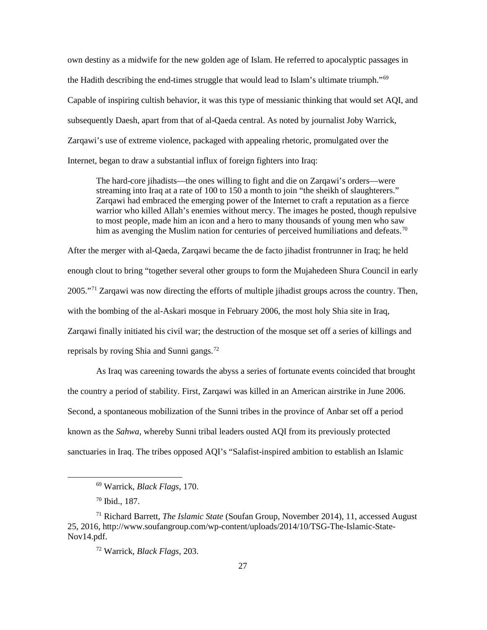own destiny as a midwife for the new golden age of Islam. He referred to apocalyptic passages in the Hadith describing the end-times struggle that would lead to Islam's ultimate triumph."<sup>[69](#page-34-0)</sup> Capable of inspiring cultish behavior, it was this type of messianic thinking that would set AQI, and subsequently Daesh, apart from that of al-Qaeda central. As noted by journalist Joby Warrick, Zarqawi's use of extreme violence, packaged with appealing rhetoric, promulgated over the Internet, began to draw a substantial influx of foreign fighters into Iraq:

The hard-core jihadists—the ones willing to fight and die on Zarqawi's orders—were streaming into Iraq at a rate of 100 to 150 a month to join "the sheikh of slaughterers." Zarqawi had embraced the emerging power of the Internet to craft a reputation as a fierce warrior who killed Allah's enemies without mercy. The images he posted, though repulsive to most people, made him an icon and a hero to many thousands of young men who saw him as avenging the Muslim nation for centuries of perceived humiliations and defeats.<sup>[70](#page-34-1)</sup>

After the merger with al-Qaeda, Zarqawi became the de facto jihadist frontrunner in Iraq; he held enough clout to bring "together several other groups to form the Mujahedeen Shura Council in early 2005."<sup>[71](#page-34-2)</sup> Zargawi was now directing the efforts of multiple jihadist groups across the country. Then, with the bombing of the al-Askari mosque in February 2006, the most holy Shia site in Iraq, Zarqawi finally initiated his civil war; the destruction of the mosque set off a series of killings and reprisals by roving Shia and Sunni gangs.[72](#page-34-3)

As Iraq was careening towards the abyss a series of fortunate events coincided that brought the country a period of stability. First, Zarqawi was killed in an American airstrike in June 2006. Second, a spontaneous mobilization of the Sunni tribes in the province of Anbar set off a period known as the *Sahwa*, whereby Sunni tribal leaders ousted AQI from its previously protected sanctuaries in Iraq. The tribes opposed AQI's "Salafist-inspired ambition to establish an Islamic

 <sup>69</sup> Warrick, *Black Flags*, 170.

<sup>70</sup> Ibid., 187.

<span id="page-34-3"></span><span id="page-34-2"></span><span id="page-34-1"></span><span id="page-34-0"></span><sup>71</sup> Richard Barrett, *The Islamic State* (Soufan Group, November 2014), 11, accessed August 25, 2016, http://www.soufangroup.com/wp-content/uploads/2014/10/TSG-The-Islamic-State-Nov14.pdf.

<sup>72</sup> Warrick, *Black Flags*, 203.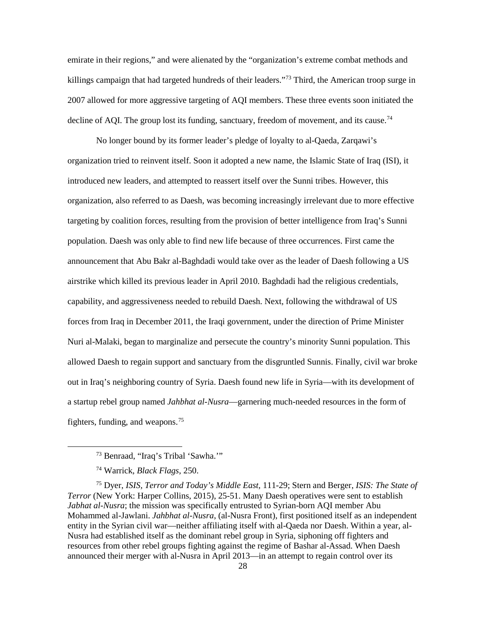emirate in their regions," and were alienated by the "organization's extreme combat methods and killings campaign that had targeted hundreds of their leaders."<sup>73</sup> Third, the American troop surge in 2007 allowed for more aggressive targeting of AQI members. These three events soon initiated the decline of AQI. The group lost its funding, sanctuary, freedom of movement, and its cause.<sup>[74](#page-35-1)</sup>

No longer bound by its former leader's pledge of loyalty to al-Qaeda, Zarqawi's organization tried to reinvent itself. Soon it adopted a new name, the Islamic State of Iraq (ISI), it introduced new leaders, and attempted to reassert itself over the Sunni tribes. However, this organization, also referred to as Daesh, was becoming increasingly irrelevant due to more effective targeting by coalition forces, resulting from the provision of better intelligence from Iraq's Sunni population. Daesh was only able to find new life because of three occurrences. First came the announcement that Abu Bakr al-Baghdadi would take over as the leader of Daesh following a US airstrike which killed its previous leader in April 2010. Baghdadi had the religious credentials, capability, and aggressiveness needed to rebuild Daesh. Next, following the withdrawal of US forces from Iraq in December 2011, the Iraqi government, under the direction of Prime Minister Nuri al-Malaki, began to marginalize and persecute the country's minority Sunni population. This allowed Daesh to regain support and sanctuary from the disgruntled Sunnis. Finally, civil war broke out in Iraq's neighboring country of Syria. Daesh found new life in Syria—with its development of a startup rebel group named *Jahbhat al-Nusra*—garnering much-needed resources in the form of fighters, funding, and weapons.[75](#page-35-2)

<span id="page-35-2"></span><span id="page-35-1"></span><span id="page-35-0"></span><sup>75</sup> Dyer, *ISIS, Terror and Today's Middle East,* 111-29; Stern and Berger, *ISIS: The State of Terror* (New York: Harper Collins, 2015), 25-51. Many Daesh operatives were sent to establish *Jabhat al-Nusra*; the mission was specifically entrusted to Syrian-born AQI member Abu Mohammed al-Jawlani. *Jahbhat al-Nusra*, (al-Nusra Front), first positioned itself as an independent entity in the Syrian civil war—neither affiliating itself with al-Qaeda nor Daesh. Within a year, al-Nusra had established itself as the dominant rebel group in Syria, siphoning off fighters and resources from other rebel groups fighting against the regime of Bashar al-Assad. When Daesh announced their merger with al-Nusra in April 2013—in an attempt to regain control over its

 <sup>73</sup> Benraad, "Iraq's Tribal 'Sawha.'"

<sup>74</sup> Warrick, *Black Flags*, 250.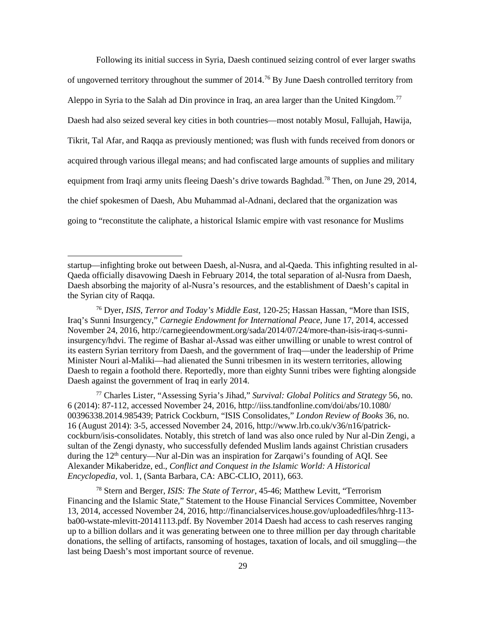Following its initial success in Syria, Daesh continued seizing control of ever larger swaths of ungoverned territory throughout the summer of 2014. [76](#page-36-0) By June Daesh controlled territory from Aleppo in Syria to the Salah ad Din province in Iraq, an area larger than the United Kingdom.<sup>[77](#page-36-1)</sup> Daesh had also seized several key cities in both countries—most notably Mosul, Fallujah, Hawija, Tikrit, Tal Afar, and Raqqa as previously mentioned; was flush with funds received from donors or acquired through various illegal means; and had confiscated large amounts of supplies and military equipment from Iraqi army units fleeing Daesh's drive towards Baghdad.[78](#page-36-2) Then, on June 29, 2014, the chief spokesmen of Daesh, Abu Muhammad al-Adnani, declared that the organization was going to "reconstitute the caliphate, a historical Islamic empire with vast resonance for Muslims

1

<span id="page-36-1"></span><sup>77</sup> Charles Lister, "Assessing Syria's Jihad," *Survival: Global Politics and Strategy* 56, no. 6 (2014): 87-112, accessed November 24, 2016, http://iiss.tandfonline.com/doi/abs/10.1080/ 00396338.2014.985439; Patrick Cockburn, "ISIS Consolidates," *London Review of Books* 36, no. 16 (August 2014): 3-5, accessed November 24, 2016, http://www.lrb.co.uk/v36/n16/patrickcockburn/isis-consolidates. Notably, this stretch of land was also once ruled by Nur al-Din Zengi, a sultan of the Zengi dynasty, who successfully defended Muslim lands against Christian crusaders during the  $12<sup>th</sup>$  century—Nur al-Din was an inspiration for Zarqawi's founding of AQI. See Alexander Mikaberidze, ed., *Conflict and Conquest in the Islamic World: A Historical Encyclopedia,* vol. 1, (Santa Barbara, CA: ABC-CLIO, 2011), 663.

<span id="page-36-2"></span><sup>78</sup> Stern and Berger, *ISIS: The State of Terror*, 45-46; Matthew Levitt, "Terrorism Financing and the Islamic State," Statement to the House Financial Services Committee, November 13, 2014, accessed November 24, 2016, http://financialservices.house.gov/uploadedfiles/hhrg-113 ba00-wstate-mlevitt-20141113.pdf. By November 2014 Daesh had access to cash reserves ranging up to a billion dollars and it was generating between one to three million per day through charitable donations, the selling of artifacts, ransoming of hostages, taxation of locals, and oil smuggling—the last being Daesh's most important source of revenue.

startup—infighting broke out between Daesh, al-Nusra, and al-Qaeda. This infighting resulted in al-Qaeda officially disavowing Daesh in February 2014, the total separation of al-Nusra from Daesh, Daesh absorbing the majority of al-Nusra's resources, and the establishment of Daesh's capital in the Syrian city of Raqqa.

<span id="page-36-0"></span><sup>76</sup> Dyer, *ISIS, Terror and Today's Middle East*, 120-25; Hassan Hassan, "More than ISIS, Iraq's Sunni Insurgency," *Carnegie Endowment for International Peace*, June 17, 2014, accessed November 24, 2016, http://carnegieendowment.org/sada/2014/07/24/more-than-isis-iraq-s-sunniinsurgency/hdvi. The regime of Bashar al-Assad was either unwilling or unable to wrest control of its eastern Syrian territory from Daesh, and the government of Iraq—under the leadership of Prime Minister Nouri al-Maliki—had alienated the Sunni tribesmen in its western territories, allowing Daesh to regain a foothold there. Reportedly, more than eighty Sunni tribes were fighting alongside Daesh against the government of Iraq in early 2014.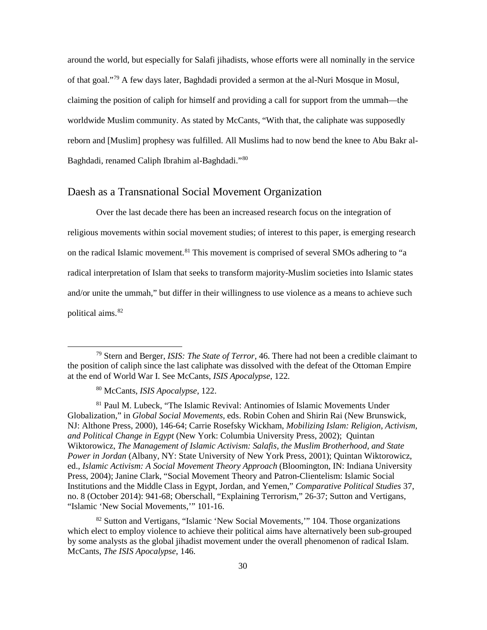around the world, but especially for Salafi jihadists, whose efforts were all nominally in the service of that goal."[79](#page-37-1) A few days later, Baghdadi provided a sermon at the al-Nuri Mosque in Mosul, claiming the position of caliph for himself and providing a call for support from the ummah—the worldwide Muslim community. As stated by McCants, "With that, the caliphate was supposedly reborn and [Muslim] prophesy was fulfilled. All Muslims had to now bend the knee to Abu Bakr al-Baghdadi, renamed Caliph Ibrahim al-Baghdadi."[80](#page-37-2)

#### <span id="page-37-0"></span>Daesh as a Transnational Social Movement Organization

Over the last decade there has been an increased research focus on the integration of religious movements within social movement studies; of interest to this paper, is emerging research on the radical Islamic movement.[81](#page-37-3) This movement is comprised of several SMOs adhering to "a radical interpretation of Islam that seeks to transform majority-Muslim societies into Islamic states and/or unite the ummah," but differ in their willingness to use violence as a means to achieve such political aims.[82](#page-37-4)

<span id="page-37-1"></span> <sup>79</sup> Stern and Berger, *ISIS: The State of Terror*, 46. There had not been a credible claimant to the position of caliph since the last caliphate was dissolved with the defeat of the Ottoman Empire at the end of World War I. See McCants, *ISIS Apocalypse*, 122.

<sup>80</sup> McCants, *ISIS Apocalypse*, 122.

<span id="page-37-3"></span><span id="page-37-2"></span><sup>81</sup> Paul M. Lubeck, "The Islamic Revival: Antinomies of Islamic Movements Under Globalization," in *Global Social Movements,* eds. Robin Cohen and Shirin Rai (New Brunswick, NJ: Althone Press, 2000), 146-64; Carrie Rosefsky Wickham, *Mobilizing Islam: Religion, Activism, and Political Change in Egypt* (New York: Columbia University Press, 2002); Quintan Wiktorowicz, *The Management of Islamic Activism: Salafis, the Muslim Brotherhood, and State Power in Jordan* (Albany, NY: State University of New York Press, 2001); Quintan Wiktorowicz, ed., *Islamic Activism: A Social Movement Theory Approach* (Bloomington, IN: Indiana University Press, 2004); Janine Clark, "Social Movement Theory and Patron-Clientelism: Islamic Social Institutions and the Middle Class in Egypt, Jordan, and Yemen," *Comparative Political Studies* 37, no. 8 (October 2014): 941-68; Oberschall, "Explaining Terrorism," 26-37; Sutton and Vertigans, "Islamic 'New Social Movements,'" 101-16.

<span id="page-37-4"></span><sup>82</sup> Sutton and Vertigans, "Islamic 'New Social Movements,'" 104. Those organizations which elect to employ violence to achieve their political aims have alternatively been sub-grouped by some analysts as the global jihadist movement under the overall phenomenon of radical Islam. McCants, *The ISIS Apocalypse*, 146.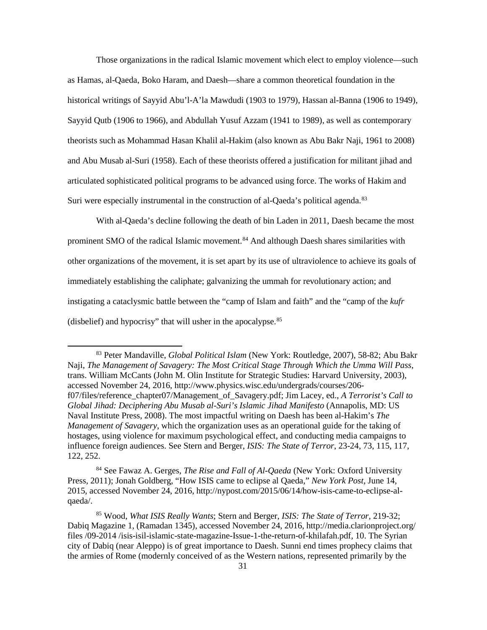Those organizations in the radical Islamic movement which elect to employ violence—such as Hamas, al-Qaeda, Boko Haram, and Daesh—share a common theoretical foundation in the historical writings of Sayyid Abu'l-A'la Mawdudi (1903 to 1979), Hassan al-Banna (1906 to 1949), Sayyid Qutb (1906 to 1966), and Abdullah Yusuf Azzam (1941 to 1989), as well as contemporary theorists such as Mohammad Hasan Khalil al-Hakim (also known as Abu Bakr Naji, 1961 to 2008) and Abu Musab al-Suri (1958). Each of these theorists offered a justification for militant jihad and articulated sophisticated political programs to be advanced using force. The works of Hakim and Suri were especially instrumental in the construction of al-Qaeda's political agenda.<sup>[83](#page-38-0)</sup>

With al-Qaeda's decline following the death of bin Laden in 2011, Daesh became the most prominent SMO of the radical Islamic movement.<sup>[84](#page-38-1)</sup> And although Daesh shares similarities with other organizations of the movement, it is set apart by its use of ultraviolence to achieve its goals of immediately establishing the caliphate; galvanizing the ummah for revolutionary action; and instigating a cataclysmic battle between the "camp of Islam and faith" and the "camp of the *kufr* (disbelief) and hypocrisy" that will usher in the apocalypse.[85](#page-38-2)

<span id="page-38-1"></span><sup>84</sup> See Fawaz A. Gerges, *The Rise and Fall of Al-Qaeda* (New York: Oxford University Press, 2011); Jonah Goldberg, "How ISIS came to eclipse al Qaeda," *New York Post*, June 14, 2015, accessed November 24, 2016, http://nypost.com/2015/06/14/how-isis-came-to-eclipse-alqaeda/.

<span id="page-38-0"></span> <sup>83</sup> Peter Mandaville, *Global Political Islam* (New York: Routledge, 2007), 58-82; Abu Bakr Naji, *The Management of Savagery: The Most Critical Stage Through Which the Umma Will Pass*, trans. William McCants (John M. Olin Institute for Strategic Studies: Harvard University, 2003), accessed November 24, 2016, http://www.physics.wisc.edu/undergrads/courses/206 f07/files/reference\_chapter07/Management\_of\_Savagery.pdf; Jim Lacey, ed., *A Terrorist's Call to Global Jihad: Deciphering Abu Musab al-Suri's Islamic Jihad Manifesto* (Annapolis, MD: US Naval Institute Press, 2008). The most impactful writing on Daesh has been al-Hakim's *The Management of Savagery*, which the organization uses as an operational guide for the taking of hostages, using violence for maximum psychological effect, and conducting media campaigns to influence foreign audiences. See Stern and Berger, *ISIS: The State of Terror*, 23-24, 73, 115, 117, 122, 252.

<span id="page-38-2"></span><sup>85</sup> Wood, *What ISIS Really Wants*; Stern and Berger, *ISIS: The State of Terror*, 219-32; Dabiq Magazine 1, (Ramadan 1345), accessed November 24, 2016, http://media.clarionproject.org/ files /09-2014 /isis-isil-islamic-state-magazine-Issue-1-the-return-of-khilafah.pdf, 10. The Syrian city of Dabiq (near Aleppo) is of great importance to Daesh. Sunni end times prophecy claims that the armies of Rome (modernly conceived of as the Western nations, represented primarily by the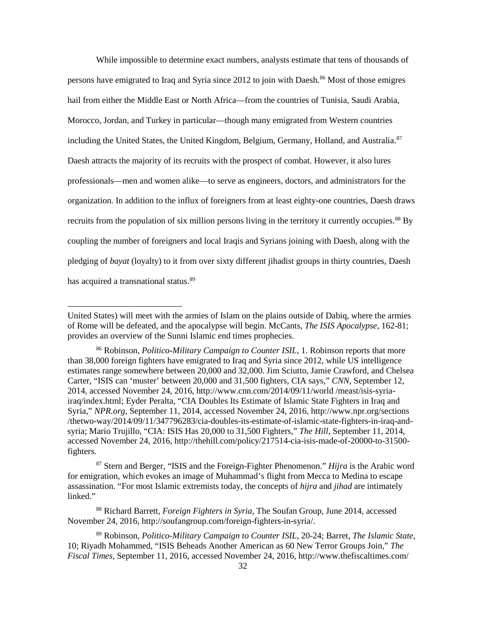While impossible to determine exact numbers, analysts estimate that tens of thousands of persons have emigrated to Iraq and Syria since 2012 to join with Daesh. [86](#page-39-0) Most of those emigres hail from either the Middle East or North Africa—from the countries of Tunisia, Saudi Arabia, Morocco, Jordan, and Turkey in particular—though many emigrated from Western countries including the United States, the United Kingdom, Belgium, Germany, Holland, and Australia.<sup>[87](#page-39-1)</sup> Daesh attracts the majority of its recruits with the prospect of combat. However, it also lures professionals—men and women alike—to serve as engineers, doctors, and administrators for the organization. In addition to the influx of foreigners from at least eighty-one countries, Daesh draws recruits from the population of six million persons living in the territory it currently occupies.[88](#page-39-2) By coupling the number of foreigners and local Iraqis and Syrians joining with Daesh, along with the pledging of *bayat* (loyalty) to it from over sixty different jihadist groups in thirty countries, Daesh has acquired a transnational status.<sup>[89](#page-39-3)</sup>

**.** 

<span id="page-39-1"></span><sup>87</sup> Stern and Berger, "ISIS and the Foreign-Fighter Phenomenon." *Hijra* is the Arabic word for emigration, which evokes an image of Muhammad's flight from Mecca to Medina to escape assassination. "For most Islamic extremists today, the concepts of *hijra* and *jihad* are intimately linked."

<span id="page-39-2"></span><sup>88</sup> Richard Barrett, *Foreign Fighters in Syria*, The Soufan Group, June 2014, accessed November 24, 2016, http://soufangroup.com/foreign-fighters-in-syria/.

<span id="page-39-3"></span><sup>89</sup> Robinson, *Politico-Military Campaign to Counter ISIL*, 20-24; Barret, *The Islamic State*, 10; Riyadh Mohammed, "ISIS Beheads Another American as 60 New Terror Groups Join," *The Fiscal Times*, September 11, 2016, accessed November 24, 2016, http://www.thefiscaltimes.com/

United States) will meet with the armies of Islam on the plains outside of Dabiq, where the armies of Rome will be defeated, and the apocalypse will begin. McCants, *The ISIS Apocalypse*, 162-81; provides an overview of the Sunni Islamic end times prophecies.

<span id="page-39-0"></span><sup>86</sup> Robinson, *Politico-Military Campaign to Counter ISIL,* 1. Robinson reports that more than 38,000 foreign fighters have emigrated to Iraq and Syria since 2012, while US intelligence estimates range somewhere between 20,000 and 32,000. Jim Sciutto, Jamie Crawford, and Chelsea Carter, "ISIS can 'muster' between 20,000 and 31,500 fighters, CIA says," *CNN*, September 12, 2014, accessed November 24, 2016, http://www.cnn.com/2014/09/11/world /meast/isis-syriairaq/index.html; Eyder Peralta, "CIA Doubles Its Estimate of Islamic State Fighters in Iraq and Syria," *NPR.org*, September 11, 2014, accessed November 24, 2016, http://www.npr.org/sections /thetwo-way/2014/09/11/347796283/cia-doubles-its-estimate-of-islamic-state-fighters-in-iraq-andsyria; Mario Trujillo, "CIA: ISIS Has 20,000 to 31,500 Fighters," *The Hill*, September 11, 2014, accessed November 24, 2016, http://thehill.com/policy/217514-cia-isis-made-of-20000-to-31500 fighters.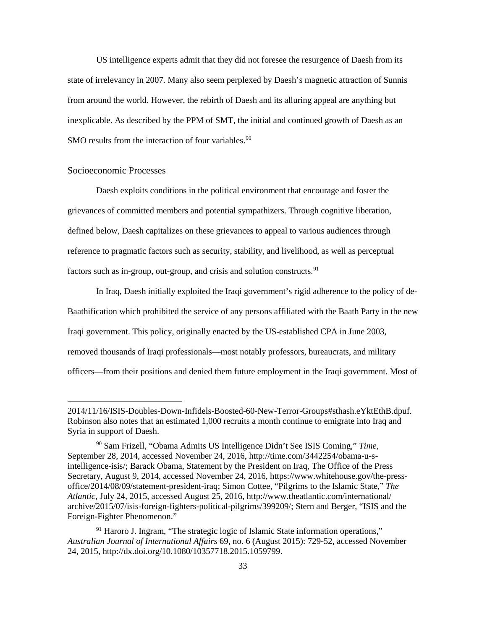US intelligence experts admit that they did not foresee the resurgence of Daesh from its state of irrelevancy in 2007. Many also seem perplexed by Daesh's magnetic attraction of Sunnis from around the world. However, the rebirth of Daesh and its alluring appeal are anything but inexplicable. As described by the PPM of SMT, the initial and continued growth of Daesh as an SMO results from the interaction of four variables.<sup>[90](#page-40-1)</sup>

#### <span id="page-40-0"></span>Socioeconomic Processes

**.** 

Daesh exploits conditions in the political environment that encourage and foster the grievances of committed members and potential sympathizers. Through cognitive liberation, defined below, Daesh capitalizes on these grievances to appeal to various audiences through reference to pragmatic factors such as security, stability, and livelihood, as well as perceptual factors such as in-group, out-group, and crisis and solution constructs.<sup>[91](#page-40-2)</sup>

In Iraq, Daesh initially exploited the Iraqi government's rigid adherence to the policy of de-Baathification which prohibited the service of any persons affiliated with the Baath Party in the new Iraqi government. This policy, originally enacted by the US-established CPA in June 2003, removed thousands of Iraqi professionals—most notably professors, bureaucrats, and military officers—from their positions and denied them future employment in the Iraqi government. Most of

<sup>2014/11/16/</sup>ISIS-Doubles-Down-Infidels-Boosted-60-New-Terror-Groups#sthash.eYktEthB.dpuf. Robinson also notes that an estimated 1,000 recruits a month continue to emigrate into Iraq and Syria in support of Daesh.

<span id="page-40-1"></span><sup>90</sup> Sam Frizell, "Obama Admits US Intelligence Didn't See ISIS Coming," *Time*, September 28, 2014, accessed November 24, 2016, http://time.com/3442254/obama-u-sintelligence-isis/; Barack Obama, Statement by the President on Iraq, The Office of the Press Secretary, August 9, 2014, accessed November 24, 2016, https://www.whitehouse.gov/the-pressoffice/2014/08/09/statement-president-iraq; Simon Cottee, "Pilgrims to the Islamic State," *The Atlantic*, July 24, 2015, accessed August 25, 2016, http://www.theatlantic.com/international/ archive/2015/07/isis-foreign-fighters-political-pilgrims/399209/; Stern and Berger, "ISIS and the Foreign-Fighter Phenomenon."

<span id="page-40-2"></span><sup>&</sup>lt;sup>91</sup> Haroro J. Ingram, "The strategic logic of Islamic State information operations," *Australian Journal of International Affairs* 69, no. 6 (August 2015): 729-52, accessed November 24, 2015, http://dx.doi.org/10.1080/10357718.2015.1059799.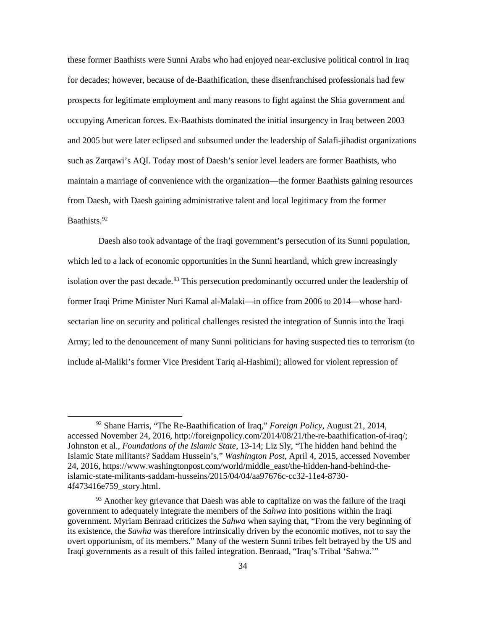these former Baathists were Sunni Arabs who had enjoyed near-exclusive political control in Iraq for decades; however, because of de-Baathification, these disenfranchised professionals had few prospects for legitimate employment and many reasons to fight against the Shia government and occupying American forces. Ex-Baathists dominated the initial insurgency in Iraq between 2003 and 2005 but were later eclipsed and subsumed under the leadership of Salafi-jihadist organizations such as Zarqawi's AQI. Today most of Daesh's senior level leaders are former Baathists, who maintain a marriage of convenience with the organization—the former Baathists gaining resources from Daesh, with Daesh gaining administrative talent and local legitimacy from the former Baathists.[92](#page-41-0)

Daesh also took advantage of the Iraqi government's persecution of its Sunni population, which led to a lack of economic opportunities in the Sunni heartland, which grew increasingly isolation over the past decade.<sup>[93](#page-41-1)</sup> This persecution predominantly occurred under the leadership of former Iraqi Prime Minister Nuri Kamal al-Malaki—in office from 2006 to 2014—whose hardsectarian line on security and political challenges resisted the integration of Sunnis into the Iraqi Army; led to the denouncement of many Sunni politicians for having suspected ties to terrorism (to include al-Maliki's former Vice President Tariq al-Hashimi); allowed for violent repression of

<span id="page-41-0"></span> <sup>92</sup> Shane Harris, "The Re-Baathification of Iraq," *Foreign Policy*, August 21, 2014, accessed November 24, 2016, http://foreignpolicy.com/2014/08/21/the-re-baathification-of-iraq/; Johnston et al., *Foundations of the Islamic State*, 13-14; Liz Sly, "The hidden hand behind the Islamic State militants? Saddam Hussein's," *Washington Post*, April 4, 2015, accessed November 24, 2016, https://www.washingtonpost.com/world/middle\_east/the-hidden-hand-behind-theislamic-state-militants-saddam-husseins/2015/04/04/aa97676c-cc32-11e4-8730- 4f473416e759\_story.html.

<span id="page-41-1"></span><sup>&</sup>lt;sup>93</sup> Another key grievance that Daesh was able to capitalize on was the failure of the Iraqi government to adequately integrate the members of the *Sahwa* into positions within the Iraqi government. Myriam Benraad criticizes the *Sahwa* when saying that, "From the very beginning of its existence, the *Sawha* was therefore intrinsically driven by the economic motives, not to say the overt opportunism, of its members." Many of the western Sunni tribes felt betrayed by the US and Iraqi governments as a result of this failed integration. Benraad, "Iraq's Tribal 'Sahwa.'"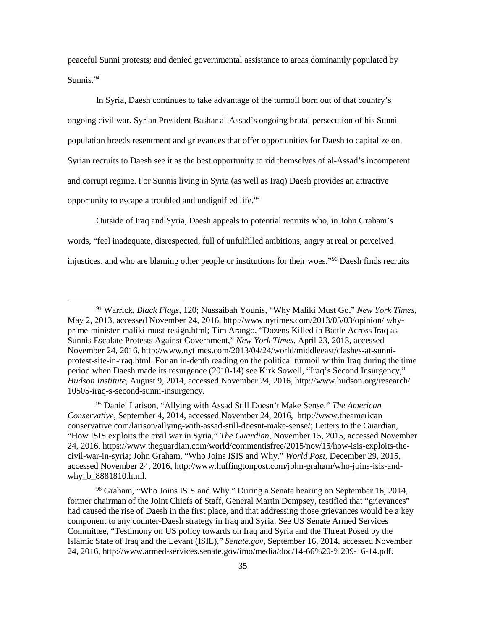peaceful Sunni protests; and denied governmental assistance to areas dominantly populated by Sunnis.<sup>[94](#page-42-0)</sup>

In Syria, Daesh continues to take advantage of the turmoil born out of that country's ongoing civil war. Syrian President Bashar al-Assad's ongoing brutal persecution of his Sunni population breeds resentment and grievances that offer opportunities for Daesh to capitalize on. Syrian recruits to Daesh see it as the best opportunity to rid themselves of al-Assad's incompetent and corrupt regime. For Sunnis living in Syria (as well as Iraq) Daesh provides an attractive opportunity to escape a troubled and undignified life[.95](#page-42-1)

Outside of Iraq and Syria, Daesh appeals to potential recruits who, in John Graham's words, "feel inadequate, disrespected, full of unfulfilled ambitions, angry at real or perceived injustices, and who are blaming other people or institutions for their woes.["96](#page-42-2) Daesh finds recruits

<span id="page-42-1"></span><sup>95</sup> Daniel Larison, "Allying with Assad Still Doesn't Make Sense," *The American Conservative,* September 4, 2014, accessed November 24, 2016, http://www.theamerican conservative.com/larison/allying-with-assad-still-doesnt-make-sense/; Letters to the Guardian, "How ISIS exploits the civil war in Syria," *The Guardian*, November 15, 2015, accessed November 24, 2016, https://www.theguardian.com/world/commentisfree/2015/nov/15/how-isis-exploits-thecivil-war-in-syria; John Graham, "Who Joins ISIS and Why," *World Post*, December 29, 2015, accessed November 24, 2016, http://www.huffingtonpost.com/john-graham/who-joins-isis-andwhy\_b\_8881810.html.

<span id="page-42-2"></span><sup>96</sup> Graham, "Who Joins ISIS and Why." During a Senate hearing on September 16, 2014, former chairman of the Joint Chiefs of Staff, General Martin Dempsey, testified that "grievances" had caused the rise of Daesh in the first place, and that addressing those grievances would be a key component to any counter-Daesh strategy in Iraq and Syria. See US Senate Armed Services Committee, "Testimony on US policy towards on Iraq and Syria and the Threat Posed by the Islamic State of Iraq and the Levant (ISIL)," *Senate.gov*, September 16, 2014, accessed November 24, 2016, http://www.armed-services.senate.gov/imo/media/doc/14-66%20-%209-16-14.pdf.

<span id="page-42-0"></span> <sup>94</sup> Warrick, *Black Flags*, 120; Nussaibah Younis, "Why Maliki Must Go," *New York Times,* May 2, 2013, accessed November 24, 2016, http://www.nytimes.com/2013/05/03/opinion/ whyprime-minister-maliki-must-resign.html; Tim Arango, "Dozens Killed in Battle Across Iraq as Sunnis Escalate Protests Against Government," *New York Times*, April 23, 2013, accessed November 24, 2016, http://www.nytimes.com/2013/04/24/world/middleeast/clashes-at-sunniprotest-site-in-iraq.html. For an in-depth reading on the political turmoil within Iraq during the time period when Daesh made its resurgence (2010-14) see Kirk Sowell, "Iraq's Second Insurgency," *Hudson Institute*, August 9, 2014, accessed November 24, 2016, http://www.hudson.org/research/ 10505-iraq-s-second-sunni-insurgency.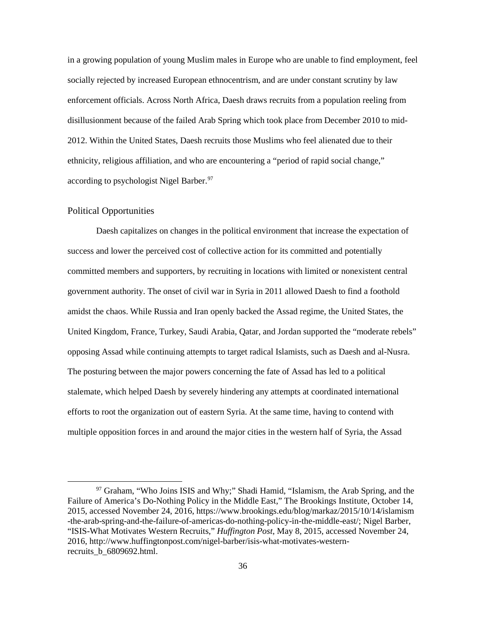in a growing population of young Muslim males in Europe who are unable to find employment, feel socially rejected by increased European ethnocentrism, and are under constant scrutiny by law enforcement officials. Across North Africa, Daesh draws recruits from a population reeling from disillusionment because of the failed Arab Spring which took place from December 2010 to mid-2012. Within the United States, Daesh recruits those Muslims who feel alienated due to their ethnicity, religious affiliation, and who are encountering a "period of rapid social change," according to psychologist Nigel Barber.<sup>[97](#page-43-1)</sup>

#### <span id="page-43-0"></span>Political Opportunities

Daesh capitalizes on changes in the political environment that increase the expectation of success and lower the perceived cost of collective action for its committed and potentially committed members and supporters, by recruiting in locations with limited or nonexistent central government authority. The onset of civil war in Syria in 2011 allowed Daesh to find a foothold amidst the chaos. While Russia and Iran openly backed the Assad regime, the United States, the United Kingdom, France, Turkey, Saudi Arabia, Qatar, and Jordan supported the "moderate rebels" opposing Assad while continuing attempts to target radical Islamists, such as Daesh and al-Nusra. The posturing between the major powers concerning the fate of Assad has led to a political stalemate, which helped Daesh by severely hindering any attempts at coordinated international efforts to root the organization out of eastern Syria. At the same time, having to contend with multiple opposition forces in and around the major cities in the western half of Syria, the Assad

<span id="page-43-1"></span><sup>&</sup>lt;sup>97</sup> Graham, "Who Joins ISIS and Why;" Shadi Hamid, "Islamism, the Arab Spring, and the Failure of America's Do-Nothing Policy in the Middle East," The Brookings Institute, October 14, 2015, accessed November 24, 2016, https://www.brookings.edu/blog/markaz/2015/10/14/islamism -the-arab-spring-and-the-failure-of-americas-do-nothing-policy-in-the-middle-east/; Nigel Barber, "ISIS-What Motivates Western Recruits," *Huffington Post*, May 8, 2015, accessed November 24, 2016, http://www.huffingtonpost.com/nigel-barber/isis-what-motivates-westernrecruits\_b\_6809692.html.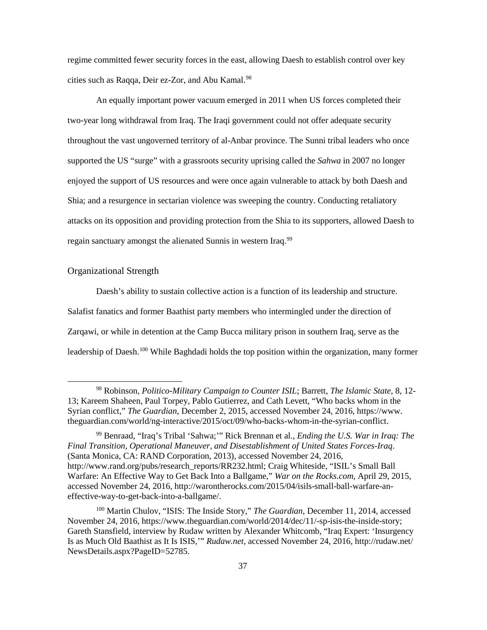regime committed fewer security forces in the east, allowing Daesh to establish control over key cities such as Raqqa, Deir ez-Zor, and Abu Kamal. [98](#page-44-1)

An equally important power vacuum emerged in 2011 when US forces completed their two-year long withdrawal from Iraq. The Iraqi government could not offer adequate security throughout the vast ungoverned territory of al-Anbar province. The Sunni tribal leaders who once supported the US "surge" with a grassroots security uprising called the *Sahwa* in 2007 no longer enjoyed the support of US resources and were once again vulnerable to attack by both Daesh and Shia; and a resurgence in sectarian violence was sweeping the country. Conducting retaliatory attacks on its opposition and providing protection from the Shia to its supporters, allowed Daesh to regain sanctuary amongst the alienated Sunnis in western Iraq.<sup>[99](#page-44-2)</sup>

#### <span id="page-44-0"></span>Organizational Strength

Daesh's ability to sustain collective action is a function of its leadership and structure. Salafist fanatics and former Baathist party members who intermingled under the direction of Zarqawi, or while in detention at the Camp Bucca military prison in southern Iraq, serve as the leadership of Daesh.<sup>[100](#page-44-3)</sup> While Baghdadi holds the top position within the organization, many former

<span id="page-44-1"></span> <sup>98</sup> Robinson, *Politico-Military Campaign to Counter ISIL*; Barrett, *The Islamic State*, 8, 12- 13; Kareem Shaheen, Paul Torpey, Pablo Gutierrez, and Cath Levett, "Who backs whom in the Syrian conflict," *The Guardian*, December 2, 2015, accessed November 24, 2016, https://www. theguardian.com/world/ng-interactive/2015/oct/09/who-backs-whom-in-the-syrian-conflict.

<span id="page-44-2"></span><sup>99</sup> Benraad, "Iraq's Tribal 'Sahwa;'" Rick Brennan et al., *Ending the U.S. War in Iraq: The Final Transition, Operational Maneuver, and Disestablishment of United States Forces-Iraq*. (Santa Monica, CA: RAND Corporation, 2013), accessed November 24, 2016, http://www.rand.org/pubs/research\_reports/RR232.html; Craig Whiteside, "ISIL's Small Ball Warfare: An Effective Way to Get Back Into a Ballgame," *War on the Rocks.com*, April 29, 2015, accessed November 24, 2016, http://warontherocks.com/2015/04/isils-small-ball-warfare-aneffective-way-to-get-back-into-a-ballgame/.

<span id="page-44-3"></span><sup>100</sup> Martin Chulov, "ISIS: The Inside Story," *The Guardian*, December 11, 2014, accessed November 24, 2016, https://www.theguardian.com/world/2014/dec/11/-sp-isis-the-inside-story; Gareth Stansfield, interview by Rudaw written by Alexander Whitcomb, "Iraq Expert: 'Insurgency Is as Much Old Baathist as It Is ISIS,'" *Rudaw.net*, accessed November 24, 2016, http://rudaw.net/ NewsDetails.aspx?PageID=52785.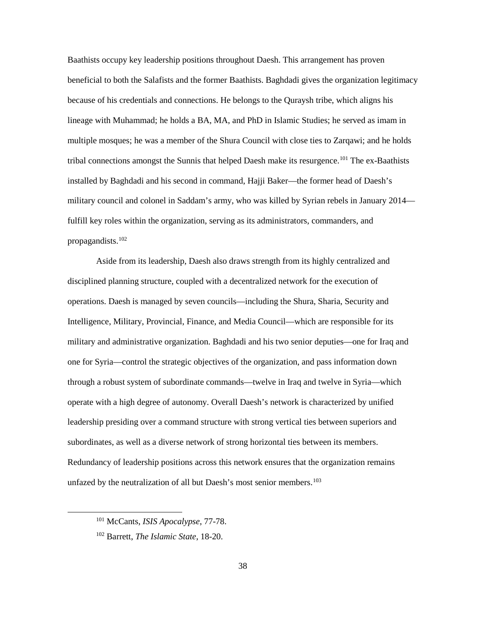Baathists occupy key leadership positions throughout Daesh. This arrangement has proven beneficial to both the Salafists and the former Baathists. Baghdadi gives the organization legitimacy because of his credentials and connections. He belongs to the Quraysh tribe, which aligns his lineage with Muhammad; he holds a BA, MA, and PhD in Islamic Studies; he served as imam in multiple mosques; he was a member of the Shura Council with close ties to Zarqawi; and he holds tribal connections amongst the Sunnis that helped Daesh make its resurgence[.101](#page-45-0) The ex-Baathists installed by Baghdadi and his second in command, Hajji Baker—the former head of Daesh's military council and colonel in Saddam's army, who was killed by Syrian rebels in January 2014 fulfill key roles within the organization, serving as its administrators, commanders, and propagandists.[102](#page-45-1)

<span id="page-45-2"></span>Aside from its leadership, Daesh also draws strength from its highly centralized and disciplined planning structure, coupled with a decentralized network for the execution of operations. Daesh is managed by seven councils—including the Shura, Sharia, Security and Intelligence, Military, Provincial, Finance, and Media Council—which are responsible for its military and administrative organization. Baghdadi and his two senior deputies—one for Iraq and one for Syria—control the strategic objectives of the organization, and pass information down through a robust system of subordinate commands—twelve in Iraq and twelve in Syria—which operate with a high degree of autonomy. Overall Daesh's network is characterized by unified leadership presiding over a command structure with strong vertical ties between superiors and subordinates, as well as a diverse network of strong horizontal ties between its members. Redundancy of leadership positions across this network ensures that the organization remains unfazed by the neutralization of all but Daesh's most senior members.<sup>[103](#page-45-2)</sup>

<span id="page-45-0"></span> <sup>101</sup> McCants, *ISIS Apocalypse*, 77-78.

<span id="page-45-1"></span><sup>102</sup> Barrett, *The Islamic State*, 18-20.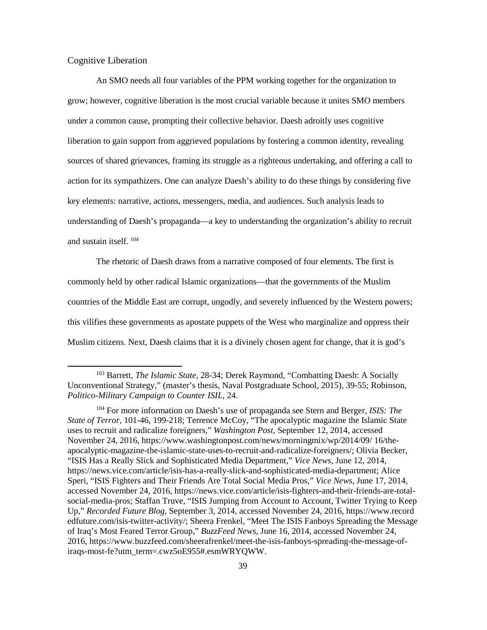#### <span id="page-46-0"></span>Cognitive Liberation

An SMO needs all four variables of the PPM working together for the organization to grow; however, cognitive liberation is the most crucial variable because it unites SMO members under a common cause, prompting their collective behavior. Daesh adroitly uses cognitive liberation to gain support from aggrieved populations by fostering a common identity, revealing sources of shared grievances, framing its struggle as a righteous undertaking, and offering a call to action for its sympathizers. One can analyze Daesh's ability to do these things by considering five key elements: narrative, actions, messengers, media, and audiences. Such analysis leads to understanding of Daesh's propaganda—a key to understanding the organization's ability to recruit and sustain itself. [104](#page-46-1)

The rhetoric of Daesh draws from a narrative composed of four elements. The first is commonly held by other radical Islamic organizations—that the governments of the Muslim countries of the Middle East are corrupt, ungodly, and severely influenced by the Western powers; this vilifies these governments as apostate puppets of the West who marginalize and oppress their Muslim citizens. Next, Daesh claims that it is a divinely chosen agent for change, that it is god's

 <sup>103</sup> Barrett, *The Islamic State*, 28-34; Derek Raymond, "Combatting Daesh: A Socially Unconventional Strategy," (master's thesis, Naval Postgraduate School, 2015), 39-55; Robinson, *Politico-Military Campaign to Counter ISIL*, 24.

<span id="page-46-1"></span><sup>104</sup> For more information on Daesh's use of propaganda see Stern and Berger, *ISIS: The State of Terror*, 101-46, 199-218; Terrence McCoy, "The apocalyptic magazine the Islamic State uses to recruit and radicalize foreigners," *Washington Post*, September 12, 2014, accessed November 24, 2016, https://www.washingtonpost.com/news/morningmix/wp/2014/09/ 16/theapocalyptic-magazine-the-islamic-state-uses-to-recruit-and-radicalize-foreigners/; Olivia Becker, "ISIS Has a Really Slick and Sophisticated Media Department," *Vice News*, June 12, 2014, https://news.vice.com/article/isis-has-a-really-slick-and-sophisticated-media-department; Alice Speri, "ISIS Fighters and Their Friends Are Total Social Media Pros," *Vice News*, June 17, 2014, accessed November 24, 2016, https://news.vice.com/article/isis-fighters-and-their-friends-are-totalsocial-media-pros; Staffan Truve, "ISIS Jumping from Account to Account, Twitter Trying to Keep Up," *Recorded Future Blog*, September 3, 2014, accessed November 24, 2016, https://www.record edfuture.com/isis-twitter-activity/; Sheera Frenkel, "Meet The ISIS Fanboys Spreading the Message of Iraq's Most Feared Terror Group," *BuzzFeed News*, June 16, 2014, accessed November 24, 2016, https://www.buzzfeed.com/sheerafrenkel/meet-the-isis-fanboys-spreading-the-message-ofiraqs-most-fe?utm\_term=.cwz5oE955#.esmWRYQWW.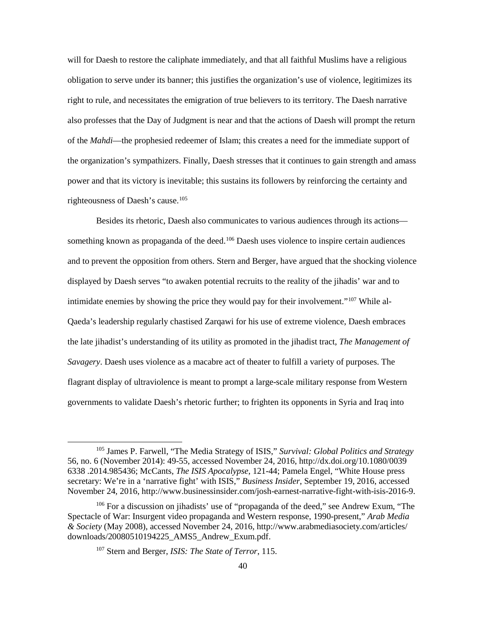will for Daesh to restore the caliphate immediately, and that all faithful Muslims have a religious obligation to serve under its banner; this justifies the organization's use of violence, legitimizes its right to rule, and necessitates the emigration of true believers to its territory. The Daesh narrative also professes that the Day of Judgment is near and that the actions of Daesh will prompt the return of the *Mahdi*—the prophesied redeemer of Islam; this creates a need for the immediate support of the organization's sympathizers. Finally, Daesh stresses that it continues to gain strength and amass power and that its victory is inevitable; this sustains its followers by reinforcing the certainty and righteousness of Daesh's cause.[105](#page-47-0)

Besides its rhetoric, Daesh also communicates to various audiences through its actions— something known as propaganda of the deed.<sup>[106](#page-47-1)</sup> Daesh uses violence to inspire certain audiences and to prevent the opposition from others. Stern and Berger, have argued that the shocking violence displayed by Daesh serves "to awaken potential recruits to the reality of the jihadis' war and to intimidate enemies by showing the price they would pay for their involvement."[107](#page-47-2) While al-Qaeda's leadership regularly chastised Zarqawi for his use of extreme violence, Daesh embraces the late jihadist's understanding of its utility as promoted in the jihadist tract, *The Management of Savagery*. Daesh uses violence as a macabre act of theater to fulfill a variety of purposes. The flagrant display of ultraviolence is meant to prompt a large-scale military response from Western governments to validate Daesh's rhetoric further; to frighten its opponents in Syria and Iraq into

<span id="page-47-0"></span> <sup>105</sup> James P. Farwell, "The Media Strategy of ISIS," *Survival: Global Politics and Strategy* 56, no. 6 (November 2014): 49-55, accessed November 24, 2016, http://dx.doi.org/10.1080/0039 6338 .2014.985436; McCants, *The ISIS Apocalypse*, 121-44; Pamela Engel, "White House press secretary: We're in a 'narrative fight' with ISIS," *Business Insider*, September 19, 2016, accessed November 24, 2016, http://www.businessinsider.com/josh-earnest-narrative-fight-with-isis-2016-9.

<span id="page-47-2"></span><span id="page-47-1"></span><sup>106</sup> For a discussion on jihadists' use of "propaganda of the deed," see Andrew Exum, "The Spectacle of War: Insurgent video propaganda and Western response, 1990-present," *Arab Media & Society* (May 2008), accessed November 24, 2016, http://www.arabmediasociety.com/articles/ downloads/20080510194225\_AMS5\_Andrew\_Exum.pdf.

<sup>107</sup> Stern and Berger, *ISIS: The State of Terror*, 115.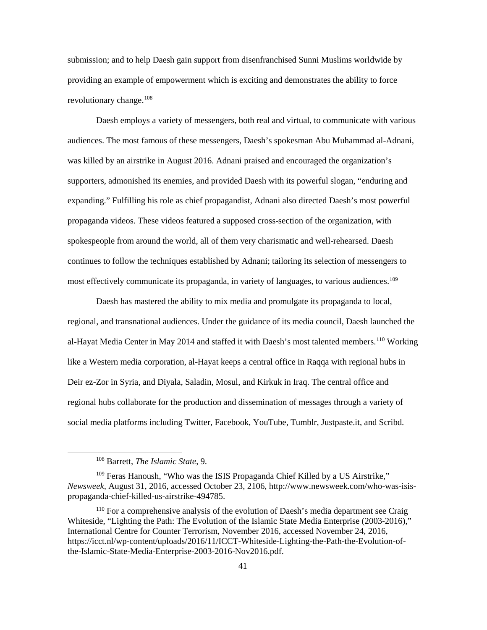submission; and to help Daesh gain support from disenfranchised Sunni Muslims worldwide by providing an example of empowerment which is exciting and demonstrates the ability to force revolutionary change.<sup>[108](#page-48-0)</sup>

Daesh employs a variety of messengers, both real and virtual, to communicate with various audiences. The most famous of these messengers, Daesh's spokesman Abu Muhammad al-Adnani, was killed by an airstrike in August 2016. Adnani praised and encouraged the organization's supporters, admonished its enemies, and provided Daesh with its powerful slogan, "enduring and expanding." Fulfilling his role as chief propagandist, Adnani also directed Daesh's most powerful propaganda videos. These videos featured a supposed cross-section of the organization, with spokespeople from around the world, all of them very charismatic and well-rehearsed. Daesh continues to follow the techniques established by Adnani; tailoring its selection of messengers to most effectively communicate its propaganda, in variety of languages, to various audiences. [109](#page-48-1)

Daesh has mastered the ability to mix media and promulgate its propaganda to local, regional, and transnational audiences. Under the guidance of its media council, Daesh launched the al-Hayat Media Center in May 2014 and staffed it with Daesh's most talented members.<sup>[110](#page-48-2)</sup> Working like a Western media corporation, al-Hayat keeps a central office in Raqqa with regional hubs in Deir ez-Zor in Syria, and Diyala, Saladin, Mosul, and Kirkuk in Iraq. The central office and regional hubs collaborate for the production and dissemination of messages through a variety of social media platforms including Twitter, Facebook, YouTube, Tumblr, Justpaste.it, and Scribd.

 <sup>108</sup> Barrett, *The Islamic State*, 9.

<span id="page-48-1"></span><span id="page-48-0"></span><sup>109</sup> Feras Hanoush, "Who was the ISIS Propaganda Chief Killed by a US Airstrike," *Newsweek*, August 31, 2016, accessed October 23, 2106, http://www.newsweek.com/who-was-isispropaganda-chief-killed-us-airstrike-494785.

<span id="page-48-2"></span><sup>110</sup> For a comprehensive analysis of the evolution of Daesh's media department see Craig Whiteside, "Lighting the Path: The Evolution of the Islamic State Media Enterprise (2003-2016)," International Centre for Counter Terrorism, November 2016, accessed November 24, 2016, https://icct.nl/wp-content/uploads/2016/11/ICCT-Whiteside-Lighting-the-Path-the-Evolution-ofthe-Islamic-State-Media-Enterprise-2003-2016-Nov2016.pdf.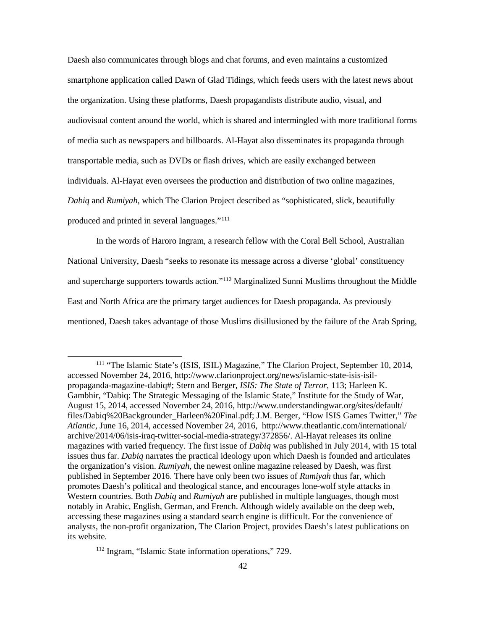Daesh also communicates through blogs and chat forums, and even maintains a customized smartphone application called Dawn of Glad Tidings, which feeds users with the latest news about the organization. Using these platforms, Daesh propagandists distribute audio, visual, and audiovisual content around the world, which is shared and intermingled with more traditional forms of media such as newspapers and billboards. Al-Hayat also disseminates its propaganda through transportable media, such as DVDs or flash drives, which are easily exchanged between individuals. Al-Hayat even oversees the production and distribution of two online magazines, *Dabiq* and *Rumiyah*, which The Clarion Project described as "sophisticated, slick, beautifully produced and printed in several languages."[111](#page-49-0)

In the words of Haroro Ingram, a research fellow with the Coral Bell School, Australian National University, Daesh "seeks to resonate its message across a diverse 'global' constituency and supercharge supporters towards action."[112](#page-49-1) Marginalized Sunni Muslims throughout the Middle East and North Africa are the primary target audiences for Daesh propaganda. As previously mentioned, Daesh takes advantage of those Muslims disillusioned by the failure of the Arab Spring,

<span id="page-49-1"></span><sup>112</sup> Ingram, "Islamic State information operations," 729.

<span id="page-49-0"></span> <sup>111</sup> "The Islamic State's (ISIS, ISIL) Magazine," The Clarion Project, September 10, 2014, accessed November 24, 2016, http://www.clarionproject.org/news/islamic-state-isis-isilpropaganda-magazine-dabiq#; Stern and Berger, *ISIS: The State of Terror*, 113; Harleen K. Gambhir, "Dabiq: The Strategic Messaging of the Islamic State," Institute for the Study of War, August 15, 2014, accessed November 24, 2016, http://www.understandingwar.org/sites/default/ files/Dabiq%20Backgrounder\_Harleen%20Final.pdf; J.M. Berger, "How ISIS Games Twitter," *The Atlantic,* June 16, 2014, accessed November 24, 2016, http://www.theatlantic.com/international/ archive/2014/06/isis-iraq-twitter-social-media-strategy/372856/. Al-Hayat releases its online magazines with varied frequency. The first issue of *Dabiq* was published in July 2014, with 15 total issues thus far. *Dabiq* narrates the practical ideology upon which Daesh is founded and articulates the organization's vision. *Rumiyah*, the newest online magazine released by Daesh, was first published in September 2016. There have only been two issues of *Rumiyah* thus far, which promotes Daesh's political and theological stance, and encourages lone-wolf style attacks in Western countries. Both *Dabiq* and *Rumiyah* are published in multiple languages, though most notably in Arabic, English, German, and French. Although widely available on the deep web, accessing these magazines using a standard search engine is difficult. For the convenience of analysts, the non-profit organization, The Clarion Project, provides Daesh's latest publications on its website.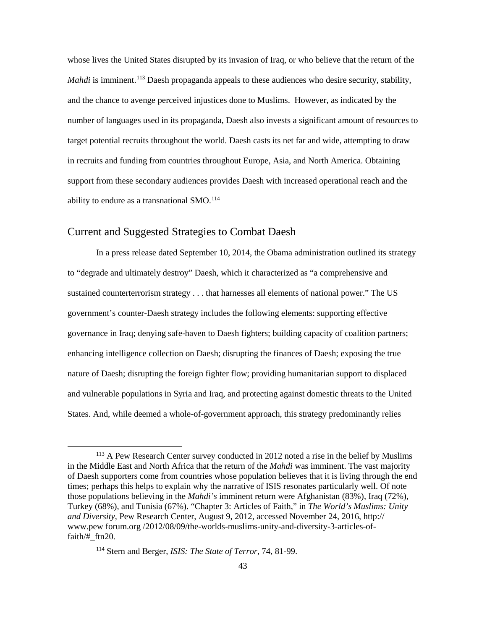whose lives the United States disrupted by its invasion of Iraq, or who believe that the return of the *Mahdi* is imminent.<sup>[113](#page-50-1)</sup> Daesh propaganda appeals to these audiences who desire security, stability, and the chance to avenge perceived injustices done to Muslims. However, as indicated by the number of languages used in its propaganda, Daesh also invests a significant amount of resources to target potential recruits throughout the world. Daesh casts its net far and wide, attempting to draw in recruits and funding from countries throughout Europe, Asia, and North America. Obtaining support from these secondary audiences provides Daesh with increased operational reach and the ability to endure as a transnational SMO.<sup>[114](#page-50-2)</sup>

#### <span id="page-50-0"></span>Current and Suggested Strategies to Combat Daesh

In a press release dated September 10, 2014, the Obama administration outlined its strategy to "degrade and ultimately destroy" Daesh, which it characterized as "a comprehensive and sustained counterterrorism strategy . . . that harnesses all elements of national power." The US government's counter-Daesh strategy includes the following elements: supporting effective governance in Iraq; denying safe-haven to Daesh fighters; building capacity of coalition partners; enhancing intelligence collection on Daesh; disrupting the finances of Daesh; exposing the true nature of Daesh; disrupting the foreign fighter flow; providing humanitarian support to displaced and vulnerable populations in Syria and Iraq, and protecting against domestic threats to the United States. And, while deemed a whole-of-government approach, this strategy predominantly relies

<span id="page-50-1"></span> <sup>113</sup> A Pew Research Center survey conducted in 2012 noted a rise in the belief by Muslims in the Middle East and North Africa that the return of the *Mahdi* was imminent. The vast majority of Daesh supporters come from countries whose population believes that it is living through the end times; perhaps this helps to explain why the narrative of ISIS resonates particularly well. Of note those populations believing in the *Mahdi's* imminent return were Afghanistan (83%), Iraq (72%), Turkey (68%), and Tunisia (67%). "Chapter 3: Articles of Faith," in *The World's Muslims: Unity and Diversity,* Pew Research Center, August 9, 2012, accessed November 24, 2016, http:// www.pew forum.org /2012/08/09/the-worlds-muslims-unity-and-diversity-3-articles-offaith/#\_ftn20.

<span id="page-50-2"></span><sup>114</sup> Stern and Berger, *ISIS: The State of Terror*, 74, 81-99.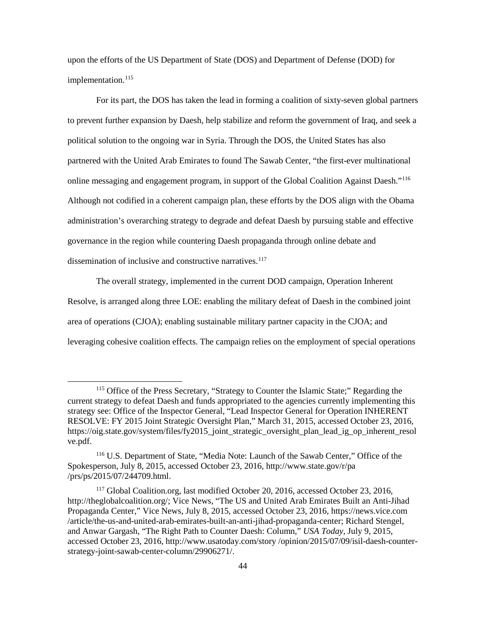upon the efforts of the US Department of State (DOS) and Department of Defense (DOD) for implementation.<sup>[115](#page-51-0)</sup>

For its part, the DOS has taken the lead in forming a coalition of sixty-seven global partners to prevent further expansion by Daesh, help stabilize and reform the government of Iraq, and seek a political solution to the ongoing war in Syria. Through the DOS, the United States has also partnered with the United Arab Emirates to found The Sawab Center, "the first-ever multinational online messaging and engagement program, in support of the Global Coalition Against Daesh."[116](#page-51-1) Although not codified in a coherent campaign plan, these efforts by the DOS align with the Obama administration's overarching strategy to degrade and defeat Daesh by pursuing stable and effective governance in the region while countering Daesh propaganda through online debate and dissemination of inclusive and constructive narratives.<sup>[117](#page-51-2)</sup>

The overall strategy, implemented in the current DOD campaign, Operation Inherent Resolve, is arranged along three LOE: enabling the military defeat of Daesh in the combined joint area of operations (CJOA); enabling sustainable military partner capacity in the CJOA; and leveraging cohesive coalition effects. The campaign relies on the employment of special operations

<span id="page-51-0"></span> <sup>115</sup> Office of the Press Secretary, "Strategy to Counter the Islamic State;" Regarding the current strategy to defeat Daesh and funds appropriated to the agencies currently implementing this strategy see: Office of the Inspector General, "Lead Inspector General for Operation INHERENT RESOLVE: FY 2015 Joint Strategic Oversight Plan," March 31, 2015, accessed October 23, 2016, https://oig.state.gov/system/files/fy2015\_joint\_strategic\_oversight\_plan\_lead\_ig\_op\_inherent\_resol ve.pdf.

<span id="page-51-1"></span><sup>116</sup> U.S. Department of State, "Media Note: Launch of the Sawab Center," Office of the Spokesperson, July 8, 2015, accessed October 23, 2016, http://www.state.gov/r/pa /prs/ps/2015/07/244709.html.

<span id="page-51-2"></span><sup>117</sup> Global Coalition.org, last modified October 20, 2016, accessed October 23, 2016, [http://theglobalcoalition.org/;](http://theglobalcoalition.org/) Vice News, "The US and United Arab Emirates Built an Anti-Jihad Propaganda Center," Vice News, July 8, 2015, accessed October 23, 2016, [https://news.vice.com](https://news.vice.com/) /article/the-us-and-united-arab-emirates-built-an-anti-jihad-propaganda-center; Richard Stengel, and Anwar Gargash, "The Right Path to Counter Daesh: Column," *USA Today*, July 9, 2015, accessed October 23, 2016, [http://www.usatoday.com/story /opinion/2015/07/09/isil-daesh-counter](http://www.usatoday.com/story%20/opinion/2015/07/09/isil-daesh-counter-strategy-joint-sawab-center-column/29906271/)[strategy-joint-sawab-center-column/29906271/.](http://www.usatoday.com/story%20/opinion/2015/07/09/isil-daesh-counter-strategy-joint-sawab-center-column/29906271/)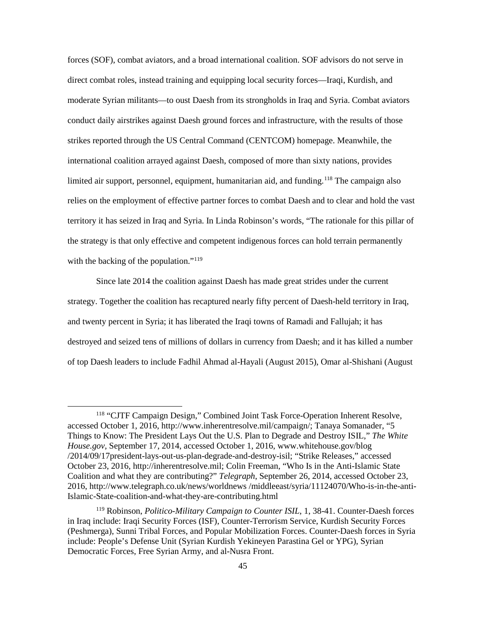forces (SOF), combat aviators, and a broad international coalition. SOF advisors do not serve in direct combat roles, instead training and equipping local security forces—Iraqi, Kurdish, and moderate Syrian militants—to oust Daesh from its strongholds in Iraq and Syria. Combat aviators conduct daily airstrikes against Daesh ground forces and infrastructure, with the results of those strikes reported through the US Central Command (CENTCOM) homepage. Meanwhile, the international coalition arrayed against Daesh, composed of more than sixty nations, provides limited air support, personnel, equipment, humanitarian aid, and funding.<sup>[118](#page-52-0)</sup> The campaign also relies on the employment of effective partner forces to combat Daesh and to clear and hold the vast territory it has seized in Iraq and Syria. In Linda Robinson's words, "The rationale for this pillar of the strategy is that only effective and competent indigenous forces can hold terrain permanently with the backing of the population."<sup>[119](#page-52-1)</sup>

Since late 2014 the coalition against Daesh has made great strides under the current strategy. Together the coalition has recaptured nearly fifty percent of Daesh-held territory in Iraq, and twenty percent in Syria; it has liberated the Iraqi towns of Ramadi and Fallujah; it has destroyed and seized tens of millions of dollars in currency from Daesh; and it has killed a number of top Daesh leaders to include Fadhil Ahmad al-Hayali (August 2015), Omar al-Shishani (August

<span id="page-52-0"></span> <sup>118</sup> "CJTF Campaign Design," Combined Joint Task Force-Operation Inherent Resolve, accessed October 1, 2016, http://www.inherentresolve.mil/campaign/; Tanaya Somanader, "5 Things to Know: The President Lays Out the U.S. Plan to Degrade and Destroy ISIL," *The White House.gov,* September 17, 2014, accessed October 1, 2016, www.whitehouse.gov/blog /2014/09/17president-lays-out-us-plan-degrade-and-destroy-isil; "Strike Releases," accessed October 23, 2016, http://inherentresolve.mil; Colin Freeman, "Who Is in the Anti-Islamic State Coalition and what they are contributing?" *Telegraph*, September 26, 2014, accessed October 23, 2016, http://www.telegraph.co.uk/news/worldnews /middleeast/syria/11124070/Who-is-in-the-anti-Islamic-State-coalition-and-what-they-are-contributing.html

<span id="page-52-1"></span><sup>119</sup> Robinson, *Politico-Military Campaign to Counter ISIL*, 1, 38-41. Counter-Daesh forces in Iraq include: Iraqi Security Forces (ISF), Counter-Terrorism Service, Kurdish Security Forces (Peshmerga), Sunni Tribal Forces, and Popular Mobilization Forces. Counter-Daesh forces in Syria include: People's Defense Unit (Syrian Kurdish Yekineyen Parastina Gel or YPG), Syrian Democratic Forces, Free Syrian Army, and al-Nusra Front.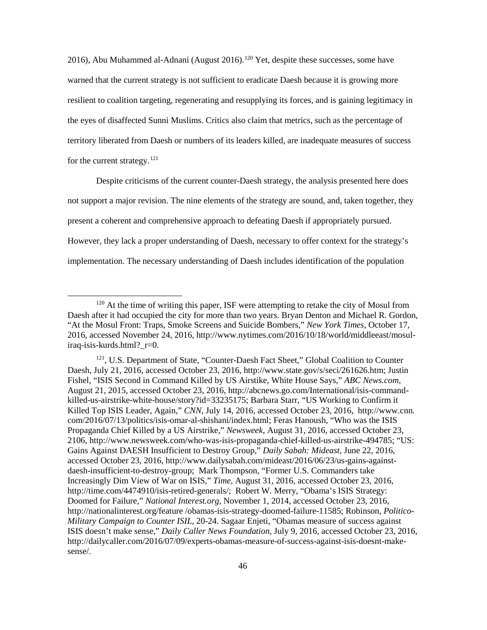2016), Abu Muhammed al-Adnani (August 2016).<sup>[120](#page-53-0)</sup> Yet, despite these successes, some have warned that the current strategy is not sufficient to eradicate Daesh because it is growing more resilient to coalition targeting, regenerating and resupplying its forces, and is gaining legitimacy in the eyes of disaffected Sunni Muslims. Critics also claim that metrics, such as the percentage of territory liberated from Daesh or numbers of its leaders killed, are inadequate measures of success for the current strategy.<sup>[121](#page-53-1)</sup>

Despite criticisms of the current counter-Daesh strategy, the analysis presented here does not support a major revision. The nine elements of the strategy are sound, and, taken together, they present a coherent and comprehensive approach to defeating Daesh if appropriately pursued. However, they lack a proper understanding of Daesh, necessary to offer context for the strategy's implementation. The necessary understanding of Daesh includes identification of the population

<span id="page-53-0"></span><sup>&</sup>lt;sup>120</sup> At the time of writing this paper, ISF were attempting to retake the city of Mosul from Daesh after it had occupied the city for more than two years. Bryan Denton and Michael R. Gordon, "At the Mosul Front: Traps, Smoke Screens and Suicide Bombers," *New York Times*, October 17, 2016, accessed November 24, 2016, http://www.nytimes.com/2016/10/18/world/middleeast/mosuliraq-isis-kurds.html?\_r=0.

<span id="page-53-1"></span><sup>&</sup>lt;sup>121</sup>, U.S. Department of State, "Counter-Daesh Fact Sheet," Global Coalition to Counter Daesh, July 21, 2016, accessed October 23, 2016, http://www.state.gov/s/seci/261626.htm; Justin Fishel, "ISIS Second in Command Killed by US Airstike, White House Says," *ABC News.com*, August 21, 2015, accessed October 23, 2016, http://abcnews.go.com/International/isis-commandkilled-us-airstrike-white-house/story?id=33235175; Barbara Starr, "US Working to Confirm it Killed Top ISIS Leader, Again," *CNN*, July 14, 2016, accessed October 23, 2016, http://www.cnn. com/2016/07/13/politics/isis-omar-al-shishani/index.html; Feras Hanoush, "Who was the ISIS Propaganda Chief Killed by a US Airstrike," *Newsweek*, August 31, 2016, accessed October 23, 2106, http://www.newsweek.com/who-was-isis-propaganda-chief-killed-us-airstrike-494785; "US: Gains Against DAESH Insufficient to Destroy Group," *Daily Sabah: Mideast,* June 22, 2016, accessed October 23, 2016, http://www.dailysabah.com/mideast/2016/06/23/us-gains-againstdaesh-insufficient-to-destroy-group; Mark Thompson, "Former U.S. Commanders take Increasingly Dim View of War on ISIS," *Time,* August 31, 2016, accessed October 23, 2016, http://time.com/4474910/isis-retired-generals/; Robert W. Merry, "Obama's ISIS Strategy: Doomed for Failure," *National Interest.org,* November 1, 2014, accessed October 23, 2016, http://nationalinterest.org/feature /obamas-isis-strategy-doomed-failure-11585; Robinson, *Politico-Military Campaign to Counter ISIL*, 20-24. Sagaar Enjeti, "Obamas measure of success against ISIS doesn't make sense," *Daily Caller News Foundation*, July 9, 2016, accessed October 23, 2016, http://dailycaller.com/2016/07/09/experts-obamas-measure-of-success-against-isis-doesnt-makesense/.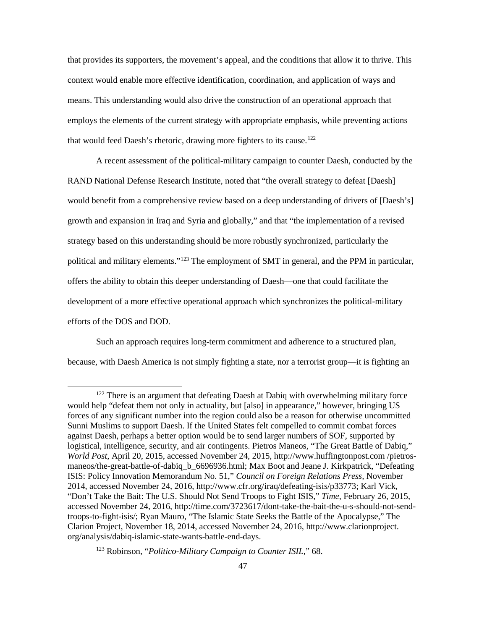that provides its supporters, the movement's appeal, and the conditions that allow it to thrive. This context would enable more effective identification, coordination, and application of ways and means. This understanding would also drive the construction of an operational approach that employs the elements of the current strategy with appropriate emphasis, while preventing actions that would feed Daesh's rhetoric, drawing more fighters to its cause.<sup>[122](#page-54-0)</sup>

A recent assessment of the political-military campaign to counter Daesh, conducted by the RAND National Defense Research Institute, noted that "the overall strategy to defeat [Daesh] would benefit from a comprehensive review based on a deep understanding of drivers of [Daesh's] growth and expansion in Iraq and Syria and globally," and that "the implementation of a revised strategy based on this understanding should be more robustly synchronized, particularly the political and military elements."[123](#page-54-1) The employment of SMT in general, and the PPM in particular, offers the ability to obtain this deeper understanding of Daesh—one that could facilitate the development of a more effective operational approach which synchronizes the political-military efforts of the DOS and DOD.

Such an approach requires long-term commitment and adherence to a structured plan, because, with Daesh America is not simply fighting a state, nor a terrorist group—it is fighting an

<span id="page-54-0"></span> $122$  There is an argument that defeating Daesh at Dabiq with overwhelming military force would help "defeat them not only in actuality, but [also] in appearance," however, bringing US forces of any significant number into the region could also be a reason for otherwise uncommitted Sunni Muslims to support Daesh. If the United States felt compelled to commit combat forces against Daesh, perhaps a better option would be to send larger numbers of SOF, supported by logistical, intelligence, security, and air contingents. Pietros Maneos, "The Great Battle of Dabiq," *World Post*, April 20, 2015, accessed November 24, 2015, http://www.huffingtonpost.com /pietrosmaneos/the-great-battle-of-dabiq b 6696936.html; Max Boot and Jeane J. Kirkpatrick, "Defeating ISIS: Policy Innovation Memorandum No. 51," *Council on Foreign Relations Press,* November 2014, accessed November 24, 2016, http://www.cfr.org/iraq/defeating-isis/p33773; Karl Vick, "Don't Take the Bait: The U.S. Should Not Send Troops to Fight ISIS," *Time*, February 26, 2015, accessed November 24, 2016, http://time.com/3723617/dont-take-the-bait-the-u-s-should-not-sendtroops-to-fight-isis/; Ryan Mauro, "The Islamic State Seeks the Battle of the Apocalypse," The Clarion Project, November 18, 2014, accessed November 24, 2016, http://www.clarionproject. org/analysis/dabiq-islamic-state-wants-battle-end-days.

<span id="page-54-1"></span><sup>123</sup> Robinson, "*Politico-Military Campaign to Counter ISIL*," 68.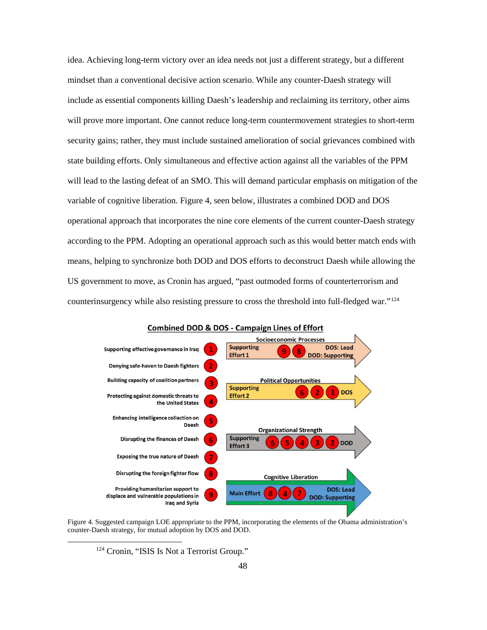idea. Achieving long-term victory over an idea needs not just a different strategy, but a different mindset than a conventional decisive action scenario. While any counter-Daesh strategy will include as essential components killing Daesh's leadership and reclaiming its territory, other aims will prove more important. One cannot reduce long-term countermovement strategies to short-term security gains; rather, they must include sustained amelioration of social grievances combined with state building efforts. Only simultaneous and effective action against all the variables of the PPM will lead to the lasting defeat of an SMO. This will demand particular emphasis on mitigation of the variable of cognitive liberation. Figure 4, seen below, illustrates a combined DOD and DOS operational approach that incorporates the nine core elements of the current counter-Daesh strategy according to the PPM. Adopting an operational approach such as this would better match ends with means, helping to synchronize both DOD and DOS efforts to deconstruct Daesh while allowing the US government to move, as Cronin has argued, "past outmoded forms of counterterrorism and counterinsurgency while also resisting pressure to cross the threshold into full-fledged war."[124](#page-55-1)



#### **Combined DOD & DOS - Campaign Lines of Effort**

<span id="page-55-1"></span><span id="page-55-0"></span>Figure 4. Suggested campaign LOE appropriate to the PPM, incorporating the elements of the Obama administration's counter-Daesh strategy, for mutual adoption by DOS and DOD.

<sup>&</sup>lt;sup>124</sup> Cronin, "ISIS Is Not a Terrorist Group."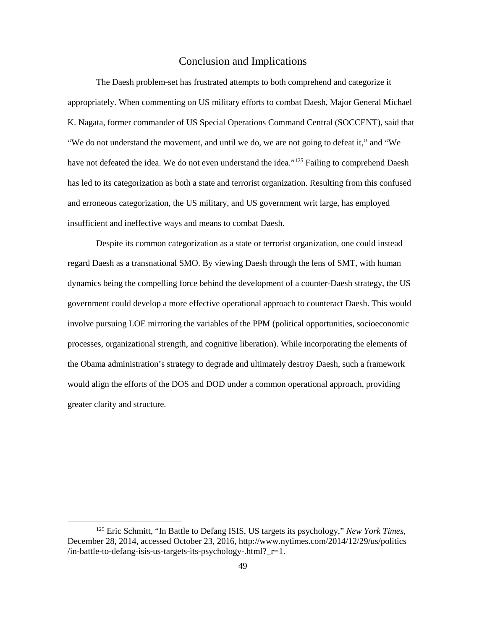#### Conclusion and Implications

<span id="page-56-0"></span>The Daesh problem-set has frustrated attempts to both comprehend and categorize it appropriately. When commenting on US military efforts to combat Daesh, Major General Michael K. Nagata, former commander of US Special Operations Command Central (SOCCENT), said that "We do not understand the movement, and until we do, we are not going to defeat it," and "We have not defeated the idea. We do not even understand the idea."<sup>[125](#page-56-1)</sup> Failing to comprehend Daesh has led to its categorization as both a state and terrorist organization. Resulting from this confused and erroneous categorization, the US military, and US government writ large, has employed insufficient and ineffective ways and means to combat Daesh.

Despite its common categorization as a state or terrorist organization, one could instead regard Daesh as a transnational SMO. By viewing Daesh through the lens of SMT, with human dynamics being the compelling force behind the development of a counter-Daesh strategy, the US government could develop a more effective operational approach to counteract Daesh. This would involve pursuing LOE mirroring the variables of the PPM (political opportunities, socioeconomic processes, organizational strength, and cognitive liberation). While incorporating the elements of the Obama administration's strategy to degrade and ultimately destroy Daesh, such a framework would align the efforts of the DOS and DOD under a common operational approach, providing greater clarity and structure.

<span id="page-56-1"></span> <sup>125</sup> Eric Schmitt, "In Battle to Defang ISIS, US targets its psychology," *New York Times*, December 28, 2014, accessed October 23, 2016, http://www.nytimes.com/2014/12/29/us/politics /in-battle-to-defang-isis-us-targets-its-psychology-.html?\_r=1.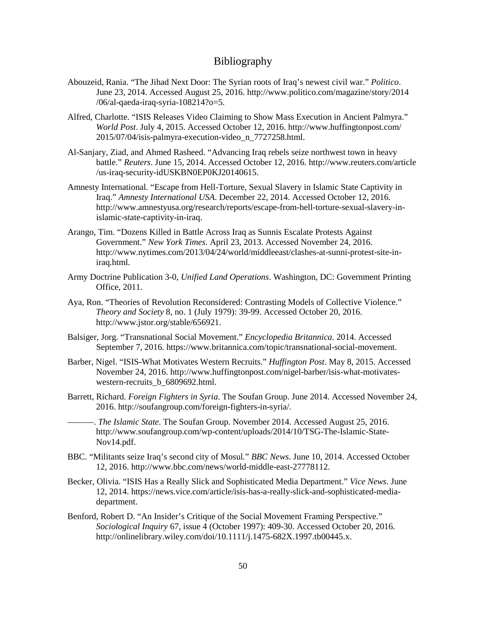#### Bibliography

- <span id="page-57-0"></span>Abouzeid, Rania. "The Jihad Next Door: The Syrian roots of Iraq's newest civil war." *Politico*. June 23, 2014. Accessed August 25, 2016. http://www.politico.com/magazine/story/2014 /06/al-qaeda-iraq-syria-108214?o=5.
- Alfred, Charlotte. "ISIS Releases Video Claiming to Show Mass Execution in Ancient Palmyra." *World Post*. July 4, 2015. Accessed October 12, 2016. http://www.huffingtonpost.com/ 2015/07/04/isis-palmyra-execution-video\_n\_7727258.html.
- Al-Sanjary, Ziad, and Ahmed Rasheed. "Advancing Iraq rebels seize northwest town in heavy battle." *Reuters*. June 15, 2014. Accessed October 12, 2016. http://www.reuters.com/article /us-iraq-security-idUSKBN0EP0KJ20140615.
- Amnesty International. "Escape from Hell-Torture, Sexual Slavery in Islamic State Captivity in Iraq." *Amnesty International USA*. December 22, 2014. Accessed October 12, 2016. http://www.amnestyusa.org/research/reports/escape-from-hell-torture-sexual-slavery-inislamic-state-captivity-in-iraq.
- Arango, Tim. "Dozens Killed in Battle Across Iraq as Sunnis Escalate Protests Against Government." *New York Times*. April 23, 2013. Accessed November 24, 2016. http://www.nytimes.com/2013/04/24/world/middleeast/clashes-at-sunni-protest-site-iniraq.html.
- Army Doctrine Publication 3-0, *Unified Land Operations*. Washington, DC: Government Printing Office, 2011.
- Aya, Ron. "Theories of Revolution Reconsidered: Contrasting Models of Collective Violence." *Theory and Society* 8, no. 1 (July 1979): 39-99. Accessed October 20, 2016. http://www.jstor.org/stable/656921.
- Balsiger, Jorg. "Transnational Social Movement." *Encyclopedia Britannica*. 2014. Accessed September 7, 2016. https://www.britannica.com/topic/transnational-social-movement.
- Barber, Nigel. "ISIS-What Motivates Western Recruits." *Huffington Post*. May 8, 2015. Accessed November 24, 2016. http://www.huffingtonpost.com/nigel-barber/isis-what-motivateswestern-recruits b 6809692.html.
- Barrett, Richard. *Foreign Fighters in Syria*. The Soufan Group. June 2014. Accessed November 24, 2016. http://soufangroup.com/foreign-fighters-in-syria/.
- ———. *The Islamic State.* The Soufan Group. November 2014. Accessed August 25, 2016. http://www.soufangroup.com/wp-content/uploads/2014/10/TSG-The-Islamic-State-Nov14.pdf.
- BBC. "Militants seize Iraq's second city of Mosul." *BBC News*. June 10, 2014. Accessed October 12, 2016. http://www.bbc.com/news/world-middle-east-27778112.
- Becker, Olivia. "ISIS Has a Really Slick and Sophisticated Media Department." *Vice News*. June 12, 2014. https://news.vice.com/article/isis-has-a-really-slick-and-sophisticated-mediadepartment.
- Benford, Robert D. "An Insider's Critique of the Social Movement Framing Perspective." *Sociological Inquiry* 67, issue 4 (October 1997): 409-30. Accessed October 20, 2016. http://onlinelibrary.wiley.com/doi/10.1111/j.1475-682X.1997.tb00445.x.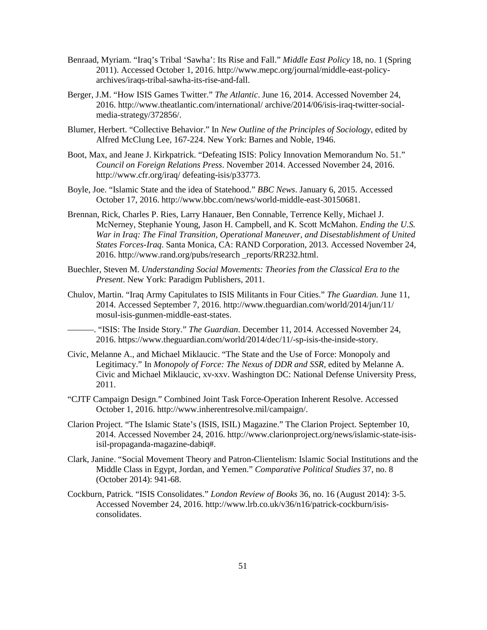- Benraad, Myriam. "Iraq's Tribal 'Sawha': Its Rise and Fall." *Middle East Policy* 18, no. 1 (Spring 2011). Accessed October 1, 2016. http://www.mepc.org/journal/middle-east-policyarchives/iraqs-tribal-sawha-its-rise-and-fall.
- Berger, J.M. "How ISIS Games Twitter." *The Atlantic*. June 16, 2014. Accessed November 24, 2016. http://www.theatlantic.com/international/ archive/2014/06/isis-iraq-twitter-socialmedia-strategy/372856/.
- Blumer, Herbert. "Collective Behavior." In *New Outline of the Principles of Sociology*, edited by Alfred McClung Lee, 167-224. New York: Barnes and Noble, 1946.
- Boot, Max, and Jeane J. Kirkpatrick. "Defeating ISIS: Policy Innovation Memorandum No. 51." *Council on Foreign Relations Press*. November 2014. Accessed November 24, 2016. http://www.cfr.org/iraq/ defeating-isis/p33773.
- Boyle, Joe. "Islamic State and the idea of Statehood." *BBC News*. January 6, 2015. Accessed October 17, 2016. http://www.bbc.com/news/world-middle-east-30150681.
- Brennan, Rick, Charles P. Ries, Larry Hanauer, Ben Connable, Terrence Kelly, Michael J. McNerney, Stephanie Young, Jason H. Campbell, and K. Scott McMahon. *Ending the U.S. War in Iraq: The Final Transition, Operational Maneuver, and Disestablishment of United States Forces-Iraq*. Santa Monica, CA: RAND Corporation, 2013. Accessed November 24, 2016. http://www.rand.org/pubs/research \_reports/RR232.html.
- Buechler, Steven M. *Understanding Social Movements: Theories from the Classical Era to the Present*. New York: Paradigm Publishers, 2011.
- Chulov, Martin. "Iraq Army Capitulates to ISIS Militants in Four Cities." *The Guardian.* June 11, 2014. Accessed September 7, 2016. http://www.theguardian.com/world/2014/jun/11/ mosul-isis-gunmen-middle-east-states.
	- ———. "ISIS: The Inside Story." *The Guardian*. December 11, 2014. Accessed November 24, 2016. https://www.theguardian.com/world/2014/dec/11/-sp-isis-the-inside-story.
- Civic, Melanne A., and Michael Miklaucic. "The State and the Use of Force: Monopoly and Legitimacy." In *Monopoly of Force: The Nexus of DDR and SSR,* edited by Melanne A. Civic and Michael Miklaucic, xv-xxv. Washington DC: National Defense University Press, 2011.
- "CJTF Campaign Design." Combined Joint Task Force-Operation Inherent Resolve. Accessed October 1, 2016. http://www.inherentresolve.mil/campaign/.
- Clarion Project. "The Islamic State's (ISIS, ISIL) Magazine." The Clarion Project. September 10, 2014. Accessed November 24, 2016. http://www.clarionproject.org/news/islamic-state-isisisil-propaganda-magazine-dabiq#.
- Clark, Janine. "Social Movement Theory and Patron-Clientelism: Islamic Social Institutions and the Middle Class in Egypt, Jordan, and Yemen." *Comparative Political Studies* 37, no. 8 (October 2014): 941-68.
- Cockburn, Patrick. "ISIS Consolidates." *London Review of Books* 36, no. 16 (August 2014): 3-5. Accessed November 24, 2016. http://www.lrb.co.uk/v36/n16/patrick-cockburn/isisconsolidates.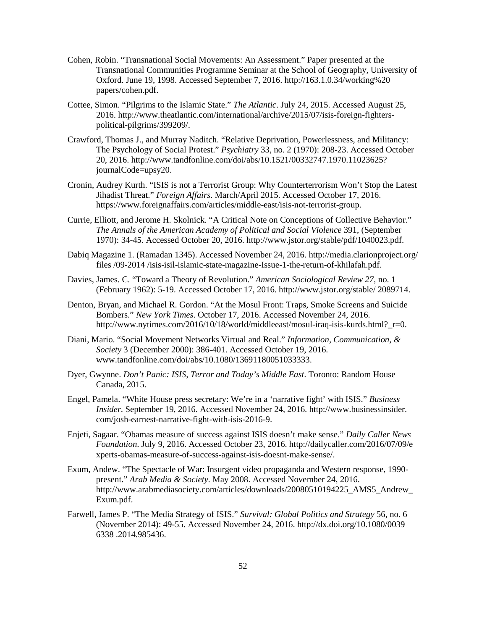- Cohen, Robin. "Transnational Social Movements: An Assessment." Paper presented at the Transnational Communities Programme Seminar at the School of Geography, University of Oxford. June 19, 1998. Accessed September 7, 2016. http://163.1.0.34/working%20 papers/cohen.pdf.
- Cottee, Simon. "Pilgrims to the Islamic State." *The Atlantic*. July 24, 2015. Accessed August 25, 2016. http://www.theatlantic.com/international/archive/2015/07/isis-foreign-fighterspolitical-pilgrims/399209/.
- Crawford, Thomas J., and Murray Naditch. "Relative Deprivation, Powerlessness, and Militancy: The Psychology of Social Protest." *Psychiatry* 33, no. 2 (1970): 208-23. Accessed October 20, 2016. http://www.tandfonline.com/doi/abs/10.1521/00332747.1970.11023625? journalCode=upsy20.
- Cronin, Audrey Kurth. "ISIS is not a Terrorist Group: Why Counterterrorism Won't Stop the Latest Jihadist Threat." *Foreign Affairs*. March/April 2015. Accessed October 17, 2016. https://www.foreignaffairs.com/articles/middle-east/isis-not-terrorist-group.
- Currie, Elliott, and Jerome H. Skolnick. "A Critical Note on Conceptions of Collective Behavior." *The Annals of the American Academy of Political and Social Violence* 391, (September 1970): 34-45. Accessed October 20, 2016. http://www.jstor.org/stable/pdf/1040023.pdf.
- Dabiq Magazine 1. (Ramadan 1345). Accessed November 24, 2016. http://media.clarionproject.org/ files /09-2014 /isis-isil-islamic-state-magazine-Issue-1-the-return-of-khilafah.pdf.
- Davies, James. C. "Toward a Theory of Revolution." *American Sociological Review 27*, no. 1 (February 1962): 5-19. Accessed October 17, 2016. http://www.jstor.org/stable/ 2089714.
- Denton, Bryan, and Michael R. Gordon. "At the Mosul Front: Traps, Smoke Screens and Suicide Bombers." *New York Times*. October 17, 2016. Accessed November 24, 2016. http://www.nytimes.com/2016/10/18/world/middleeast/mosul-iraq-isis-kurds.html? r=0.
- Diani, Mario. "Social Movement Networks Virtual and Real." *Information, Communication, & Society* 3 (December 2000): 386-401. Accessed October 19, 2016. www.tandfonline.com/doi/abs/10.1080/13691180051033333.
- Dyer, Gwynne. *Don't Panic: ISIS, Terror and Today's Middle East*. Toronto: Random House Canada, 2015.
- Engel, Pamela. "White House press secretary: We're in a 'narrative fight' with ISIS." *Business Insider.* September 19, 2016. Accessed November 24, 2016. http://www.businessinsider. com/josh-earnest-narrative-fight-with-isis-2016-9.
- Enjeti, Sagaar. "Obamas measure of success against ISIS doesn't make sense." *Daily Caller News Foundation*. July 9, 2016. Accessed October 23, 2016. http://dailycaller.com/2016/07/09/e xperts-obamas-measure-of-success-against-isis-doesnt-make-sense/.
- Exum, Andew. "The Spectacle of War: Insurgent video propaganda and Western response, 1990 present." *Arab Media & Society.* May 2008. Accessed November 24, 2016. http://www.arabmediasociety.com/articles/downloads/20080510194225\_AMS5\_Andrew\_ Exum.pdf.
- Farwell, James P. "The Media Strategy of ISIS." *Survival: Global Politics and Strategy* 56, no. 6 (November 2014): 49-55. Accessed November 24, 2016. http://dx.doi.org/10.1080/0039 6338 .2014.985436.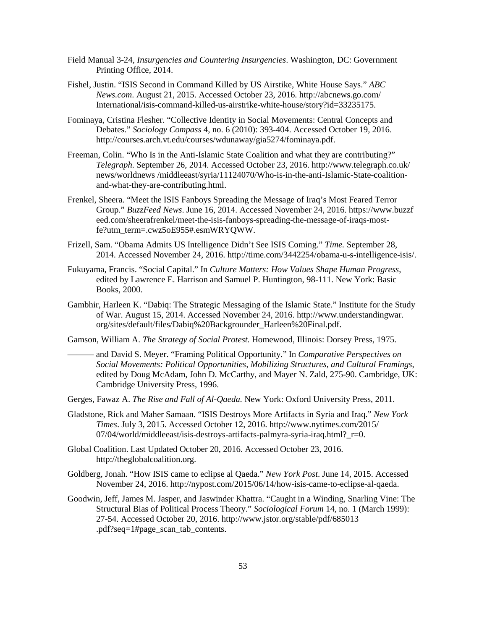- Field Manual 3-24, *Insurgencies and Countering Insurgencies*. Washington, DC: Government Printing Office, 2014.
- Fishel, Justin. "ISIS Second in Command Killed by US Airstike, White House Says." *ABC News.com*. August 21, 2015. Accessed October 23, 2016. http://abcnews.go.com/ International/isis-command-killed-us-airstrike-white-house/story?id=33235175.
- Fominaya, Cristina Flesher. "Collective Identity in Social Movements: Central Concepts and Debates." *Sociology Compass* 4, no. 6 (2010): 393-404. Accessed October 19, 2016. http://courses.arch.vt.edu/courses/wdunaway/gia5274/fominaya.pdf.
- Freeman, Colin. "Who Is in the Anti-Islamic State Coalition and what they are contributing?" *Telegraph*. September 26, 2014. Accessed October 23, 2016. http://www.telegraph.co.uk/ news/worldnews /middleeast/syria/11124070/Who-is-in-the-anti-Islamic-State-coalitionand-what-they-are-contributing.html.
- Frenkel, Sheera. "Meet the ISIS Fanboys Spreading the Message of Iraq's Most Feared Terror Group." *BuzzFeed News*. June 16, 2014. Accessed November 24, 2016. https://www.buzzf eed.com/sheerafrenkel/meet-the-isis-fanboys-spreading-the-message-of-iraqs-mostfe?utm\_term=.cwz5oE955#.esmWRYQWW.
- Frizell, Sam. "Obama Admits US Intelligence Didn't See ISIS Coming." *Time.* September 28, 2014. Accessed November 24, 2016. http://time.com/3442254/obama-u-s-intelligence-isis/.
- Fukuyama, Francis. "Social Capital." In *Culture Matters: How Values Shape Human Progress*, edited by Lawrence E. Harrison and Samuel P. Huntington, 98-111. New York: Basic Books, 2000.
- Gambhir, Harleen K. "Dabiq: The Strategic Messaging of the Islamic State." Institute for the Study of War. August 15, 2014. Accessed November 24, 2016. http://www.understandingwar. org/sites/default/files/Dabiq%20Backgrounder\_Harleen%20Final.pdf.
- Gamson, William A. *The Strategy of Social Protest.* Homewood, Illinois: Dorsey Press, 1975.
	- ——— and David S. Meyer. "Framing Political Opportunity." In *Comparative Perspectives on Social Movements: Political Opportunities, Mobilizing Structures, and Cultural Framings*, edited by Doug McAdam, John D. McCarthy, and Mayer N. Zald, 275-90. Cambridge, UK: Cambridge University Press, 1996.
- Gerges, Fawaz A. *The Rise and Fall of Al-Qaeda.* New York: Oxford University Press, 2011.
- Gladstone, Rick and Maher Samaan. "ISIS Destroys More Artifacts in Syria and Iraq." *New York Times*. July 3, 2015. Accessed October 12, 2016. http://www.nytimes.com/2015/  $07/04$ /world/middleeast/isis-destroys-artifacts-palmyra-syria-iraq.html? $r=0$ .
- Global Coalition. Last Updated October 20, 2016. Accessed October 23, 2016. http://theglobalcoalition.org.
- Goldberg, Jonah. "How ISIS came to eclipse al Qaeda." *New York Post*. June 14, 2015. Accessed November 24, 2016. http://nypost.com/2015/06/14/how-isis-came-to-eclipse-al-qaeda.
- Goodwin, Jeff, James M. Jasper, and Jaswinder Khattra. "Caught in a Winding, Snarling Vine: The Structural Bias of Political Process Theory." *Sociological Forum* 14, no. 1 (March 1999): 27-54. Accessed October 20, 2016. http://www.jstor.org/stable/pdf/685013 .pdf?seq=1#page\_scan\_tab\_contents.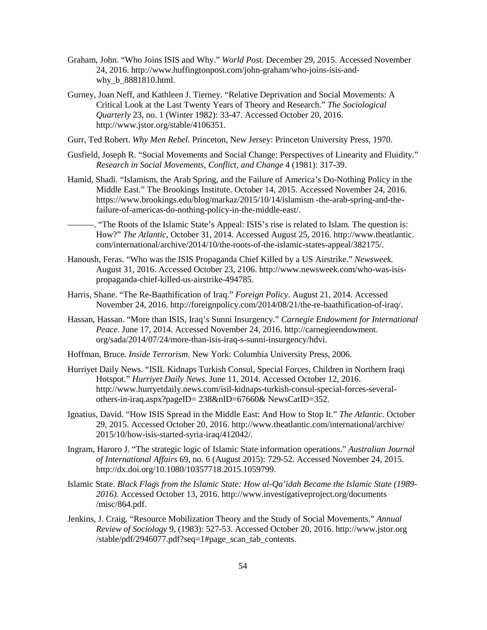- Graham, John. "Who Joins ISIS and Why." *World Post*. December 29, 2015. Accessed November 24, 2016. http://www.huffingtonpost.com/john-graham/who-joins-isis-andwhy **b** 8881810.html.
- Gurney, Joan Neff, and Kathleen J. Tierney. "Relative Deprivation and Social Movements: A Critical Look at the Last Twenty Years of Theory and Research." *The Sociological Quarterly* 23, no. 1 (Winter 1982): 33-47. Accessed October 20, 2016. http://www.jstor.org/stable/4106351.
- Gurr, Ted Robert. *Why Men Rebel.* Princeton, New Jersey: Princeton University Press, 1970.
- Gusfield, Joseph R. "Social Movements and Social Change: Perspectives of Linearity and Fluidity." *Research in Social Movements, Conflict, and Change* 4 (1981): 317-39.
- Hamid, Shadi. "Islamism, the Arab Spring, and the Failure of America's Do-Nothing Policy in the Middle East." The Brookings Institute. October 14, 2015. Accessed November 24, 2016. https://www.brookings.edu/blog/markaz/2015/10/14/islamism -the-arab-spring-and-thefailure-of-americas-do-nothing-policy-in-the-middle-east/.
- ———. "The Roots of the Islamic State's Appeal: ISIS's rise is related to Islam. The question is: How?" *The Atlantic*, October 31, 2014. Accessed August 25, 2016. http://www.theatlantic. com/international/archive/2014/10/the-roots-of-the-islamic-states-appeal/382175/.
- Hanoush, Feras. "Who was the ISIS Propaganda Chief Killed by a US Airstrike." *Newsweek.* August 31, 2016. Accessed October 23, 2106. http://www.newsweek.com/who-was-isispropaganda-chief-killed-us-airstrike-494785.
- Harris, Shane. "The Re-Baathification of Iraq." *Foreign Policy*. August 21, 2014. Accessed November 24, 2016. http://foreignpolicy.com/2014/08/21/the-re-baathification-of-iraq/.
- Hassan, Hassan. "More than ISIS, Iraq's Sunni Insurgency." *Carnegie Endowment for International Peace*. June 17, 2014. Accessed November 24, 2016. http://carnegieendowment. org/sada/2014/07/24/more-than-isis-iraq-s-sunni-insurgency/hdvi.
- Hoffman, Bruce. *Inside Terrorism*. New York: Columbia University Press, 2006.
- Hurriyet Daily News. "ISIL Kidnaps Turkish Consul, Special Forces, Children in Northern Iraqi Hotspot." *Hurriyet Daily News*. June 11, 2014. Accessed October 12, 2016. http://www.hurryetdaily.news.com/isil-kidnaps-turkish-consul-special-forces-severalothers-in-iraq.aspx?pageID= 238&nID=67660& NewsCatID=352.
- Ignatius, David. "How ISIS Spread in the Middle East: And How to Stop It." *The Atlantic.* October 29, 2015. Accessed October 20, 2016. http://www.theatlantic.com/international/archive/ 2015/10/how-isis-started-syria-iraq/412042/.
- Ingram, Haroro J. "The strategic logic of Islamic State information operations." *Australian Journal of International Affairs* 69, no. 6 (August 2015): 729-52. Accessed November 24, 2015. http://dx.doi.org/10.1080/10357718.2015.1059799.
- Islamic State. *Black Flags from the Islamic State: How al-Qa'idah Became the Islamic State (1989- 2016).* Accessed October 13, 2016. http://www.investigativeproject.org/documents /misc/864.pdf.
- Jenkins, J. Craig. "Resource Mobilization Theory and the Study of Social Movements." *Annual Review of Sociology* 9, (1983): 527-53. Accessed October 20, 2016. http://www.jstor.org /stable/pdf/2946077.pdf?seq=1#page\_scan\_tab\_contents.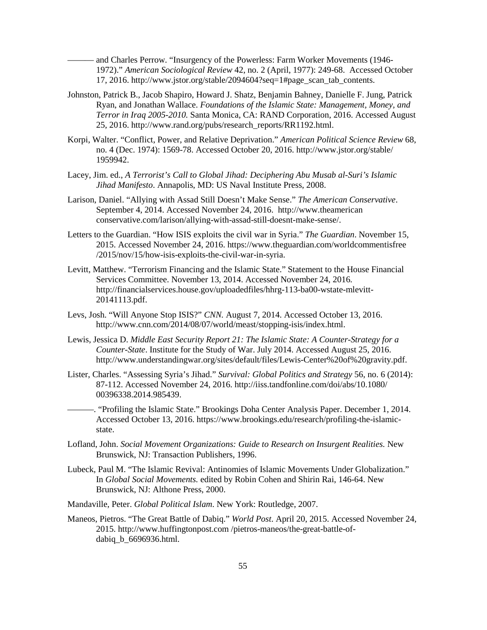——— and Charles Perrow. "Insurgency of the Powerless: Farm Worker Movements (1946- 1972)." *American Sociological Review* 42, no. 2 (April, 1977): 249-68. Accessed October 17, 2016. http://www.jstor.org/stable/2094604?seq=1#page\_scan\_tab\_contents.

- Johnston, Patrick B., Jacob Shapiro, Howard J. Shatz, Benjamin Bahney, Danielle F. Jung, Patrick Ryan, and Jonathan Wallace. *Foundations of the Islamic State: Management, Money, and Terror in Iraq 2005-2010.* Santa Monica, CA: RAND Corporation, 2016. Accessed August 25, 2016. http://www.rand.org/pubs/research\_reports/RR1192.html.
- Korpi, Walter. "Conflict, Power, and Relative Deprivation." *American Political Science Review* 68, no. 4 (Dec. 1974): 1569-78. Accessed October 20, 2016. http://www.jstor.org/stable/ 1959942.
- Lacey, Jim. ed., *A Terrorist's Call to Global Jihad: Deciphering Abu Musab al-Suri's Islamic Jihad Manifesto*. Annapolis, MD: US Naval Institute Press, 2008.
- Larison, Daniel. "Allying with Assad Still Doesn't Make Sense." *The American Conservative*. September 4, 2014. Accessed November 24, 2016. http://www.theamerican conservative.com/larison/allying-with-assad-still-doesnt-make-sense/.
- Letters to the Guardian. "How ISIS exploits the civil war in Syria." *The Guardian*. November 15, 2015. Accessed November 24, 2016. https://www.theguardian.com/worldcommentisfree /2015/nov/15/how-isis-exploits-the-civil-war-in-syria.
- Levitt, Matthew. "Terrorism Financing and the Islamic State." Statement to the House Financial Services Committee. November 13, 2014. Accessed November 24, 2016. http://financialservices.house.gov/uploadedfiles/hhrg-113-ba00-wstate-mlevitt-20141113.pdf.
- Levs, Josh. "Will Anyone Stop ISIS?" *CNN.* August 7, 2014. Accessed October 13, 2016. http://www.cnn.com/2014/08/07/world/meast/stopping-isis/index.html.
- Lewis, Jessica D. *Middle East Security Report 21: The Islamic State: A Counter-Strategy for a Counter-State*. Institute for the Study of War. July 2014. Accessed August 25, 2016. http://www.understandingwar.org/sites/default/files/Lewis-Center%20of%20gravity.pdf.
- Lister, Charles. "Assessing Syria's Jihad." *Survival: Global Politics and Strategy* 56, no. 6 (2014): 87-112. Accessed November 24, 2016. http://iiss.tandfonline.com/doi/abs/10.1080/ 00396338.2014.985439.
- ———. "Profiling the Islamic State." Brookings Doha Center Analysis Paper. December 1, 2014. Accessed October 13, 2016. https://www.brookings.edu/research/profiling-the-islamicstate.
- Lofland, John. *Social Movement Organizations: Guide to Research on Insurgent Realities.* New Brunswick, NJ: Transaction Publishers, 1996.
- Lubeck, Paul M. "The Islamic Revival: Antinomies of Islamic Movements Under Globalization." In *Global Social Movements.* edited by Robin Cohen and Shirin Rai, 146-64. New Brunswick, NJ: Althone Press, 2000.
- Mandaville, Peter. *Global Political Islam*. New York: Routledge, 2007.
- Maneos, Pietros. "The Great Battle of Dabiq." *World Post*. April 20, 2015. Accessed November 24, 2015. http://www.huffingtonpost.com /pietros-maneos/the-great-battle-ofdabiq b 6696936.html.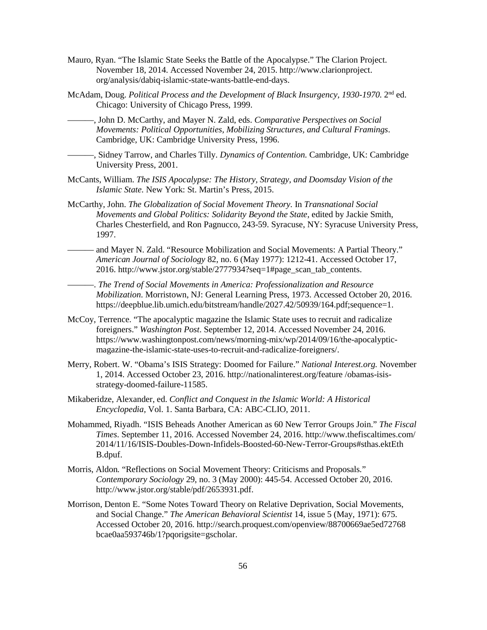- Mauro, Ryan. "The Islamic State Seeks the Battle of the Apocalypse." The Clarion Project. November 18, 2014. Accessed November 24, 2015. http://www.clarionproject. org/analysis/dabiq-islamic-state-wants-battle-end-days.
- McAdam, Doug. *Political Process and the Development of Black Insurgency, 1930-1970.* 2<sup>nd</sup> ed. Chicago: University of Chicago Press, 1999.
	- ———, John D. McCarthy, and Mayer N. Zald, eds. *Comparative Perspectives on Social Movements: Political Opportunities, Mobilizing Structures, and Cultural Framings*. Cambridge, UK: Cambridge University Press, 1996.
- ———, Sidney Tarrow, and Charles Tilly. *Dynamics of Contention.* Cambridge, UK: Cambridge University Press, 2001.
- McCants, William. *The ISIS Apocalypse: The History, Strategy, and Doomsday Vision of the Islamic State.* New York: St. Martin's Press, 2015.
- McCarthy, John. *The Globalization of Social Movement Theory.* In *Transnational Social Movements and Global Politics: Solidarity Beyond the State*, edited by Jackie Smith, Charles Chesterfield, and Ron Pagnucco, 243-59. Syracuse, NY: Syracuse University Press, 1997.
- and Mayer N. Zald. "Resource Mobilization and Social Movements: A Partial Theory." *American Journal of Sociology* 82, no. 6 (May 1977): 1212-41. Accessed October 17, 2016. http://www.jstor.org/stable/2777934?seq=1#page\_scan\_tab\_contents.
	- ———. *The Trend of Social Movements in America: Professionalization and Resource Mobilization*. Morristown, NJ: General Learning Press, 1973. Accessed October 20, 2016. https://deepblue.lib.umich.edu/bitstream/handle/2027.42/50939/164.pdf;sequence=1.
- McCoy, Terrence. "The apocalyptic magazine the Islamic State uses to recruit and radicalize foreigners." *Washington Post*. September 12, 2014. Accessed November 24, 2016. https://www.washingtonpost.com/news/morning-mix/wp/2014/09/16/the-apocalypticmagazine-the-islamic-state-uses-to-recruit-and-radicalize-foreigners/.
- Merry, Robert. W. "Obama's ISIS Strategy: Doomed for Failure." *National Interest.org.* November 1, 2014. Accessed October 23, 2016. http://nationalinterest.org/feature /obamas-isisstrategy-doomed-failure-11585.
- Mikaberidze, Alexander, ed. *Conflict and Conquest in the Islamic World: A Historical Encyclopedia,* Vol. 1. Santa Barbara, CA: ABC-CLIO, 2011.
- Mohammed, Riyadh. "ISIS Beheads Another American as 60 New Terror Groups Join." *The Fiscal Times*. September 11, 2016. Accessed November 24, 2016. http://www.thefiscaltimes.com/ 2014/11/16/ISIS-Doubles-Down-Infidels-Boosted-60-New-Terror-Groups#sthas.ektEth B.dpuf.
- Morris, Aldon*.* "Reflections on Social Movement Theory: Criticisms and Proposals*.*" *Contemporary Sociology* 29, no. 3 (May 2000): 445-54. Accessed October 20, 2016. http://www.jstor.org/stable/pdf/2653931.pdf.
- Morrison, Denton E. "Some Notes Toward Theory on Relative Deprivation, Social Movements, and Social Change." *The American Behavioral Scientist* 14, issue 5 (May, 1971): 675. Accessed October 20, 2016. http://search.proquest.com/openview/88700669ae5ed72768 bcae0aa593746b/1?pqorigsite=gscholar.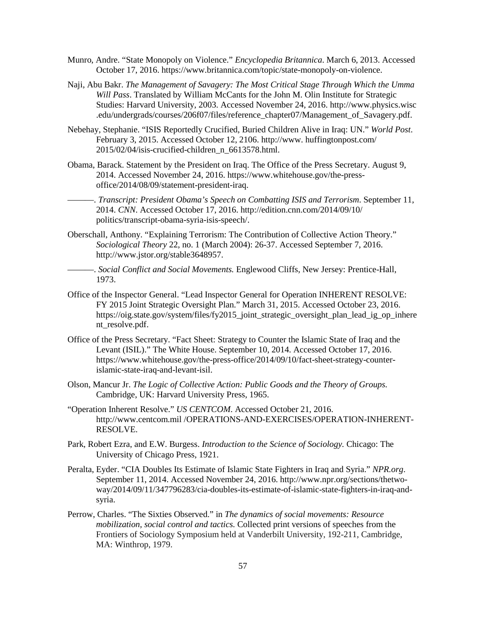- Munro, Andre. "State Monopoly on Violence." *Encyclopedia Britannica*. March 6, 2013. Accessed October 17, 2016. https://www.britannica.com/topic/state-monopoly-on-violence.
- Naji, Abu Bakr. *The Management of Savagery: The Most Critical Stage Through Which the Umma Will Pass*. Translated by William McCants for the John M. Olin Institute for Strategic Studies: Harvard University, 2003. Accessed November 24, 2016. http://www.physics.wisc .edu/undergrads/courses/206f07/files/reference\_chapter07/Management\_of\_Savagery.pdf.
- Nebehay, Stephanie. "ISIS Reportedly Crucified, Buried Children Alive in Iraq: UN." *World Post*. February 3, 2015. Accessed October 12, 2106. http://www. huffingtonpost.com/ 2015/02/04/isis-crucified-children\_n\_6613578.html.
- Obama, Barack. Statement by the President on Iraq. The Office of the Press Secretary. August 9, 2014. Accessed November 24, 2016. https://www.whitehouse.gov/the-pressoffice/2014/08/09/statement-president-iraq.
- ———. *Transcript: President Obama's Speech on Combatting ISIS and Terrorism*. September 11, 2014. *CNN*. Accessed October 17, 2016. http://edition.cnn.com/2014/09/10/ politics/transcript-obama-syria-isis-speech/.
- Oberschall, Anthony. "Explaining Terrorism: The Contribution of Collective Action Theory." *Sociological Theory* 22, no. 1 (March 2004): 26-37. Accessed September 7, 2016. http://www.jstor.org/stable3648957.
	- ———. *Social Conflict and Social Movements.* Englewood Cliffs, New Jersey: Prentice-Hall, 1973.
- Office of the Inspector General. "Lead Inspector General for Operation INHERENT RESOLVE: FY 2015 Joint Strategic Oversight Plan." March 31, 2015. Accessed October 23, 2016. https://oig.state.gov/system/files/fy2015\_joint\_strategic\_oversight\_plan\_lead\_ig\_op\_inhere nt\_resolve.pdf.
- Office of the Press Secretary. "Fact Sheet: Strategy to Counter the Islamic State of Iraq and the Levant (ISIL)." The White House. September 10, 2014. Accessed October 17, 2016. https://www.whitehouse.gov/the-press-office/2014/09/10/fact-sheet-strategy-counterislamic-state-iraq-and-levant-isil.
- Olson, Mancur Jr. *The Logic of Collective Action: Public Goods and the Theory of Groups.* Cambridge, UK: Harvard University Press, 1965.
- "Operation Inherent Resolve." *US CENTCOM*. Accessed October 21, 2016. http://www.centcom.mil /OPERATIONS-AND-EXERCISES/OPERATION-INHERENT-RESOLVE.
- Park, Robert Ezra, and E.W. Burgess. *Introduction to the Science of Sociology.* Chicago: The University of Chicago Press, 1921.
- Peralta, Eyder. "CIA Doubles Its Estimate of Islamic State Fighters in Iraq and Syria." *NPR.org*. September 11, 2014. Accessed November 24, 2016. http://www.npr.org/sections/thetwoway/2014/09/11/347796283/cia-doubles-its-estimate-of-islamic-state-fighters-in-iraq-andsyria.
- Perrow, Charles. "The Sixties Observed." in *[The dynamics of social movements: Resource](http://www.econbiz.de/Search/Results?lookfor=%22The+dynamics+of+social+movements+%3A+resource+mobilization%2C+social+control+and+tactics%22&type=PublishedIn)  [mobilization, social control and tactics.](http://www.econbiz.de/Search/Results?lookfor=%22The+dynamics+of+social+movements+%3A+resource+mobilization%2C+social+control+and+tactics%22&type=PublishedIn)* Collected print versions of speeches from the Frontiers of Sociology Symposium held at Vanderbilt University, 192-211, Cambridge, MA: Winthrop, 1979.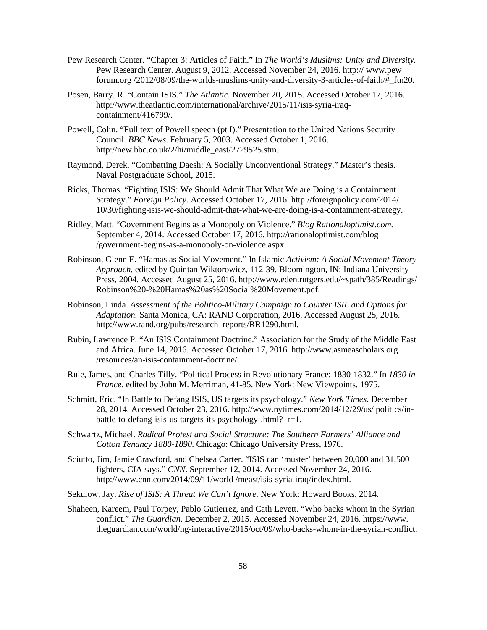- Pew Research Center. "Chapter 3: Articles of Faith." In *The World's Muslims: Unity and Diversity.* Pew Research Center. August 9, 2012. Accessed November 24, 2016. http:// www.pew forum.org /2012/08/09/the-worlds-muslims-unity-and-diversity-3-articles-of-faith/#\_ftn20.
- Posen, Barry. R. "Contain ISIS." *The Atlantic.* November 20, 2015. Accessed October 17, 2016. http://www.theatlantic.com/international/archive/2015/11/isis-syria-iraqcontainment/416799/.
- Powell, Colin. "Full text of Powell speech (pt I)." Presentation to the United Nations Security Council. *BBC News*. February 5, 2003. Accessed October 1, 2016. http://new.bbc.co.uk/2/hi/middle\_east/2729525.stm.
- Raymond, Derek. "Combatting Daesh: A Socially Unconventional Strategy." Master's thesis. Naval Postgraduate School, 2015.
- Ricks, Thomas. "Fighting ISIS: We Should Admit That What We are Doing is a Containment Strategy." *Foreign Policy*. Accessed October 17, 2016. http://foreignpolicy.com/2014/ 10/30/fighting-isis-we-should-admit-that-what-we-are-doing-is-a-containment-strategy.
- Ridley, Matt. "Government Begins as a Monopoly on Violence." *Blog Rationaloptimist.com.*  September 4, 2014. Accessed October 17, 2016. http://rationaloptimist.com/blog /government-begins-as-a-monopoly-on-violence.aspx.
- Robinson, Glenn E. "Hamas as Social Movement." In Islamic *Activism: A Social Movement Theory Approach*, edited by Quintan Wiktorowicz, 112-39. Bloomington, IN: Indiana University Press, 2004. Accessed August 25, 2016. http://www.eden.rutgers.edu/~spath/385/Readings/ Robinson%20-%20Hamas%20as%20Social%20Movement.pdf.
- Robinson, Linda. *Assessment of the Politico-Military Campaign to Counter ISIL and Options for Adaptation.* Santa Monica, CA: RAND Corporation, 2016. Accessed August 25, 2016. http://www.rand.org/pubs/research\_reports/RR1290.html.
- Rubin, Lawrence P. "An ISIS Containment Doctrine." Association for the Study of the Middle East and Africa. June 14, 2016. Accessed October 17, 2016. http://www.asmeascholars.org /resources/an-isis-containment-doctrine/.
- Rule, James, and Charles Tilly. "Political Process in Revolutionary France: 1830-1832." In *1830 in France,* edited by John M. Merriman, 41-85. New York: New Viewpoints, 1975.
- Schmitt, Eric. "In Battle to Defang ISIS, US targets its psychology." *New York Times.* December 28, 2014. Accessed October 23, 2016. http://www.nytimes.com/2014/12/29/us/ politics/inbattle-to-defang-isis-us-targets-its-psychology-.html?\_r=1.
- Schwartz, Michael. *Radical Protest and Social Structure: The Southern Farmers' Alliance and Cotton Tenancy 1880-1890*. Chicago: Chicago University Press, 1976.
- Sciutto, Jim, Jamie Crawford, and Chelsea Carter. "ISIS can 'muster' between 20,000 and 31,500 fighters, CIA says." *CNN*. September 12, 2014. Accessed November 24, 2016. http://www.cnn.com/2014/09/11/world /meast/isis-syria-iraq/index.html.
- Sekulow, Jay. *Rise of ISIS: A Threat We Can't Ignore.* New York: Howard Books, 2014.
- Shaheen, Kareem, Paul Torpey, Pablo Gutierrez, and Cath Levett. "Who backs whom in the Syrian conflict." *The Guardian*. December 2, 2015. Accessed November 24, 2016. https://www. theguardian.com/world/ng-interactive/2015/oct/09/who-backs-whom-in-the-syrian-conflict.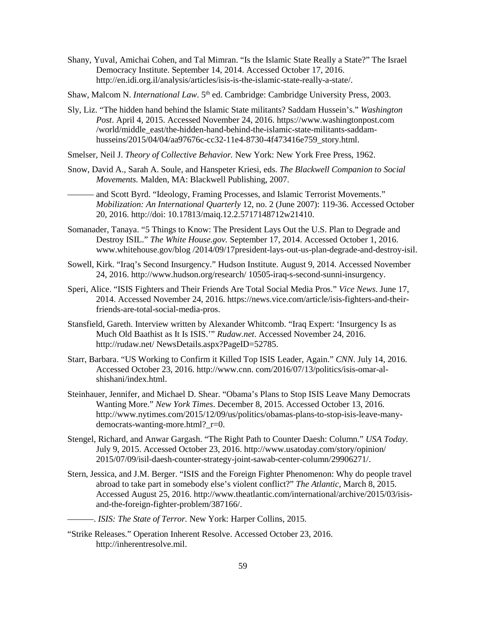- Shany, Yuval, Amichai Cohen, and Tal Mimran. "Is the Islamic State Really a State?" The Israel Democracy Institute. September 14, 2014. Accessed October 17, 2016. http://en.idi.org.il/analysis/articles/isis-is-the-islamic-state-really-a-state/.
- Shaw, Malcom N. *International Law*. 5<sup>th</sup> ed. Cambridge: Cambridge University Press, 2003.
- Sly, Liz. "The hidden hand behind the Islamic State militants? Saddam Hussein's." *Washington Post*. April 4, 2015. Accessed November 24, 2016. https://www.washingtonpost.com /world/middle\_east/the-hidden-hand-behind-the-islamic-state-militants-saddamhusseins/2015/04/04/aa97676c-cc32-11e4-8730-4f473416e759\_story.html.
- Smelser, Neil J. *Theory of Collective Behavior.* New York: New York Free Press, 1962.
- Snow, David A., Sarah A. Soule, and Hanspeter Kriesi, eds. *The Blackwell Companion to Social Movements.* Malden, MA: Blackwell Publishing, 2007.
	- and Scott Byrd. "Ideology, Framing Processes, and Islamic Terrorist Movements." *Mobilization: An International Quarterly* 12, no. 2 (June 2007): 119-36. Accessed October 20, 2016. http://doi: 10.17813/maiq.12.2.5717148712w21410.
- Somanader, Tanaya. "5 Things to Know: The President Lays Out the U.S. Plan to Degrade and Destroy ISIL." *The White House.gov.* September 17, 2014. Accessed October 1, 2016. www.whitehouse.gov/blog /2014/09/17president-lays-out-us-plan-degrade-and-destroy-isil.
- Sowell, Kirk. "Iraq's Second Insurgency." Hudson Institute. August 9, 2014. Accessed November 24, 2016. http://www.hudson.org/research/ 10505-iraq-s-second-sunni-insurgency.
- Speri, Alice. "ISIS Fighters and Their Friends Are Total Social Media Pros." *Vice News*. June 17, 2014. Accessed November 24, 2016. https://news.vice.com/article/isis-fighters-and-theirfriends-are-total-social-media-pros.
- Stansfield, Gareth. Interview written by Alexander Whitcomb. "Iraq Expert: 'Insurgency Is as Much Old Baathist as It Is ISIS.'" *Rudaw.net*. Accessed November 24, 2016. http://rudaw.net/ NewsDetails.aspx?PageID=52785.
- Starr, Barbara. "US Working to Confirm it Killed Top ISIS Leader, Again." *CNN*. July 14, 2016. Accessed October 23, 2016. http://www.cnn. com/2016/07/13/politics/isis-omar-alshishani/index.html.
- Steinhauer, Jennifer, and Michael D. Shear. "Obama's Plans to Stop ISIS Leave Many Democrats Wanting More." *New York Times*. December 8, 2015. Accessed October 13, 2016. http://www.nytimes.com/2015/12/09/us/politics/obamas-plans-to-stop-isis-leave-manydemocrats-wanting-more.html?\_r=0.
- Stengel, Richard, and Anwar Gargash. "The Right Path to Counter Daesh: Column." *USA Today*. July 9, 2015. Accessed October 23, 2016. http://www.usatoday.com/story/opinion/ 2015/07/09/isil-daesh-counter-strategy-joint-sawab-center-column/29906271/.
- Stern, Jessica, and J.M. Berger. "ISIS and the Foreign Fighter Phenomenon: Why do people travel abroad to take part in somebody else's violent conflict?" *The Atlantic*, March 8, 2015. Accessed August 25, 2016. http://www.theatlantic.com/international/archive/2015/03/isisand-the-foreign-fighter-problem/387166/.
	- ———. *ISIS: The State of Terror.* New York: Harper Collins, 2015.
- "Strike Releases." Operation Inherent Resolve. Accessed October 23, 2016. http://inherentresolve.mil.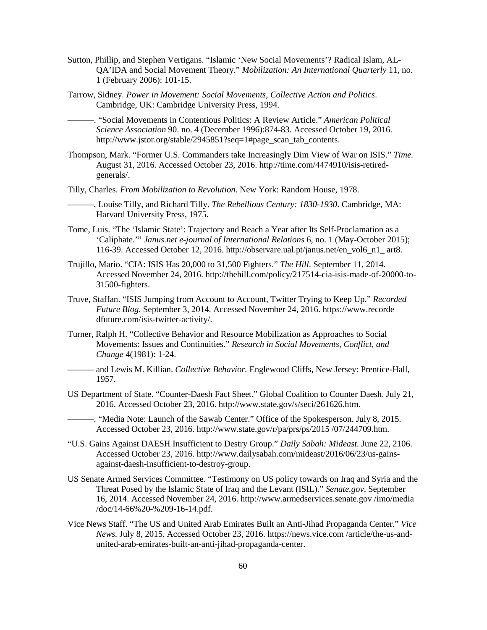- Sutton, Phillip, and Stephen Vertigans. "Islamic 'New Social Movements'? Radical Islam, AL-QA'IDA and Social Movement Theory." *Mobilization: An International Quarterly* 11, no. 1 (February 2006): 101-15.
- Tarrow, Sidney. *Power in Movement: Social Movements, Collective Action and Politics*. Cambridge, UK: Cambridge University Press, 1994.

———. "Social Movements in Contentious Politics: A Review Article." *American Political Science Association* 90. no. 4 (December 1996):874-83. Accessed October 19, 2016. http://www.jstor.org/stable/2945851?seq=1#page\_scan\_tab\_contents.

- Thompson, Mark. "Former U.S. Commanders take Increasingly Dim View of War on ISIS." *Time.*  August 31, 2016. Accessed October 23, 2016. http://time.com/4474910/isis-retiredgenerals/.
- Tilly, Charles. *From Mobilization to Revolution*. New York: Random House, 1978.
	- ———, Louise Tilly, and Richard Tilly. *The Rebellious Century: 1830-1930*. Cambridge, MA: Harvard University Press, 1975.
- Tome, Luis. "The 'Islamic State': Trajectory and Reach a Year after Its Self-Proclamation as a 'Caliphate.'" *Janus.net e-journal of International Relations* 6, no. 1 (May-October 2015); 116-39. Accessed October 12, 2016. http://observare.ual.pt/janus.net/en\_vol6\_n1\_ art8.
- Trujillo, Mario. "CIA: ISIS Has 20,000 to 31,500 Fighters." *The Hill*. September 11, 2014. Accessed November 24, 2016. http://thehill.com/policy/217514-cia-isis-made-of-20000-to-31500-fighters.
- Truve, Staffan. "ISIS Jumping from Account to Account, Twitter Trying to Keep Up." *Recorded Future Blog*. September 3, 2014. Accessed November 24, 2016. https://www.recorde dfuture.com/isis-twitter-activity/.
- Turner, Ralph H. "Collective Behavior and Resource Mobilization as Approaches to Social Movements: Issues and Continuities." *Research in Social Movements, Conflict, and Change* 4(1981): 1-24.
	- ——— and Lewis M. Killian. *Collective Behavior.* Englewood Cliffs, New Jersey: Prentice-Hall, 1957.
- US Department of State. "Counter-Daesh Fact Sheet." Global Coalition to Counter Daesh. July 21, 2016. Accessed October 23, 2016. http://www.state.gov/s/seci/261626.htm.
	- ———. "Media Note: Launch of the Sawab Center." Office of the Spokesperson. July 8, 2015. Accessed October 23, 2016. http://www.state.gov/r/pa/prs/ps/2015 /07/244709.htm.
- "U.S. Gains Against DAESH Insufficient to Destry Group." *Daily Sabah: Mideast.* June 22, 2106. Accessed October 23, 2016. http://www.dailysabah.com/mideast/2016/06/23/us-gainsagainst-daesh-insufficient-to-destroy-group.
- US Senate Armed Services Committee. "Testimony on US policy towards on Iraq and Syria and the Threat Posed by the Islamic State of Iraq and the Levant (ISIL)." *Senate.gov*. September 16, 2014. Accessed November 24, 2016. http://www.armedservices.senate.gov /imo/media /doc/14-66%20-%209-16-14.pdf.
- Vice News Staff. "The US and United Arab Emirates Built an Anti-Jihad Propaganda Center." *Vice News.* July 8, 2015. Accessed October 23, 2016. [https://news.vice.com](https://news.vice.com/) /article/the-us-andunited-arab-emirates-built-an-anti-jihad-propaganda-center.